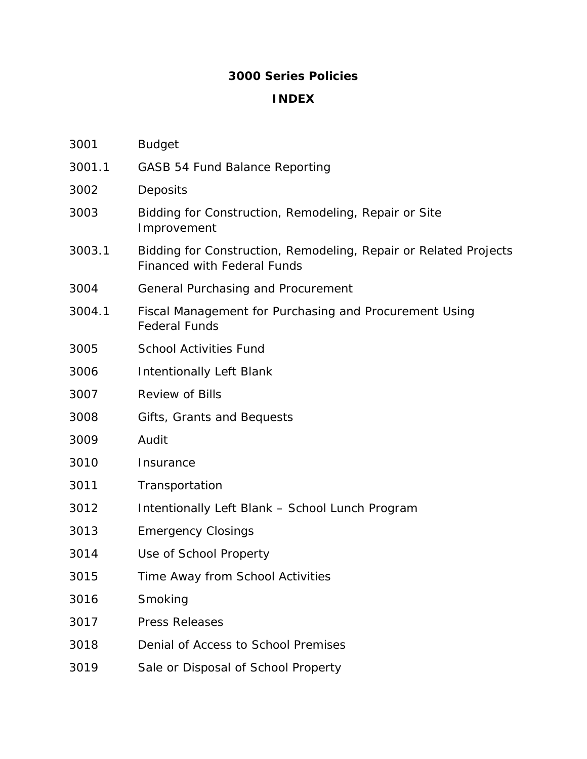## **3000 Series Policies**

#### **INDEX**

| 3001   | <b>Budget</b>                                                                                          |  |
|--------|--------------------------------------------------------------------------------------------------------|--|
| 3001.1 | <b>GASB 54 Fund Balance Reporting</b>                                                                  |  |
| 3002   | Deposits                                                                                               |  |
| 3003   | Bidding for Construction, Remodeling, Repair or Site<br>Improvement                                    |  |
| 3003.1 | Bidding for Construction, Remodeling, Repair or Related Projects<br><b>Financed with Federal Funds</b> |  |
| 3004   | General Purchasing and Procurement                                                                     |  |
| 3004.1 | Fiscal Management for Purchasing and Procurement Using<br><b>Federal Funds</b>                         |  |
| 3005   | <b>School Activities Fund</b>                                                                          |  |
| 3006   | <b>Intentionally Left Blank</b>                                                                        |  |
| 3007   | <b>Review of Bills</b>                                                                                 |  |
| 3008   | Gifts, Grants and Bequests                                                                             |  |
| 3009   | Audit                                                                                                  |  |
| 3010   | Insurance                                                                                              |  |
| 3011   | Transportation                                                                                         |  |
| 3012   | Intentionally Left Blank - School Lunch Program                                                        |  |
| 3013   | <b>Emergency Closings</b>                                                                              |  |
| 3014   | Use of School Property                                                                                 |  |
| 3015   | Time Away from School Activities                                                                       |  |
| 3016   | Smoking                                                                                                |  |
| 3017   | <b>Press Releases</b>                                                                                  |  |
| 3018   | Denial of Access to School Premises                                                                    |  |
| 3019   | Sale or Disposal of School Property                                                                    |  |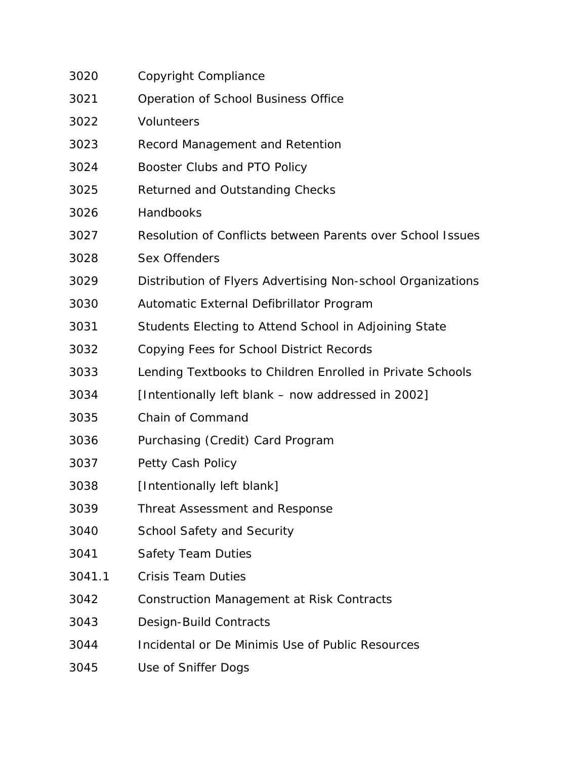| 3020   | Copyright Compliance                                        |
|--------|-------------------------------------------------------------|
| 3021   | Operation of School Business Office                         |
| 3022   | <b>Volunteers</b>                                           |
| 3023   | Record Management and Retention                             |
| 3024   | Booster Clubs and PTO Policy                                |
| 3025   | Returned and Outstanding Checks                             |
| 3026   | Handbooks                                                   |
| 3027   | Resolution of Conflicts between Parents over School Issues  |
| 3028   | <b>Sex Offenders</b>                                        |
| 3029   | Distribution of Flyers Advertising Non-school Organizations |
| 3030   | Automatic External Defibrillator Program                    |
| 3031   | Students Electing to Attend School in Adjoining State       |
| 3032   | Copying Fees for School District Records                    |
| 3033   | Lending Textbooks to Children Enrolled in Private Schools   |
| 3034   | [Intentionally left blank – now addressed in 2002]          |
| 3035   | Chain of Command                                            |
| 3036   | Purchasing (Credit) Card Program                            |
| 3037   | Petty Cash Policy                                           |
| 3038   | [Intentionally left blank]                                  |
| 3039   | Threat Assessment and Response                              |
| 3040   | <b>School Safety and Security</b>                           |
| 3041   | <b>Safety Team Duties</b>                                   |
| 3041.1 | <b>Crisis Team Duties</b>                                   |
| 3042   | <b>Construction Management at Risk Contracts</b>            |
| 3043   | Design-Build Contracts                                      |
| 3044   | Incidental or De Minimis Use of Public Resources            |
|        |                                                             |

3045 Use of Sniffer Dogs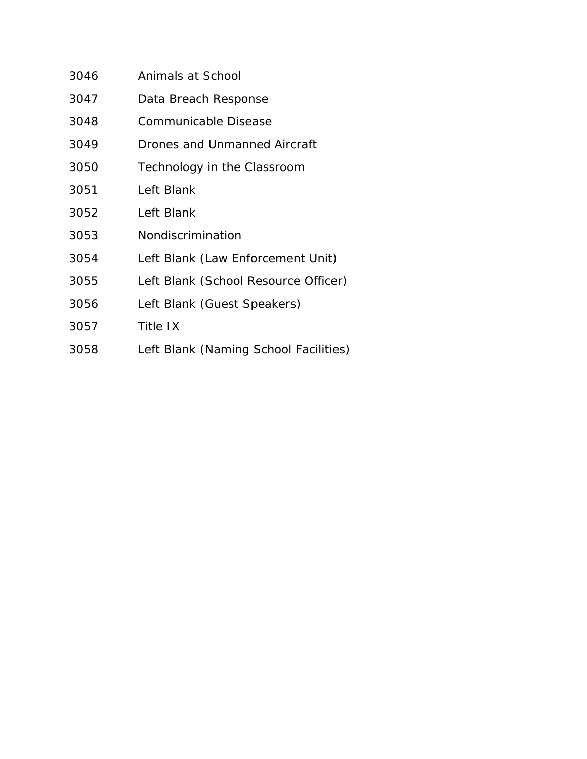| 3046 | Animals at School                     |
|------|---------------------------------------|
| 3047 | Data Breach Response                  |
| 3048 | Communicable Disease                  |
| 3049 | Drones and Unmanned Aircraft          |
| 3050 | Technology in the Classroom           |
| 3051 | Left Blank                            |
| 3052 | Left Blank                            |
| 3053 | Nondiscrimination                     |
| 3054 | Left Blank (Law Enforcement Unit)     |
| 3055 | Left Blank (School Resource Officer)  |
| 3056 | Left Blank (Guest Speakers)           |
| 3057 | <b>Title IX</b>                       |
| 3058 | Left Blank (Naming School Facilities) |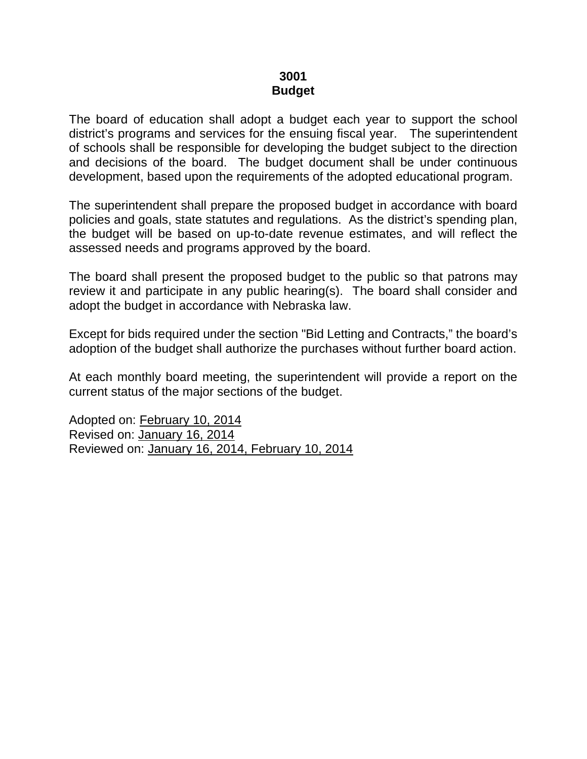#### **3001 Budget**

The board of education shall adopt a budget each year to support the school district's programs and services for the ensuing fiscal year. The superintendent of schools shall be responsible for developing the budget subject to the direction and decisions of the board. The budget document shall be under continuous development, based upon the requirements of the adopted educational program.

The superintendent shall prepare the proposed budget in accordance with board policies and goals, state statutes and regulations. As the district's spending plan, the budget will be based on up-to-date revenue estimates, and will reflect the assessed needs and programs approved by the board.

The board shall present the proposed budget to the public so that patrons may review it and participate in any public hearing(s). The board shall consider and adopt the budget in accordance with Nebraska law.

Except for bids required under the section "Bid Letting and Contracts," the board's adoption of the budget shall authorize the purchases without further board action.

At each monthly board meeting, the superintendent will provide a report on the current status of the major sections of the budget.

Adopted on: February 10, 2014 Revised on: January 16, 2014 Reviewed on: January 16, 2014, February 10, 2014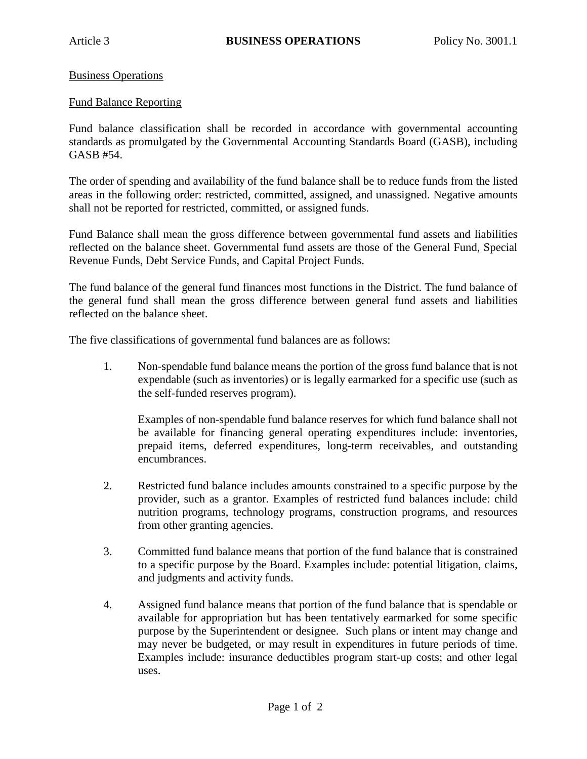Business Operations

#### Fund Balance Reporting

Fund balance classification shall be recorded in accordance with governmental accounting standards as promulgated by the Governmental Accounting Standards Board (GASB), including GASB #54.

The order of spending and availability of the fund balance shall be to reduce funds from the listed areas in the following order: restricted, committed, assigned, and unassigned. Negative amounts shall not be reported for restricted, committed, or assigned funds.

Fund Balance shall mean the gross difference between governmental fund assets and liabilities reflected on the balance sheet. Governmental fund assets are those of the General Fund, Special Revenue Funds, Debt Service Funds, and Capital Project Funds.

The fund balance of the general fund finances most functions in the District. The fund balance of the general fund shall mean the gross difference between general fund assets and liabilities reflected on the balance sheet.

The five classifications of governmental fund balances are as follows:

1. Non-spendable fund balance means the portion of the gross fund balance that is not expendable (such as inventories) or is legally earmarked for a specific use (such as the self-funded reserves program).

Examples of non-spendable fund balance reserves for which fund balance shall not be available for financing general operating expenditures include: inventories, prepaid items, deferred expenditures, long-term receivables, and outstanding encumbrances.

- 2. Restricted fund balance includes amounts constrained to a specific purpose by the provider, such as a grantor. Examples of restricted fund balances include: child nutrition programs, technology programs, construction programs, and resources from other granting agencies.
- 3. Committed fund balance means that portion of the fund balance that is constrained to a specific purpose by the Board. Examples include: potential litigation, claims, and judgments and activity funds.
- 4. Assigned fund balance means that portion of the fund balance that is spendable or available for appropriation but has been tentatively earmarked for some specific purpose by the Superintendent or designee. Such plans or intent may change and may never be budgeted, or may result in expenditures in future periods of time. Examples include: insurance deductibles program start-up costs; and other legal uses.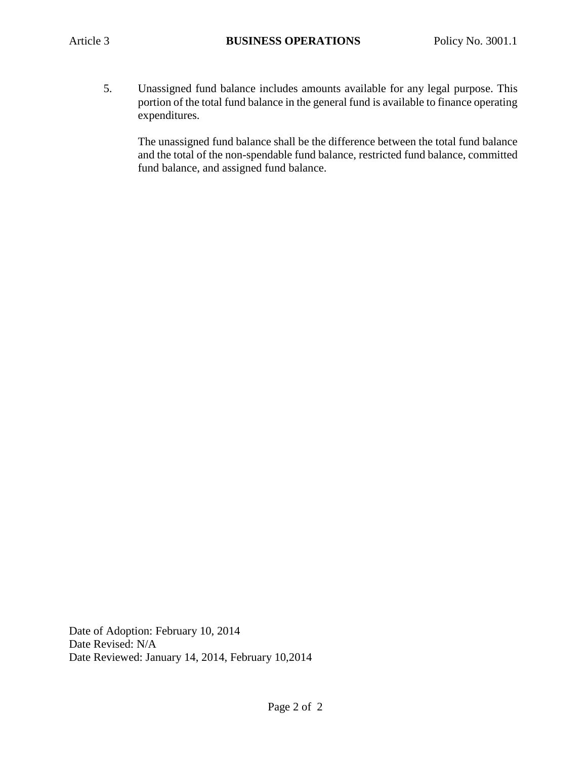5. Unassigned fund balance includes amounts available for any legal purpose. This portion of the total fund balance in the general fund is available to finance operating expenditures.

The unassigned fund balance shall be the difference between the total fund balance and the total of the non-spendable fund balance, restricted fund balance, committed fund balance, and assigned fund balance.

Date of Adoption: February 10, 2014 Date Revised: N/A Date Reviewed: January 14, 2014, February 10,2014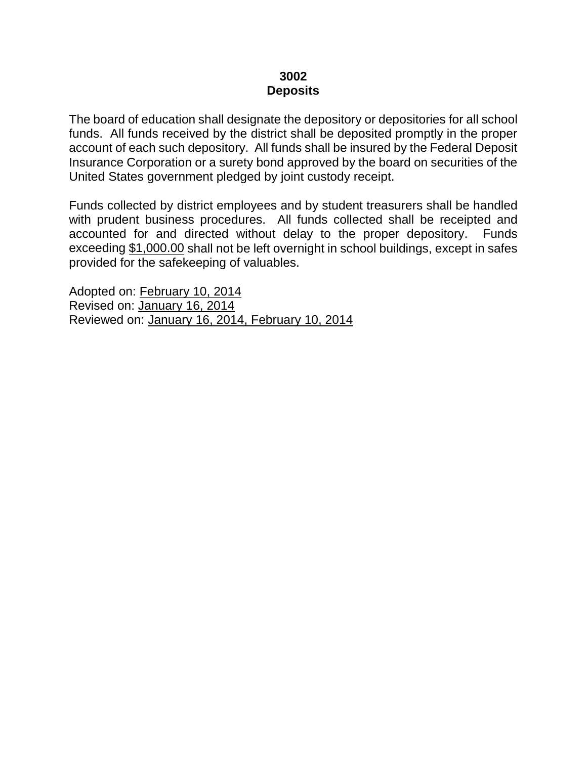#### **3002 Deposits**

The board of education shall designate the depository or depositories for all school funds. All funds received by the district shall be deposited promptly in the proper account of each such depository. All funds shall be insured by the Federal Deposit Insurance Corporation or a surety bond approved by the board on securities of the United States government pledged by joint custody receipt.

Funds collected by district employees and by student treasurers shall be handled with prudent business procedures. All funds collected shall be receipted and accounted for and directed without delay to the proper depository. Funds exceeding \$1,000.00 shall not be left overnight in school buildings, except in safes provided for the safekeeping of valuables.

Adopted on: February 10, 2014 Revised on: January 16, 2014 Reviewed on: January 16, 2014, February 10, 2014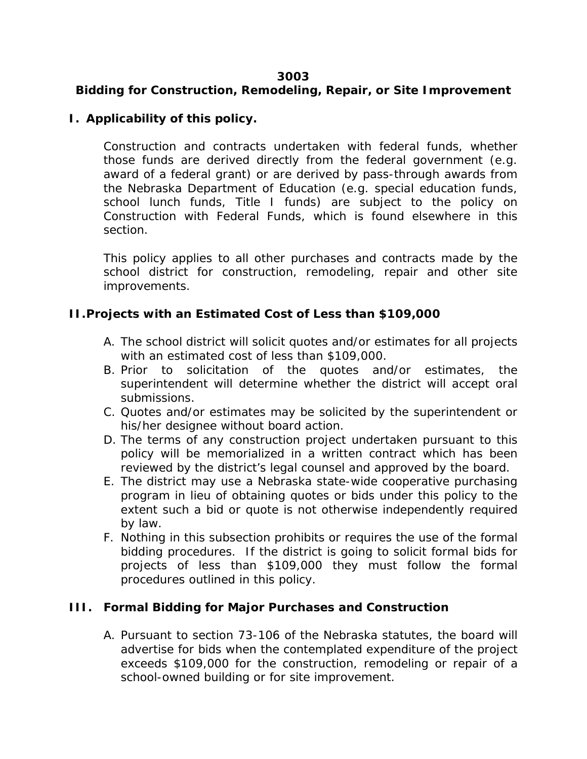#### **3003**

# **Bidding for Construction, Remodeling, Repair, or Site Improvement**

### **I. Applicability of this policy.**

Construction and contracts undertaken with federal funds, whether those funds are derived directly from the federal government (e.g. award of a federal grant) or are derived by pass-through awards from the Nebraska Department of Education (e.g. special education funds, school lunch funds, Title I funds) are subject to the policy on Construction with Federal Funds, which is found elsewhere in this section.

This policy applies to all other purchases and contracts made by the school district for construction, remodeling, repair and other site improvements.

#### **II.Projects with an Estimated Cost of Less than \$109,000**

- A. The school district will solicit quotes and/or estimates for all projects with an estimated cost of less than \$109,000.
- B. Prior to solicitation of the quotes and/or estimates, the superintendent will determine whether the district will accept oral submissions.
- C. Quotes and/or estimates may be solicited by the superintendent or his/her designee without board action.
- D. The terms of any construction project undertaken pursuant to this policy will be memorialized in a written contract which has been reviewed by the district's legal counsel and approved by the board.
- E. The district may use a Nebraska state-wide cooperative purchasing program in lieu of obtaining quotes or bids under this policy to the extent such a bid or quote is not otherwise independently required by law.
- F. Nothing in this subsection prohibits or requires the use of the formal bidding procedures. If the district is going to solicit formal bids for projects of less than \$109,000 they must follow the formal procedures outlined in this policy.

#### **III. Formal Bidding for Major Purchases and Construction**

A. Pursuant to section 73-106 of the Nebraska statutes, the board will advertise for bids when the contemplated expenditure of the project exceeds \$109,000 for the construction, remodeling or repair of a school-owned building or for site improvement.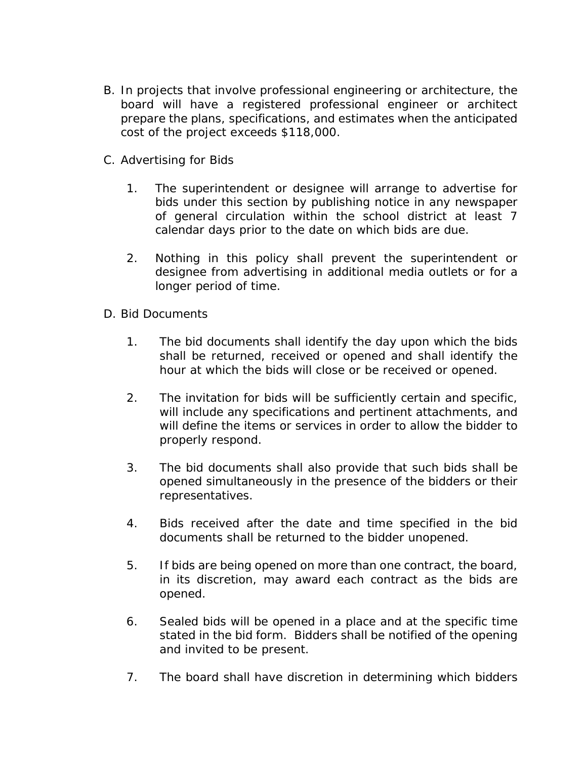- B. In projects that involve professional engineering or architecture, the board will have a registered professional engineer or architect prepare the plans, specifications, and estimates when the anticipated cost of the project exceeds \$118,000.
- C. Advertising for Bids
	- 1. The superintendent or designee will arrange to advertise for bids under this section by publishing notice in any newspaper of general circulation within the school district at least 7 calendar days prior to the date on which bids are due.
	- 2. Nothing in this policy shall prevent the superintendent or designee from advertising in additional media outlets or for a longer period of time.
- D. Bid Documents
	- 1. The bid documents shall identify the day upon which the bids shall be returned, received or opened and shall identify the hour at which the bids will close or be received or opened.
	- 2. The invitation for bids will be sufficiently certain and specific, will include any specifications and pertinent attachments, and will define the items or services in order to allow the bidder to properly respond.
	- 3. The bid documents shall also provide that such bids shall be opened simultaneously in the presence of the bidders or their representatives.
	- 4. Bids received after the date and time specified in the bid documents shall be returned to the bidder unopened.
	- 5. If bids are being opened on more than one contract, the board, in its discretion, may award each contract as the bids are opened.
	- 6. Sealed bids will be opened in a place and at the specific time stated in the bid form. Bidders shall be notified of the opening and invited to be present.
	- 7. The board shall have discretion in determining which bidders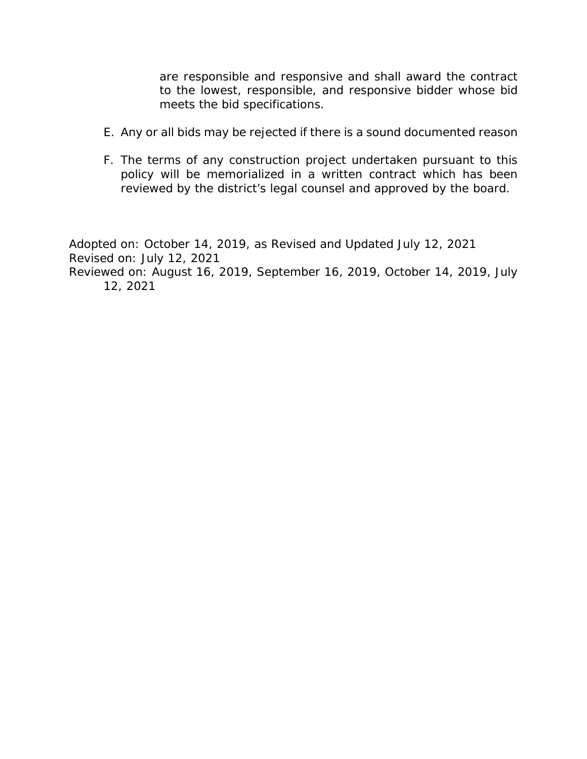are responsible and responsive and shall award the contract to the lowest, responsible, and responsive bidder whose bid meets the bid specifications.

- E. Any or all bids may be rejected if there is a sound documented reason
- F. The terms of any construction project undertaken pursuant to this policy will be memorialized in a written contract which has been reviewed by the district's legal counsel and approved by the board.

Adopted on: October 14, 2019, as Revised and Updated July 12, 2021 Revised on: July 12, 2021 Reviewed on: August 16, 2019, September 16, 2019, October 14, 2019, July 12, 2021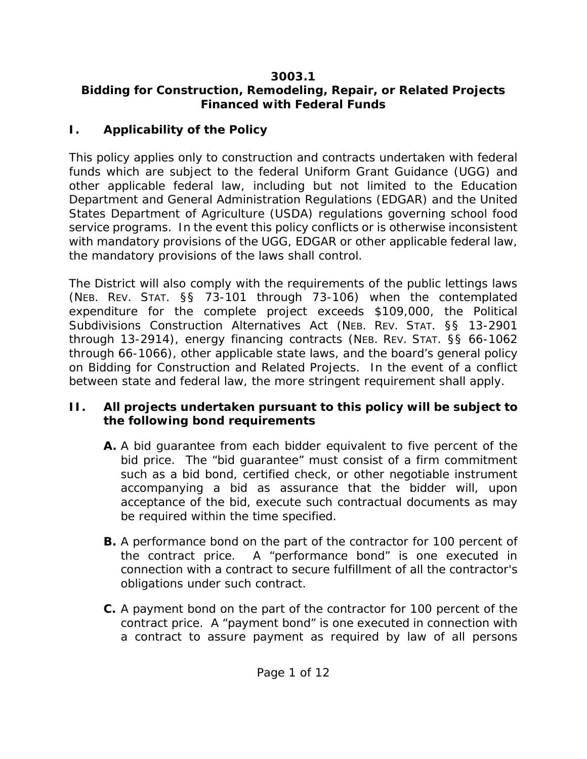# **3003.1**

# **Bidding for Construction, Remodeling, Repair, or Related Projects Financed with Federal Funds**

# **I. Applicability of the Policy**

This policy applies only to construction and contracts undertaken with federal funds which are subject to the federal Uniform Grant Guidance (UGG) and other applicable federal law, including but not limited to the Education Department and General Administration Regulations (EDGAR) and the United States Department of Agriculture (USDA) regulations governing school food service programs. In the event this policy conflicts or is otherwise inconsistent with mandatory provisions of the UGG, EDGAR or other applicable federal law, the mandatory provisions of the laws shall control.

The District will also comply with the requirements of the public lettings laws (NEB. REV. STAT. §§ 73-101 through 73-106) when the contemplated expenditure for the complete project exceeds \$109,000, the Political Subdivisions Construction Alternatives Act (NEB. REV. STAT. §§ 13-2901 through 13-2914), energy financing contracts (NEB. REV. STAT. §§ 66-1062 through 66-1066), other applicable state laws, and the board's general policy on Bidding for Construction and Related Projects. In the event of a conflict between state and federal law, the more stringent requirement shall apply.

# **II. All projects undertaken pursuant to this policy will be subject to the following bond requirements**

- **A.** A bid guarantee from each bidder equivalent to five percent of the bid price. The "bid guarantee" must consist of a firm commitment such as a bid bond, certified check, or other negotiable instrument accompanying a bid as assurance that the bidder will, upon acceptance of the bid, execute such contractual documents as may be required within the time specified.
- **B.** A performance bond on the part of the contractor for 100 percent of the contract price. A "performance bond" is one executed in connection with a contract to secure fulfillment of all the contractor's obligations under such contract.
- **C.** A payment bond on the part of the contractor for 100 percent of the contract price. A "payment bond" is one executed in connection with a contract to assure payment as required by law of all persons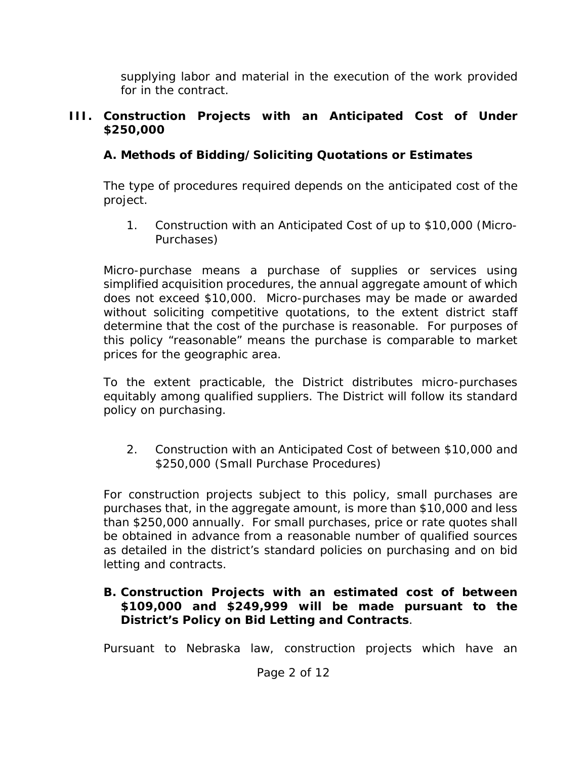supplying labor and material in the execution of the work provided for in the contract.

## **III. Construction Projects with an Anticipated Cost of Under \$250,000**

# **A. Methods of Bidding/Soliciting Quotations or Estimates**

The type of procedures required depends on the anticipated cost of the project.

1. Construction with an Anticipated Cost of up to \$10,000 (Micro-Purchases)

Micro-purchase means a purchase of supplies or services using simplified acquisition procedures, the annual aggregate amount of which does not exceed \$10,000. Micro-purchases may be made or awarded without soliciting competitive quotations, to the extent district staff determine that the cost of the purchase is reasonable. For purposes of this policy "reasonable" means the purchase is comparable to market prices for the geographic area.

To the extent practicable, the District distributes micro-purchases equitably among qualified suppliers. The District will follow its standard policy on purchasing.

2. Construction with an Anticipated Cost of between \$10,000 and \$250,000 (Small Purchase Procedures)

For construction projects subject to this policy, small purchases are purchases that, in the aggregate amount, is more than \$10,000 and less than \$250,000 annually. For small purchases, price or rate quotes shall be obtained in advance from a reasonable number of qualified sources as detailed in the district's standard policies on purchasing and on bid letting and contracts.

## **B. Construction Projects with an estimated cost of between \$109,000 and \$249,999 will be made pursuant to the District's Policy on Bid Letting and Contracts**.

Pursuant to Nebraska law, construction projects which have an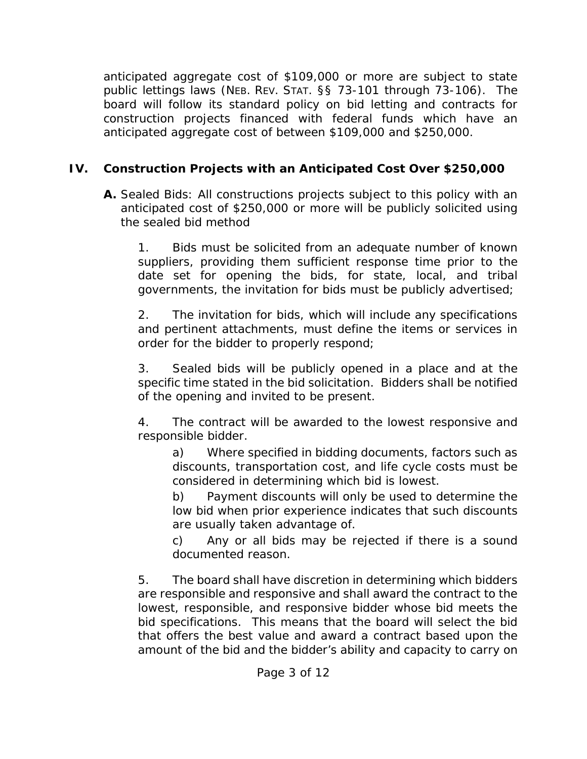anticipated aggregate cost of \$109,000 or more are subject to state public lettings laws (NEB. REV. STAT. §§ 73-101 through 73-106). The board will follow its standard policy on bid letting and contracts for construction projects financed with federal funds which have an anticipated aggregate cost of between \$109,000 and \$250,000.

# **IV. Construction Projects with an Anticipated Cost Over \$250,000**

**A.** Sealed Bids: All constructions projects subject to this policy with an anticipated cost of \$250,000 or more will be publicly solicited using the sealed bid method

1. Bids must be solicited from an adequate number of known suppliers, providing them sufficient response time prior to the date set for opening the bids, for state, local, and tribal governments, the invitation for bids must be publicly advertised;

2. The invitation for bids, which will include any specifications and pertinent attachments, must define the items or services in order for the bidder to properly respond;

3. Sealed bids will be publicly opened in a place and at the specific time stated in the bid solicitation. Bidders shall be notified of the opening and invited to be present.

4. The contract will be awarded to the lowest responsive and responsible bidder.

a) Where specified in bidding documents, factors such as discounts, transportation cost, and life cycle costs must be considered in determining which bid is lowest.

b) Payment discounts will only be used to determine the low bid when prior experience indicates that such discounts are usually taken advantage of.

c) Any or all bids may be rejected if there is a sound documented reason.

5. The board shall have discretion in determining which bidders are responsible and responsive and shall award the contract to the lowest, responsible, and responsive bidder whose bid meets the bid specifications. This means that the board will select the bid that offers the best value and award a contract based upon the amount of the bid and the bidder's ability and capacity to carry on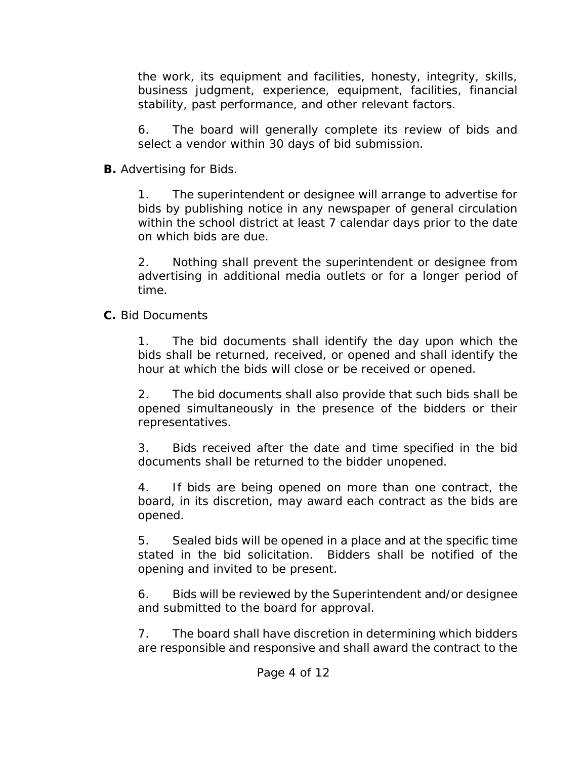the work, its equipment and facilities, honesty, integrity, skills, business judgment, experience, equipment, facilities, financial stability, past performance, and other relevant factors.

6. The board will generally complete its review of bids and select a vendor within 30 days of bid submission.

**B.** Advertising for Bids.

1. The superintendent or designee will arrange to advertise for bids by publishing notice in any newspaper of general circulation within the school district at least 7 calendar days prior to the date on which bids are due.

2. Nothing shall prevent the superintendent or designee from advertising in additional media outlets or for a longer period of time.

**C.** Bid Documents

1. The bid documents shall identify the day upon which the bids shall be returned, received, or opened and shall identify the hour at which the bids will close or be received or opened.

2. The bid documents shall also provide that such bids shall be opened simultaneously in the presence of the bidders or their representatives.

3. Bids received after the date and time specified in the bid documents shall be returned to the bidder unopened.

4. If bids are being opened on more than one contract, the board, in its discretion, may award each contract as the bids are opened.

5. Sealed bids will be opened in a place and at the specific time stated in the bid solicitation. Bidders shall be notified of the opening and invited to be present.

6. Bids will be reviewed by the Superintendent and/or designee and submitted to the board for approval.

7. The board shall have discretion in determining which bidders are responsible and responsive and shall award the contract to the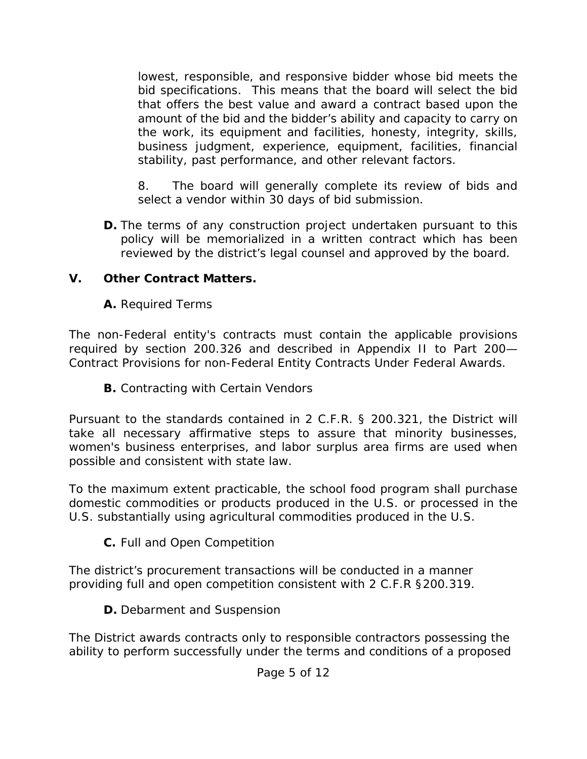lowest, responsible, and responsive bidder whose bid meets the bid specifications. This means that the board will select the bid that offers the best value and award a contract based upon the amount of the bid and the bidder's ability and capacity to carry on the work, its equipment and facilities, honesty, integrity, skills, business judgment, experience, equipment, facilities, financial stability, past performance, and other relevant factors.

8. The board will generally complete its review of bids and select a vendor within 30 days of bid submission.

**D.** The terms of any construction project undertaken pursuant to this policy will be memorialized in a written contract which has been reviewed by the district's legal counsel and approved by the board.

# **V. Other Contract Matters.**

**A.** Required Terms

The non-Federal entity's contracts must contain the applicable provisions required by section 200.326 and described in Appendix II to Part 200— Contract Provisions for non-Federal Entity Contracts Under Federal Awards.

**B.** Contracting with Certain Vendors

Pursuant to the standards contained in 2 C.F.R. § 200.321, the District will take all necessary affirmative steps to assure that minority businesses, women's business enterprises, and labor surplus area firms are used when possible and consistent with state law.

To the maximum extent practicable, the school food program shall purchase domestic commodities or products produced in the U.S. or processed in the U.S. substantially using agricultural commodities produced in the U.S.

**C.** Full and Open Competition

The district's procurement transactions will be conducted in a manner providing full and open competition consistent with 2 C.F.R §200.319.

**D.** Debarment and Suspension

The District awards contracts only to responsible contractors possessing the ability to perform successfully under the terms and conditions of a proposed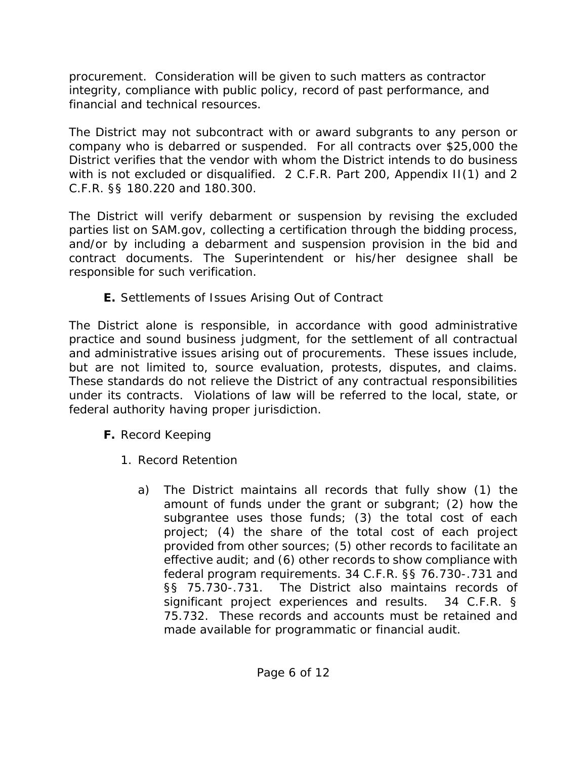procurement. Consideration will be given to such matters as contractor integrity, compliance with public policy, record of past performance, and financial and technical resources.

The District may not subcontract with or award subgrants to any person or company who is debarred or suspended. For all contracts over \$25,000 the District verifies that the vendor with whom the District intends to do business with is not excluded or disqualified. 2 C.F.R. Part 200, Appendix II(1) and 2 C.F.R. §§ 180.220 and 180.300.

The District will verify debarment or suspension by revising the excluded parties list on SAM.gov, collecting a certification through the bidding process, and/or by including a debarment and suspension provision in the bid and contract documents. The Superintendent or his/her designee shall be responsible for such verification.

**E.** Settlements of Issues Arising Out of Contract

The District alone is responsible, in accordance with good administrative practice and sound business judgment, for the settlement of all contractual and administrative issues arising out of procurements. These issues include, but are not limited to, source evaluation, protests, disputes, and claims. These standards do not relieve the District of any contractual responsibilities under its contracts. Violations of law will be referred to the local, state, or federal authority having proper jurisdiction.

- **F.** Record Keeping
	- 1. Record Retention
		- a) The District maintains all records that fully show (1) the amount of funds under the grant or subgrant; (2) how the subgrantee uses those funds; (3) the total cost of each project; (4) the share of the total cost of each project provided from other sources; (5) other records to facilitate an effective audit; and (6) other records to show compliance with federal program requirements. 34 C.F.R. §§ 76.730-.731 and §§ 75.730-.731. The District also maintains records of significant project experiences and results. 34 C.F.R. § 75.732. These records and accounts must be retained and made available for programmatic or financial audit.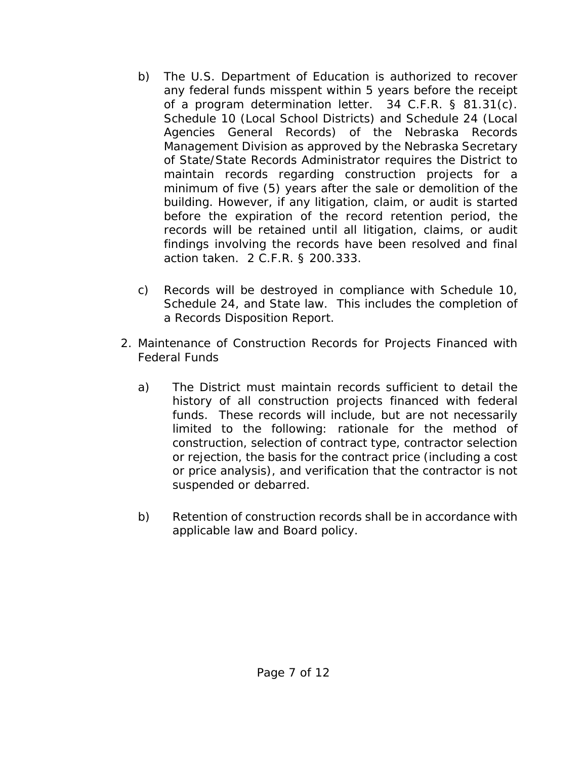- b) The U.S. Department of Education is authorized to recover any federal funds misspent within 5 years before the receipt of a program determination letter. 34 C.F.R. § 81.31(c). Schedule 10 (Local School Districts) and Schedule 24 (Local Agencies General Records) of the Nebraska Records Management Division as approved by the Nebraska Secretary of State/State Records Administrator requires the District to maintain records regarding construction projects for a minimum of five (5) years after the sale or demolition of the building. However, if any litigation, claim, or audit is started before the expiration of the record retention period, the records will be retained until all litigation, claims, or audit findings involving the records have been resolved and final action taken. 2 C.F.R. § 200.333.
- c) Records will be destroyed in compliance with Schedule 10, Schedule 24, and State law. This includes the completion of a Records Disposition Report.
- 2. Maintenance of Construction Records for Projects Financed with Federal Funds
	- a) The District must maintain records sufficient to detail the history of all construction projects financed with federal funds. These records will include, but are not necessarily limited to the following: rationale for the method of construction, selection of contract type, contractor selection or rejection, the basis for the contract price (including a cost or price analysis), and verification that the contractor is not suspended or debarred.
	- b) Retention of construction records shall be in accordance with applicable law and Board policy.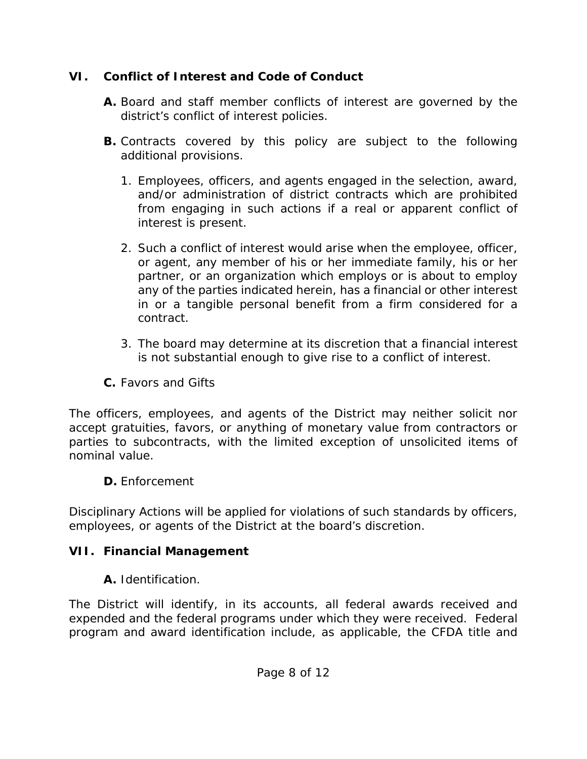# **VI. Conflict of Interest and Code of Conduct**

- **A.** Board and staff member conflicts of interest are governed by the district's conflict of interest policies.
- **B.** Contracts covered by this policy are subject to the following additional provisions.
	- 1. Employees, officers, and agents engaged in the selection, award, and/or administration of district contracts which are prohibited from engaging in such actions if a real or apparent conflict of interest is present.
	- 2. Such a conflict of interest would arise when the employee, officer, or agent, any member of his or her immediate family, his or her partner, or an organization which employs or is about to employ any of the parties indicated herein, has a financial or other interest in or a tangible personal benefit from a firm considered for a contract.
	- 3. The board may determine at its discretion that a financial interest is not substantial enough to give rise to a conflict of interest.
- **C.** Favors and Gifts

The officers, employees, and agents of the District may neither solicit nor accept gratuities, favors, or anything of monetary value from contractors or parties to subcontracts, with the limited exception of unsolicited items of nominal value.

**D.** Enforcement

Disciplinary Actions will be applied for violations of such standards by officers, employees, or agents of the District at the board's discretion.

# **VII. Financial Management**

**A.** Identification.

The District will identify, in its accounts, all federal awards received and expended and the federal programs under which they were received. Federal program and award identification include, as applicable, the CFDA title and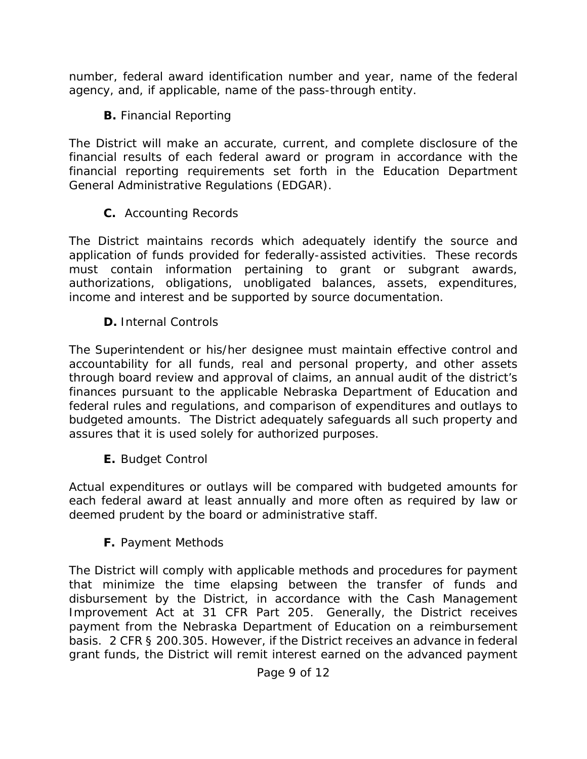number, federal award identification number and year, name of the federal agency, and, if applicable, name of the pass-through entity.

**B.** Financial Reporting

The District will make an accurate, current, and complete disclosure of the financial results of each federal award or program in accordance with the financial reporting requirements set forth in the Education Department General Administrative Regulations (EDGAR).

**C.** Accounting Records

The District maintains records which adequately identify the source and application of funds provided for federally-assisted activities. These records must contain information pertaining to grant or subgrant awards, authorizations, obligations, unobligated balances, assets, expenditures, income and interest and be supported by source documentation.

**D.** Internal Controls

The Superintendent or his/her designee must maintain effective control and accountability for all funds, real and personal property, and other assets through board review and approval of claims, an annual audit of the district's finances pursuant to the applicable Nebraska Department of Education and federal rules and regulations, and comparison of expenditures and outlays to budgeted amounts. The District adequately safeguards all such property and assures that it is used solely for authorized purposes.

**E.** Budget Control

Actual expenditures or outlays will be compared with budgeted amounts for each federal award at least annually and more often as required by law or deemed prudent by the board or administrative staff.

**F.** Payment Methods

The District will comply with applicable methods and procedures for payment that minimize the time elapsing between the transfer of funds and disbursement by the District, in accordance with the Cash Management Improvement Act at 31 CFR Part 205. Generally, the District receives payment from the Nebraska Department of Education on a reimbursement basis. 2 CFR § 200.305. However, if the District receives an advance in federal grant funds, the District will remit interest earned on the advanced payment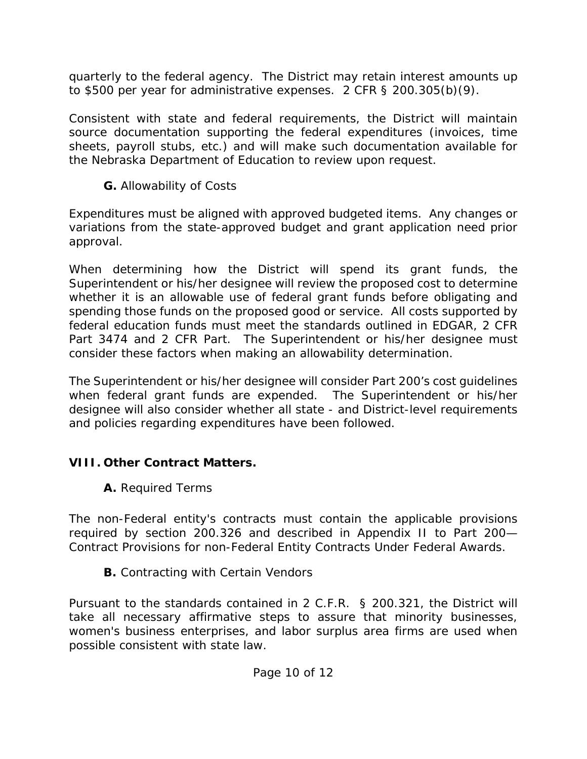quarterly to the federal agency. The District may retain interest amounts up to \$500 per year for administrative expenses. 2 CFR § 200.305(b)(9).

Consistent with state and federal requirements, the District will maintain source documentation supporting the federal expenditures (invoices, time sheets, payroll stubs, etc.) and will make such documentation available for the Nebraska Department of Education to review upon request.

**G.** Allowability of Costs

Expenditures must be aligned with approved budgeted items. Any changes or variations from the state-approved budget and grant application need prior approval.

When determining how the District will spend its grant funds, the Superintendent or his/her designee will review the proposed cost to determine whether it is an allowable use of federal grant funds before obligating and spending those funds on the proposed good or service. All costs supported by federal education funds must meet the standards outlined in EDGAR, 2 CFR Part 3474 and 2 CFR Part. The Superintendent or his/her designee must consider these factors when making an allowability determination.

The Superintendent or his/her designee will consider Part 200's cost guidelines when federal grant funds are expended. The Superintendent or his/her designee will also consider whether all state - and District-level requirements and policies regarding expenditures have been followed.

# **VIII. Other Contract Matters.**

**A.** Required Terms

The non-Federal entity's contracts must contain the applicable provisions required by section 200.326 and described in Appendix II to Part 200— Contract Provisions for non-Federal Entity Contracts Under Federal Awards.

**B.** Contracting with Certain Vendors

Pursuant to the standards contained in 2 C.F.R. § 200.321, the District will take all necessary affirmative steps to assure that minority businesses, women's business enterprises, and labor surplus area firms are used when possible consistent with state law.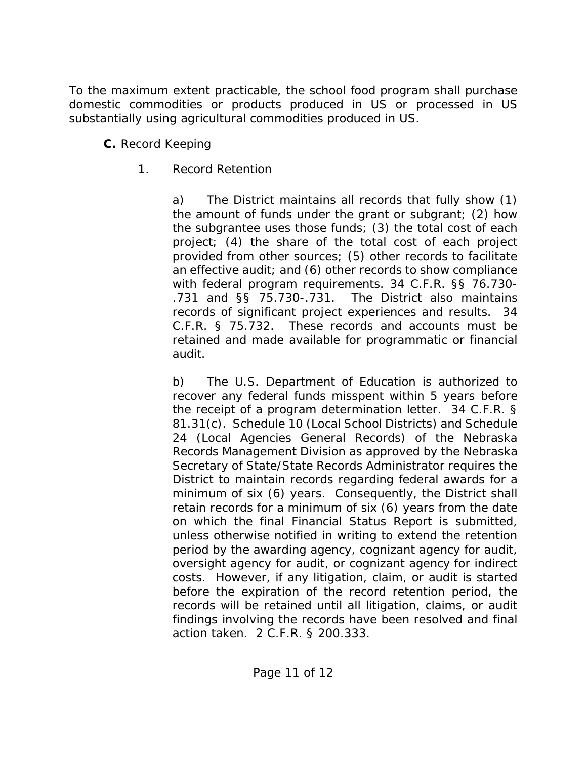To the maximum extent practicable, the school food program shall purchase domestic commodities or products produced in US or processed in US substantially using agricultural commodities produced in US.

- **C.** Record Keeping
	- 1. Record Retention

a) The District maintains all records that fully show (1) the amount of funds under the grant or subgrant; (2) how the subgrantee uses those funds; (3) the total cost of each project; (4) the share of the total cost of each project provided from other sources; (5) other records to facilitate an effective audit; and (6) other records to show compliance with federal program requirements. 34 C.F.R. §§ 76.730- .731 and §§ 75.730-.731. The District also maintains records of significant project experiences and results. 34 C.F.R. § 75.732. These records and accounts must be retained and made available for programmatic or financial audit.

b) The U.S. Department of Education is authorized to recover any federal funds misspent within 5 years before the receipt of a program determination letter. 34 C.F.R. § 81.31(c). Schedule 10 (Local School Districts) and Schedule 24 (Local Agencies General Records) of the Nebraska Records Management Division as approved by the Nebraska Secretary of State/State Records Administrator requires the District to maintain records regarding federal awards for a minimum of six (6) years. Consequently, the District shall retain records for a minimum of six (6) years from the date on which the final Financial Status Report is submitted, unless otherwise notified in writing to extend the retention period by the awarding agency, cognizant agency for audit, oversight agency for audit, or cognizant agency for indirect costs. However, if any litigation, claim, or audit is started before the expiration of the record retention period, the records will be retained until all litigation, claims, or audit findings involving the records have been resolved and final action taken. 2 C.F.R. § 200.333.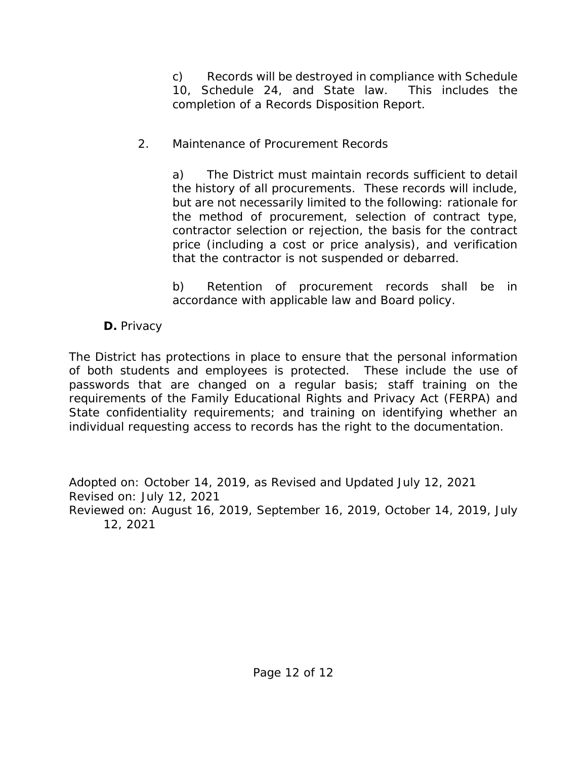c) Records will be destroyed in compliance with Schedule 10, Schedule 24, and State law. This includes the completion of a Records Disposition Report.

## 2. Maintenance of Procurement Records

a) The District must maintain records sufficient to detail the history of all procurements. These records will include, but are not necessarily limited to the following: rationale for the method of procurement, selection of contract type, contractor selection or rejection, the basis for the contract price (including a cost or price analysis), and verification that the contractor is not suspended or debarred.

b) Retention of procurement records shall be in accordance with applicable law and Board policy.

# **D.** Privacy

The District has protections in place to ensure that the personal information of both students and employees is protected. These include the use of passwords that are changed on a regular basis; staff training on the requirements of the Family Educational Rights and Privacy Act (FERPA) and State confidentiality requirements; and training on identifying whether an individual requesting access to records has the right to the documentation.

Adopted on: October 14, 2019, as Revised and Updated July 12, 2021 Revised on: July 12, 2021 Reviewed on: August 16, 2019, September 16, 2019, October 14, 2019, July 12, 2021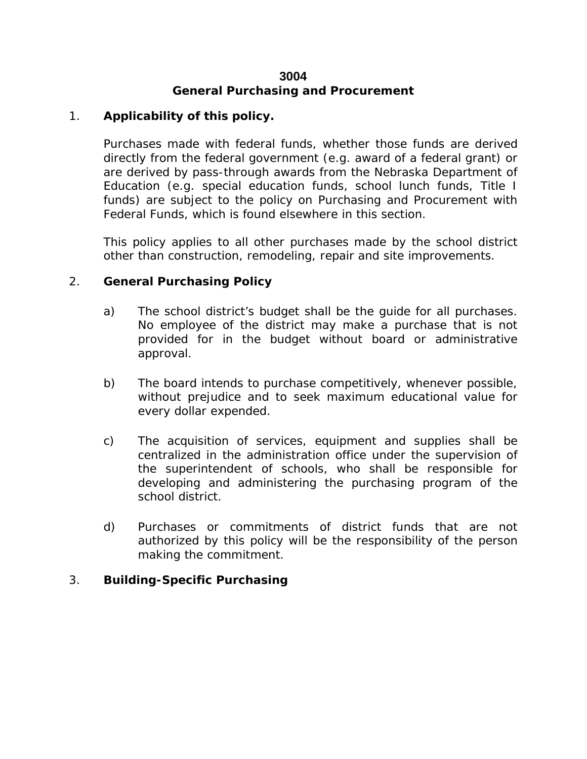#### **3004 General Purchasing and Procurement**

#### 1. **Applicability of this policy.**

Purchases made with federal funds, whether those funds are derived directly from the federal government (e.g. award of a federal grant) or are derived by pass-through awards from the Nebraska Department of Education (e.g. special education funds, school lunch funds, Title I funds) are subject to the policy on Purchasing and Procurement with Federal Funds, which is found elsewhere in this section.

This policy applies to all other purchases made by the school district other than construction, remodeling, repair and site improvements.

#### 2. **General Purchasing Policy**

- a) The school district's budget shall be the guide for all purchases. No employee of the district may make a purchase that is not provided for in the budget without board or administrative approval.
- b) The board intends to purchase competitively, whenever possible, without prejudice and to seek maximum educational value for every dollar expended.
- c) The acquisition of services, equipment and supplies shall be centralized in the administration office under the supervision of the superintendent of schools, who shall be responsible for developing and administering the purchasing program of the school district.
- d) Purchases or commitments of district funds that are not authorized by this policy will be the responsibility of the person making the commitment.

#### 3. **Building-Specific Purchasing**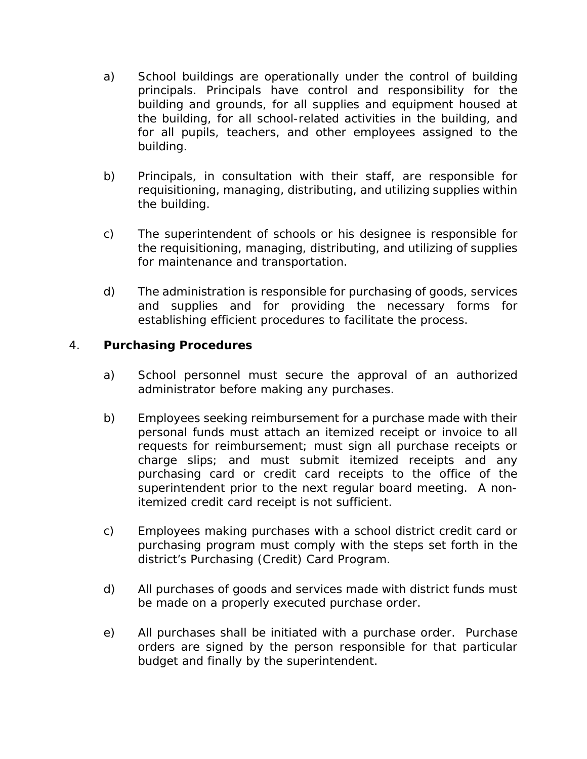- a) School buildings are operationally under the control of building principals. Principals have control and responsibility for the building and grounds, for all supplies and equipment housed at the building, for all school-related activities in the building, and for all pupils, teachers, and other employees assigned to the building.
- b) Principals, in consultation with their staff, are responsible for requisitioning, managing, distributing, and utilizing supplies within the building.
- c) The superintendent of schools or his designee is responsible for the requisitioning, managing, distributing, and utilizing of supplies for maintenance and transportation.
- d) The administration is responsible for purchasing of goods, services and supplies and for providing the necessary forms for establishing efficient procedures to facilitate the process.

### 4. **Purchasing Procedures**

- a) School personnel must secure the approval of an authorized administrator before making any purchases.
- b) Employees seeking reimbursement for a purchase made with their personal funds must attach an itemized receipt or invoice to all requests for reimbursement; must sign all purchase receipts or charge slips; and must submit itemized receipts and any purchasing card or credit card receipts to the office of the superintendent prior to the next regular board meeting. A nonitemized credit card receipt is not sufficient.
- c) Employees making purchases with a school district credit card or purchasing program must comply with the steps set forth in the district's Purchasing (Credit) Card Program.
- d) All purchases of goods and services made with district funds must be made on a properly executed purchase order.
- e) All purchases shall be initiated with a purchase order. Purchase orders are signed by the person responsible for that particular budget and finally by the superintendent.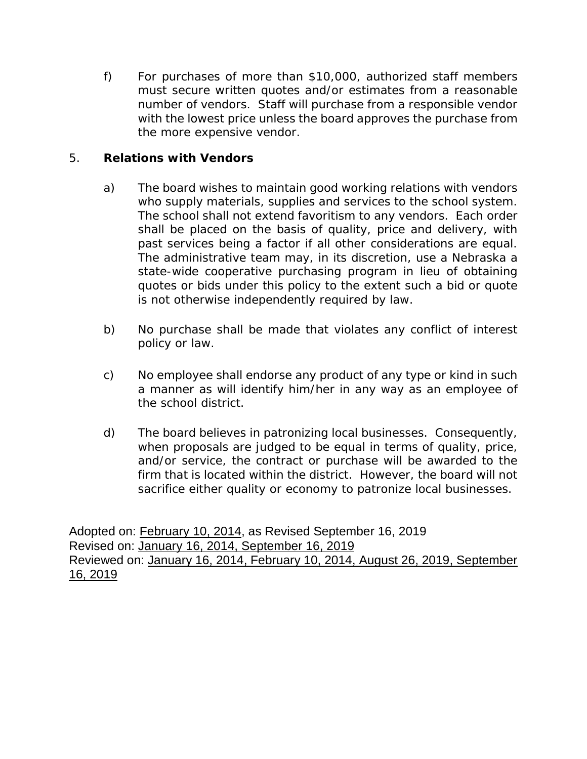f) For purchases of more than \$10,000, authorized staff members must secure written quotes and/or estimates from a reasonable number of vendors. Staff will purchase from a responsible vendor with the lowest price unless the board approves the purchase from the more expensive vendor.

#### 5. **Relations with Vendors**

- a) The board wishes to maintain good working relations with vendors who supply materials, supplies and services to the school system. The school shall not extend favoritism to any vendors. Each order shall be placed on the basis of quality, price and delivery, with past services being a factor if all other considerations are equal. The administrative team may, in its discretion, use a Nebraska a state-wide cooperative purchasing program in lieu of obtaining quotes or bids under this policy to the extent such a bid or quote is not otherwise independently required by law.
- b) No purchase shall be made that violates any conflict of interest policy or law.
- c) *No employee shall endorse any product of any type or kind in such a manner as will identify him/her in any way as an employee of the school district.*
- d) *The board believes in patronizing local businesses. Consequently, when proposals are judged to be equal in terms of quality, price, and/or service, the contract or purchase will be awarded to the firm that is located within the district. However, the board will not sacrifice either quality or economy to patronize local businesses.*

Adopted on: February 10, 2014, as Revised September 16, 2019 Revised on: January 16, 2014, September 16, 2019 Reviewed on: January 16, 2014, February 10, 2014, August 26, 2019, September 16, 2019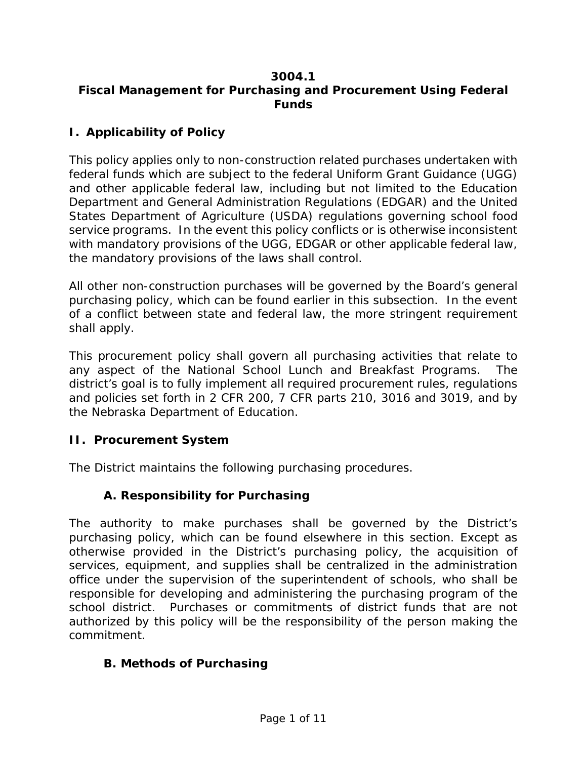#### **3004.1 Fiscal Management for Purchasing and Procurement Using Federal Funds**

### **I. Applicability of Policy**

This policy applies only to non-construction related purchases undertaken with federal funds which are subject to the federal Uniform Grant Guidance (UGG) and other applicable federal law, including but not limited to the Education Department and General Administration Regulations (EDGAR) and the United States Department of Agriculture (USDA) regulations governing school food service programs. In the event this policy conflicts or is otherwise inconsistent with mandatory provisions of the UGG, EDGAR or other applicable federal law, the mandatory provisions of the laws shall control.

All other non-construction purchases will be governed by the Board's general purchasing policy, which can be found earlier in this subsection. In the event of a conflict between state and federal law, the more stringent requirement shall apply.

This procurement policy shall govern all purchasing activities that relate to any aspect of the National School Lunch and Breakfast Programs. The district's goal is to fully implement all required procurement rules, regulations and policies set forth in 2 CFR 200, 7 CFR parts 210, 3016 and 3019, and by the Nebraska Department of Education.

#### **II. Procurement System**

The District maintains the following purchasing procedures.

### **A. Responsibility for Purchasing**

The authority to make purchases shall be governed by the District's purchasing policy, which can be found elsewhere in this section. Except as otherwise provided in the District's purchasing policy, the acquisition of services, equipment, and supplies shall be centralized in the administration office under the supervision of the superintendent of schools, who shall be responsible for developing and administering the purchasing program of the school district. Purchases or commitments of district funds that are not authorized by this policy will be the responsibility of the person making the commitment.

### **B. Methods of Purchasing**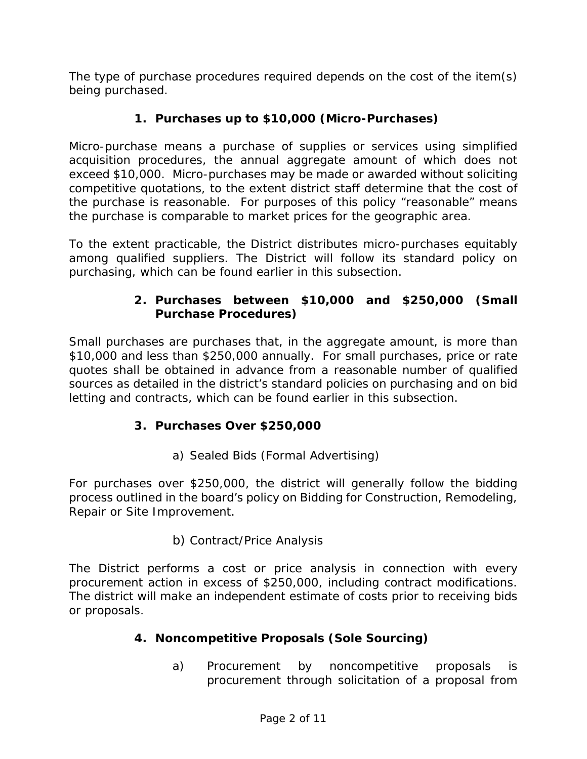The type of purchase procedures required depends on the cost of the item(s) being purchased.

## **1. Purchases up to \$10,000 (Micro-Purchases)**

Micro-purchase means a purchase of supplies or services using simplified acquisition procedures, the annual aggregate amount of which does not exceed \$10,000. Micro-purchases may be made or awarded without soliciting competitive quotations, to the extent district staff determine that the cost of the purchase is reasonable. For purposes of this policy "reasonable" means the purchase is comparable to market prices for the geographic area.

To the extent practicable, the District distributes micro-purchases equitably among qualified suppliers. The District will follow its standard policy on purchasing, which can be found earlier in this subsection.

## **2. Purchases between \$10,000 and \$250,000 (Small Purchase Procedures)**

Small purchases are purchases that, in the aggregate amount, is more than \$10,000 and less than \$250,000 annually. For small purchases, price or rate quotes shall be obtained in advance from a reasonable number of qualified sources as detailed in the district's standard policies on purchasing and on bid letting and contracts, which can be found earlier in this subsection.

# **3. Purchases Over \$250,000**

a) Sealed Bids (Formal Advertising)

For purchases over \$250,000, the district will generally follow the bidding process outlined in the board's policy on Bidding for Construction, Remodeling, Repair or Site Improvement.

### b) Contract/Price Analysis

The District performs a cost or price analysis in connection with every procurement action in excess of \$250,000, including contract modifications. The district will make an independent estimate of costs prior to receiving bids or proposals.

### **4. Noncompetitive Proposals (Sole Sourcing)**

a) Procurement by noncompetitive proposals is procurement through solicitation of a proposal from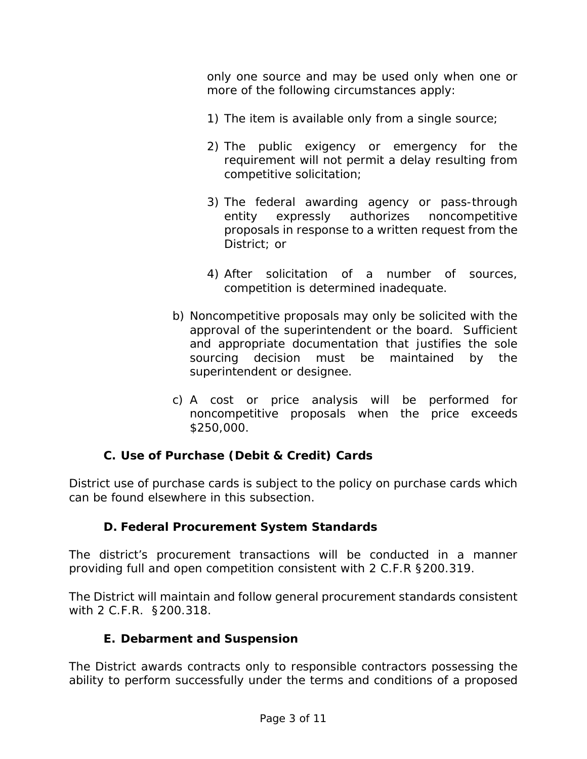only one source and may be used only when one or more of the following circumstances apply:

- 1) The item is available only from a single source;
- 2) The public exigency or emergency for the requirement will not permit a delay resulting from competitive solicitation;
- 3) The federal awarding agency or pass-through entity expressly authorizes noncompetitive proposals in response to a written request from the District; or
- 4) After solicitation of a number of sources, competition is determined inadequate.
- b) Noncompetitive proposals may only be solicited with the approval of the superintendent or the board. Sufficient and appropriate documentation that justifies the sole sourcing decision must be maintained by the superintendent or designee.
- c) A cost or price analysis will be performed for noncompetitive proposals when the price exceeds \$250,000.

# **C. Use of Purchase (Debit & Credit) Cards**

District use of purchase cards is subject to the policy on purchase cards which can be found elsewhere in this subsection.

### **D. Federal Procurement System Standards**

The district's procurement transactions will be conducted in a manner providing full and open competition consistent with 2 C.F.R §200.319.

The District will maintain and follow general procurement standards consistent with 2 C.F.R. §200.318.

### **E. Debarment and Suspension**

The District awards contracts only to responsible contractors possessing the ability to perform successfully under the terms and conditions of a proposed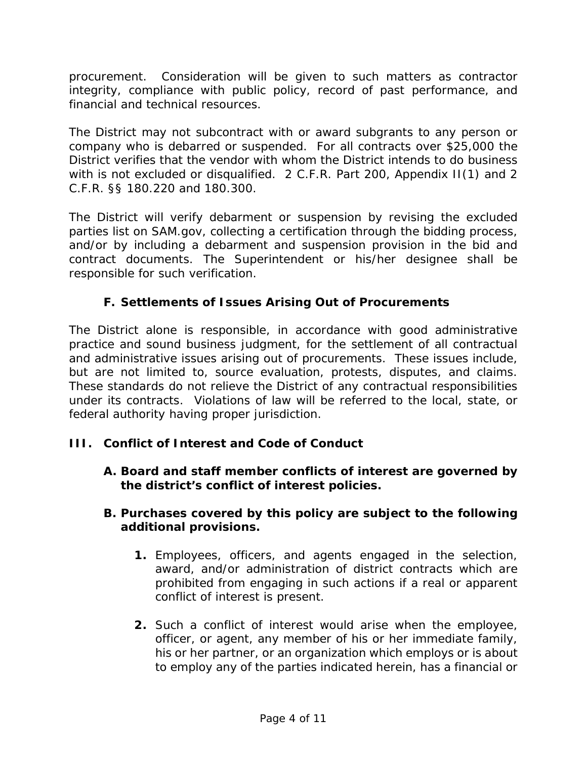procurement. Consideration will be given to such matters as contractor integrity, compliance with public policy, record of past performance, and financial and technical resources.

The District may not subcontract with or award subgrants to any person or company who is debarred or suspended. For all contracts over \$25,000 the District verifies that the vendor with whom the District intends to do business with is not excluded or disqualified. 2 C.F.R. Part 200, Appendix II(1) and 2 C.F.R. §§ 180.220 and 180.300.

The District will verify debarment or suspension by revising the excluded parties list on SAM.gov, collecting a certification through the bidding process, and/or by including a debarment and suspension provision in the bid and contract documents. The Superintendent or his/her designee shall be responsible for such verification.

## **F. Settlements of Issues Arising Out of Procurements**

The District alone is responsible, in accordance with good administrative practice and sound business judgment, for the settlement of all contractual and administrative issues arising out of procurements. These issues include, but are not limited to, source evaluation, protests, disputes, and claims. These standards do not relieve the District of any contractual responsibilities under its contracts. Violations of law will be referred to the local, state, or federal authority having proper jurisdiction.

### **III. Conflict of Interest and Code of Conduct**

**A. Board and staff member conflicts of interest are governed by the district's conflict of interest policies.** 

#### **B. Purchases covered by this policy are subject to the following additional provisions.**

- **1.** Employees, officers, and agents engaged in the selection, award, and/or administration of district contracts which are prohibited from engaging in such actions if a real or apparent conflict of interest is present.
- **2.** Such a conflict of interest would arise when the employee, officer, or agent, any member of his or her immediate family, his or her partner, or an organization which employs or is about to employ any of the parties indicated herein, has a financial or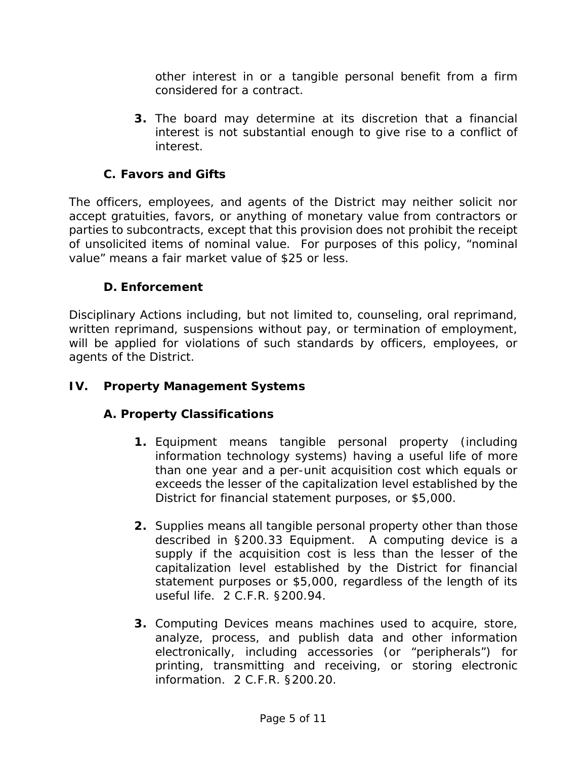other interest in or a tangible personal benefit from a firm considered for a contract.

**3.** The board may determine at its discretion that a financial interest is not substantial enough to give rise to a conflict of interest.

## **C. Favors and Gifts**

The officers, employees, and agents of the District may neither solicit nor accept gratuities, favors, or anything of monetary value from contractors or parties to subcontracts, except that this provision does not prohibit the receipt of unsolicited items of nominal value. For purposes of this policy, "nominal value" means a fair market value of \$25 or less.

### **D. Enforcement**

Disciplinary Actions including, but not limited to, counseling, oral reprimand, written reprimand, suspensions without pay, or termination of employment, will be applied for violations of such standards by officers, employees, or agents of the District.

#### **IV. Property Management Systems**

### **A. Property Classifications**

- **1.** Equipment means tangible personal property (including information technology systems) having a useful life of more than one year and a per-unit acquisition cost which equals or exceeds the lesser of the capitalization level established by the District for financial statement purposes, or \$5,000.
- **2.** Supplies means all tangible personal property other than those described in §200.33 Equipment. A computing device is a supply if the acquisition cost is less than the lesser of the capitalization level established by the District for financial statement purposes or \$5,000, regardless of the length of its useful life. 2 C.F.R. §200.94.
- **3.** Computing Devices means machines used to acquire, store, analyze, process, and publish data and other information electronically, including accessories (or "peripherals") for printing, transmitting and receiving, or storing electronic information. 2 C.F.R. §200.20.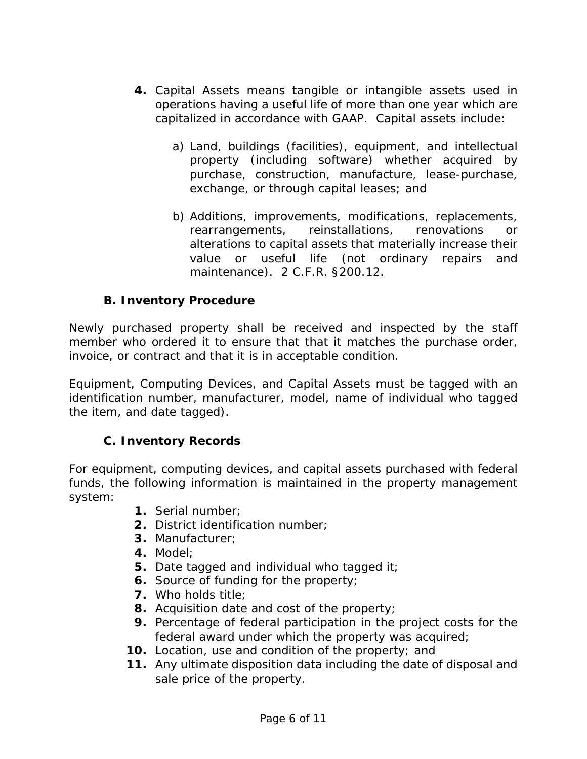- **4.** Capital Assets means tangible or intangible assets used in operations having a useful life of more than one year which are capitalized in accordance with GAAP. Capital assets include:
	- a) Land, buildings (facilities), equipment, and intellectual property (including software) whether acquired by purchase, construction, manufacture, lease-purchase, exchange, or through capital leases; and
	- b) Additions, improvements, modifications, replacements, rearrangements, reinstallations, renovations or alterations to capital assets that materially increase their value or useful life (not ordinary repairs and maintenance). 2 C.F.R. §200.12.

### **B. Inventory Procedure**

Newly purchased property shall be received and inspected by the staff member who ordered it to ensure that that it matches the purchase order, invoice, or contract and that it is in acceptable condition.

Equipment, Computing Devices, and Capital Assets must be tagged with an identification number, manufacturer, model, name of individual who tagged the item, and date tagged).

#### **C. Inventory Records**

For equipment, computing devices, and capital assets purchased with federal funds, the following information is maintained in the property management system:

- **1.** Serial number;
- **2.** District identification number;
- **3.** Manufacturer;
- **4.** Model;
- **5.** Date tagged and individual who tagged it;
- **6.** Source of funding for the property;
- **7.** Who holds title;
- **8.** Acquisition date and cost of the property;
- **9.** Percentage of federal participation in the project costs for the federal award under which the property was acquired;
- **10.** Location, use and condition of the property; and
- **11.** Any ultimate disposition data including the date of disposal and sale price of the property.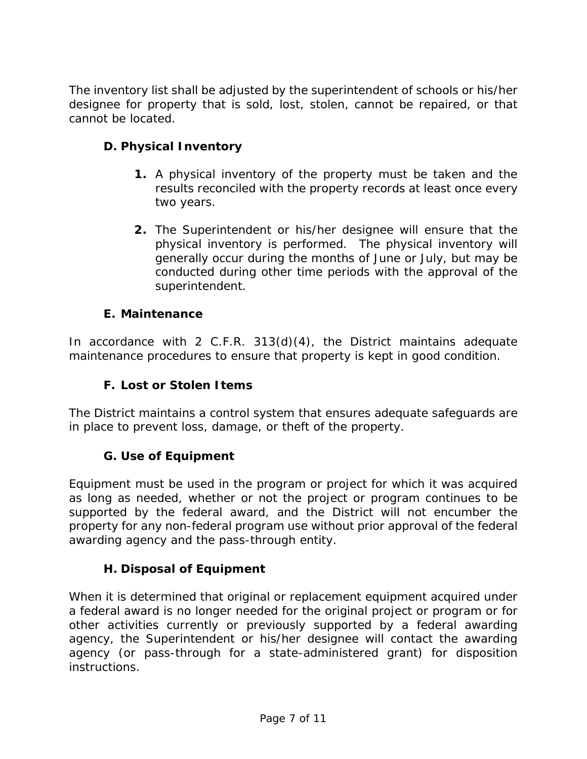The inventory list shall be adjusted by the superintendent of schools or his/her designee for property that is sold, lost, stolen, cannot be repaired, or that cannot be located.

## **D. Physical Inventory**

- **1.** A physical inventory of the property must be taken and the results reconciled with the property records at least once every two years.
- **2.** The Superintendent or his/her designee will ensure that the physical inventory is performed. The physical inventory will generally occur during the months of June or July, but may be conducted during other time periods with the approval of the superintendent.

### **E. Maintenance**

In accordance with 2 C.F.R. 313(d)(4), the District maintains adequate maintenance procedures to ensure that property is kept in good condition.

## **F. Lost or Stolen Items**

The District maintains a control system that ensures adequate safeguards are in place to prevent loss, damage, or theft of the property.

### **G. Use of Equipment**

Equipment must be used in the program or project for which it was acquired as long as needed, whether or not the project or program continues to be supported by the federal award, and the District will not encumber the property for any non-federal program use without prior approval of the federal awarding agency and the pass-through entity.

### **H. Disposal of Equipment**

When it is determined that original or replacement equipment acquired under a federal award is no longer needed for the original project or program or for other activities currently or previously supported by a federal awarding agency, the Superintendent or his/her designee will contact the awarding agency (or pass-through for a state-administered grant) for disposition instructions.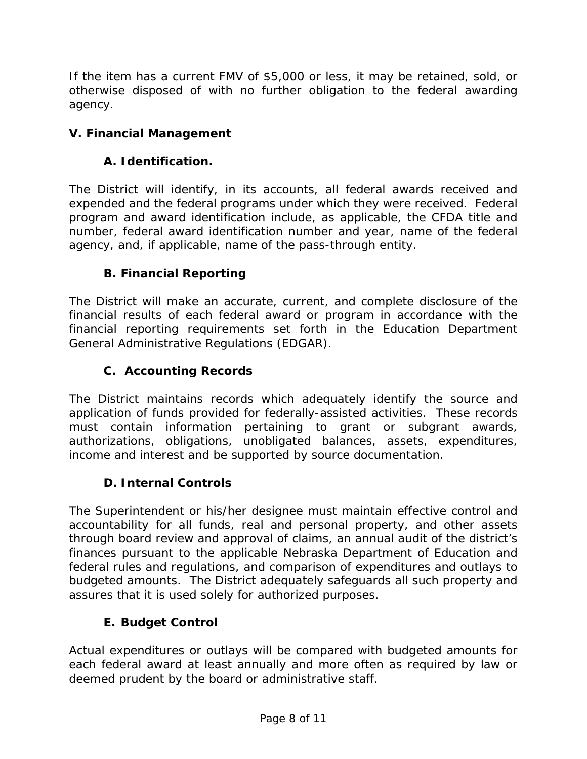If the item has a current FMV of \$5,000 or less, it may be retained, sold, or otherwise disposed of with no further obligation to the federal awarding agency.

# **V. Financial Management**

## **A. Identification.**

The District will identify, in its accounts, all federal awards received and expended and the federal programs under which they were received. Federal program and award identification include, as applicable, the CFDA title and number, federal award identification number and year, name of the federal agency, and, if applicable, name of the pass-through entity.

## **B. Financial Reporting**

The District will make an accurate, current, and complete disclosure of the financial results of each federal award or program in accordance with the financial reporting requirements set forth in the Education Department General Administrative Regulations (EDGAR).

## **C. Accounting Records**

The District maintains records which adequately identify the source and application of funds provided for federally-assisted activities. These records must contain information pertaining to grant or subgrant awards, authorizations, obligations, unobligated balances, assets, expenditures, income and interest and be supported by source documentation.

### **D. Internal Controls**

The Superintendent or his/her designee must maintain effective control and accountability for all funds, real and personal property, and other assets through board review and approval of claims, an annual audit of the district's finances pursuant to the applicable Nebraska Department of Education and federal rules and regulations, and comparison of expenditures and outlays to budgeted amounts. The District adequately safeguards all such property and assures that it is used solely for authorized purposes.

### **E. Budget Control**

Actual expenditures or outlays will be compared with budgeted amounts for each federal award at least annually and more often as required by law or deemed prudent by the board or administrative staff.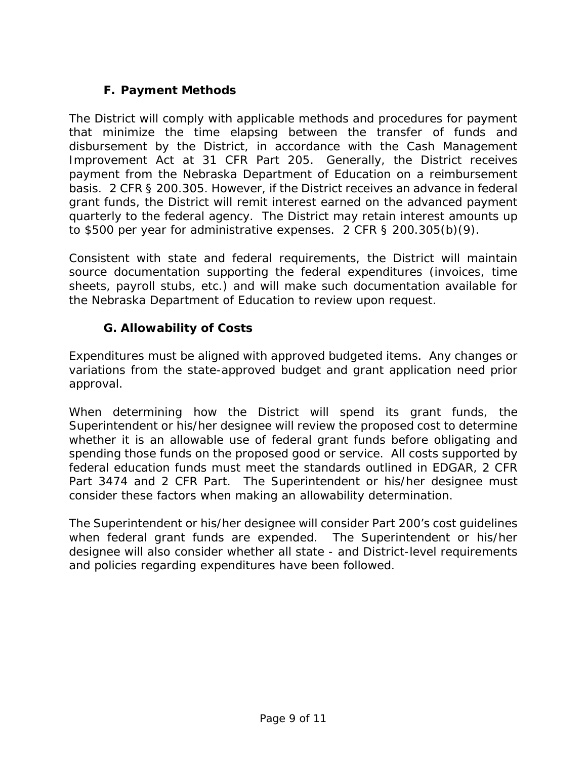# **F. Payment Methods**

The District will comply with applicable methods and procedures for payment that minimize the time elapsing between the transfer of funds and disbursement by the District, in accordance with the Cash Management Improvement Act at 31 CFR Part 205. Generally, the District receives payment from the Nebraska Department of Education on a reimbursement basis. 2 CFR § 200.305. However, if the District receives an advance in federal grant funds, the District will remit interest earned on the advanced payment quarterly to the federal agency. The District may retain interest amounts up to \$500 per year for administrative expenses. 2 CFR § 200.305(b)(9).

Consistent with state and federal requirements, the District will maintain source documentation supporting the federal expenditures (invoices, time sheets, payroll stubs, etc.) and will make such documentation available for the Nebraska Department of Education to review upon request.

## **G. Allowability of Costs**

Expenditures must be aligned with approved budgeted items. Any changes or variations from the state-approved budget and grant application need prior approval.

When determining how the District will spend its grant funds, the Superintendent or his/her designee will review the proposed cost to determine whether it is an allowable use of federal grant funds before obligating and spending those funds on the proposed good or service. All costs supported by federal education funds must meet the standards outlined in EDGAR, 2 CFR Part 3474 and 2 CFR Part. The Superintendent or his/her designee must consider these factors when making an allowability determination.

The Superintendent or his/her designee will consider Part 200's cost guidelines when federal grant funds are expended. The Superintendent or his/her designee will also consider whether all state - and District-level requirements and policies regarding expenditures have been followed.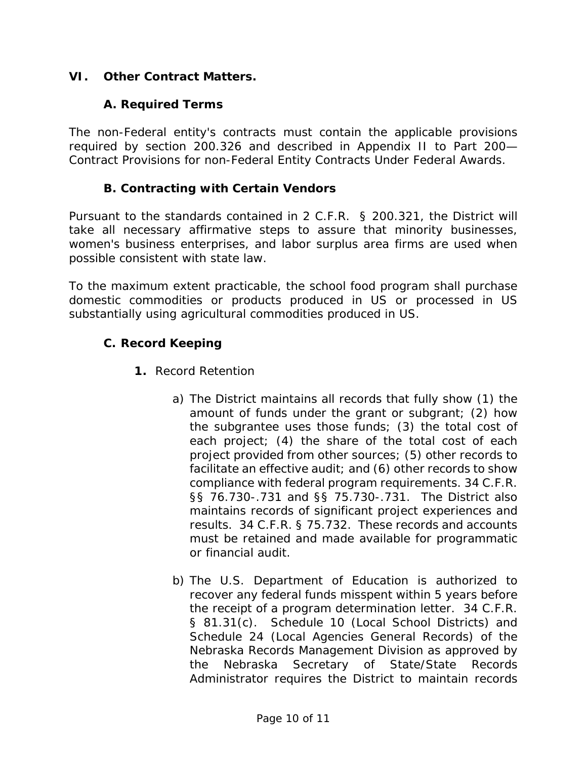### **VI. Other Contract Matters.**

#### **A. Required Terms**

The non-Federal entity's contracts must contain the applicable provisions required by section 200.326 and described in Appendix II to Part 200— Contract Provisions for non-Federal Entity Contracts Under Federal Awards.

#### **B. Contracting with Certain Vendors**

Pursuant to the standards contained in 2 C.F.R. § 200.321, the District will take all necessary affirmative steps to assure that minority businesses, women's business enterprises, and labor surplus area firms are used when possible consistent with state law.

To the maximum extent practicable, the school food program shall purchase domestic commodities or products produced in US or processed in US substantially using agricultural commodities produced in US.

#### **C. Record Keeping**

- **1.** Record Retention
	- a) The District maintains all records that fully show (1) the amount of funds under the grant or subgrant; (2) how the subgrantee uses those funds; (3) the total cost of each project; (4) the share of the total cost of each project provided from other sources; (5) other records to facilitate an effective audit; and (6) other records to show compliance with federal program requirements. 34 C.F.R. §§ 76.730-.731 and §§ 75.730-.731. The District also maintains records of significant project experiences and results. 34 C.F.R. § 75.732. These records and accounts must be retained and made available for programmatic or financial audit.
	- b) The U.S. Department of Education is authorized to recover any federal funds misspent within 5 years before the receipt of a program determination letter. 34 C.F.R. § 81.31(c). Schedule 10 (Local School Districts) and Schedule 24 (Local Agencies General Records) of the Nebraska Records Management Division as approved by the Nebraska Secretary of State/State Records Administrator requires the District to maintain records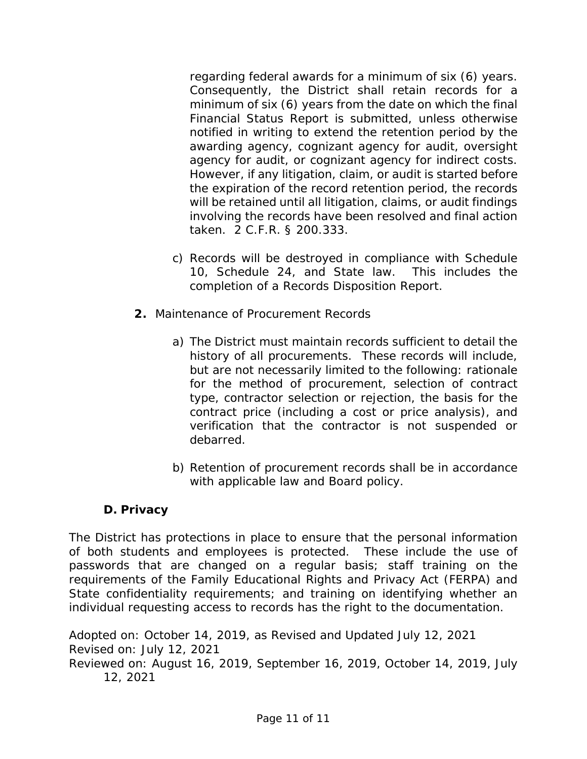regarding federal awards for a minimum of six (6) years. Consequently, the District shall retain records for a minimum of six (6) years from the date on which the final Financial Status Report is submitted, unless otherwise notified in writing to extend the retention period by the awarding agency, cognizant agency for audit, oversight agency for audit, or cognizant agency for indirect costs. However, if any litigation, claim, or audit is started before the expiration of the record retention period, the records will be retained until all litigation, claims, or audit findings involving the records have been resolved and final action taken. 2 C.F.R. § 200.333.

- c) Records will be destroyed in compliance with Schedule 10, Schedule 24, and State law. This includes the completion of a Records Disposition Report.
- **2.** Maintenance of Procurement Records
	- a) The District must maintain records sufficient to detail the history of all procurements. These records will include, but are not necessarily limited to the following: rationale for the method of procurement, selection of contract type, contractor selection or rejection, the basis for the contract price (including a cost or price analysis), and verification that the contractor is not suspended or debarred.
	- b) Retention of procurement records shall be in accordance with applicable law and Board policy.

### **D. Privacy**

The District has protections in place to ensure that the personal information of both students and employees is protected. These include the use of passwords that are changed on a regular basis; staff training on the requirements of the Family Educational Rights and Privacy Act (FERPA) and State confidentiality requirements; and training on identifying whether an individual requesting access to records has the right to the documentation.

Adopted on: October 14, 2019, as Revised and Updated July 12, 2021 Revised on: July 12, 2021 Reviewed on: August 16, 2019, September 16, 2019, October 14, 2019, July 12, 2021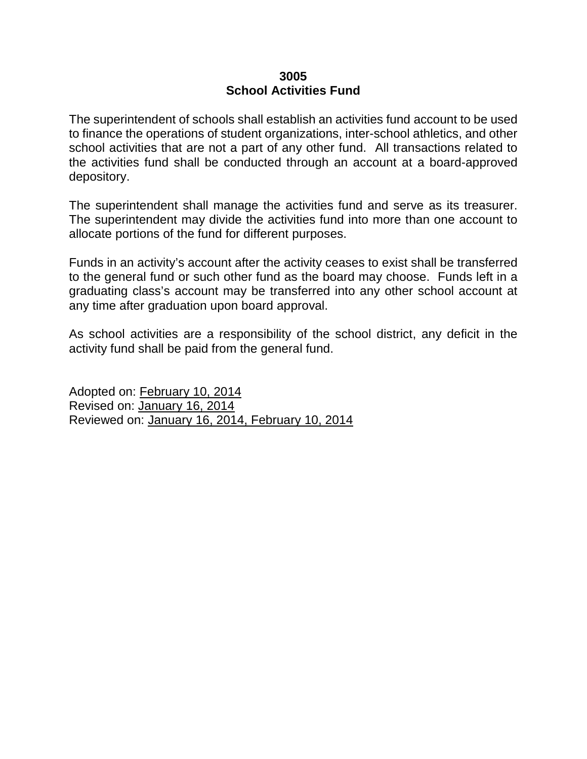# **3005 School Activities Fund**

The superintendent of schools shall establish an activities fund account to be used to finance the operations of student organizations, inter-school athletics, and other school activities that are not a part of any other fund. All transactions related to the activities fund shall be conducted through an account at a board-approved depository.

The superintendent shall manage the activities fund and serve as its treasurer. The superintendent may divide the activities fund into more than one account to allocate portions of the fund for different purposes.

Funds in an activity's account after the activity ceases to exist shall be transferred to the general fund or such other fund as the board may choose. Funds left in a graduating class's account may be transferred into any other school account at any time after graduation upon board approval.

As school activities are a responsibility of the school district, any deficit in the activity fund shall be paid from the general fund.

Adopted on: February 10, 2014 Revised on: January 16, 2014 Reviewed on: January 16, 2014, February 10, 2014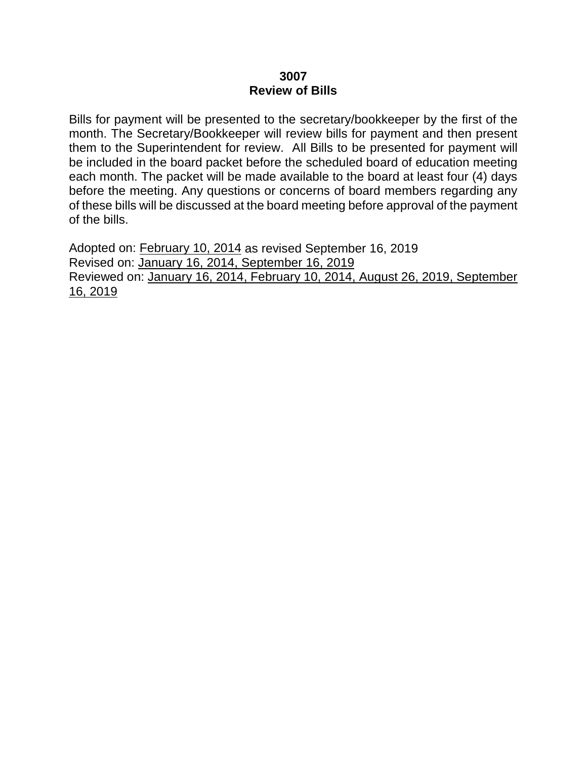#### **3007 Review of Bills**

Bills for payment will be presented to the secretary/bookkeeper by the first of the month. The Secretary/Bookkeeper will review bills for payment and then present them to the Superintendent for review. All Bills to be presented for payment will be included in the board packet before the scheduled board of education meeting each month. The packet will be made available to the board at least four (4) days before the meeting. Any questions or concerns of board members regarding any of these bills will be discussed at the board meeting before approval of the payment of the bills.

Adopted on: February 10, 2014 as revised September 16, 2019 Revised on: January 16, 2014, September 16, 2019 Reviewed on: January 16, 2014, February 10, 2014, August 26, 2019, September 16, 2019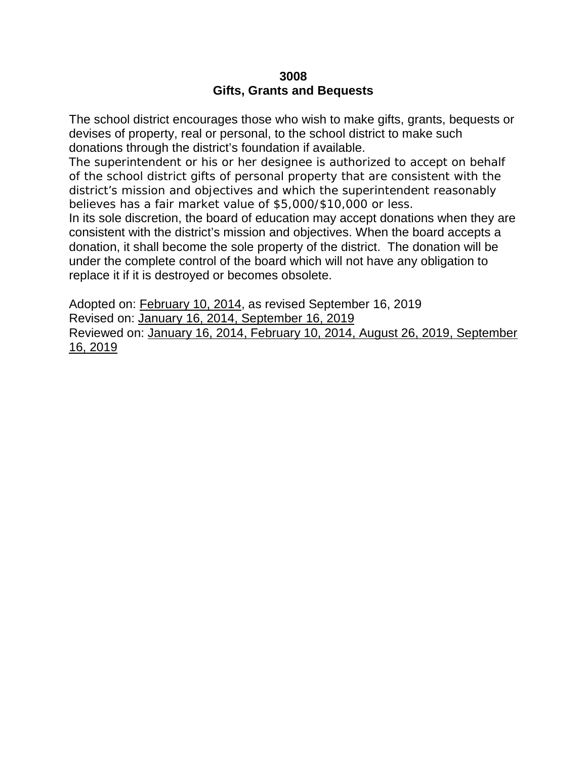# **3008 Gifts, Grants and Bequests**

The school district encourages those who wish to make gifts, grants, bequests or devises of property, real or personal, to the school district to make such donations through the district's foundation if available.

The superintendent or his or her designee is authorized to accept on behalf of the school district gifts of personal property that are consistent with the district's mission and objectives and which the superintendent reasonably believes has a fair market value of \$5,000/\$10,000 or less.

In its sole discretion, the board of education may accept donations when they are consistent with the district's mission and objectives. When the board accepts a donation, it shall become the sole property of the district. The donation will be under the complete control of the board which will not have any obligation to replace it if it is destroyed or becomes obsolete.

Adopted on: February 10, 2014, as revised September 16, 2019 Revised on: January 16, 2014, September 16, 2019 Reviewed on: January 16, 2014, February 10, 2014, August 26, 2019, September 16, 2019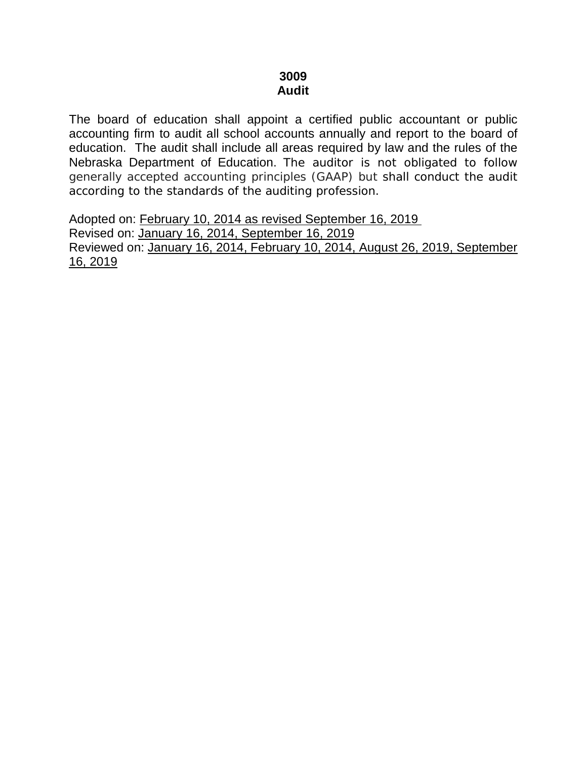# **3009 Audit**

The board of education shall appoint a certified public accountant or public accounting firm to audit all school accounts annually and report to the board of education. The audit shall include all areas required by law and the rules of the Nebraska Department of Education. The auditor is not obligated to follow generally accepted accounting principles (GAAP) but shall conduct the audit according to the standards of the auditing profession.

Adopted on: February 10, 2014 as revised September 16, 2019

Revised on: January 16, 2014, September 16, 2019 Reviewed on: January 16, 2014, February 10, 2014, August 26, 2019, September 16, 2019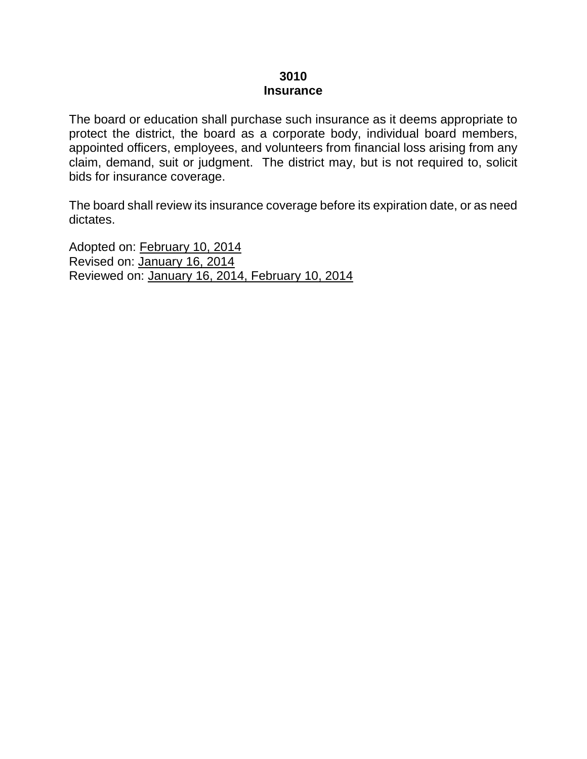#### **3010 Insurance**

The board or education shall purchase such insurance as it deems appropriate to protect the district, the board as a corporate body, individual board members, appointed officers, employees, and volunteers from financial loss arising from any claim, demand, suit or judgment. The district may, but is not required to, solicit bids for insurance coverage.

The board shall review its insurance coverage before its expiration date, or as need dictates.

Adopted on: February 10, 2014 Revised on: January 16, 2014 Reviewed on: January 16, 2014, February 10, 2014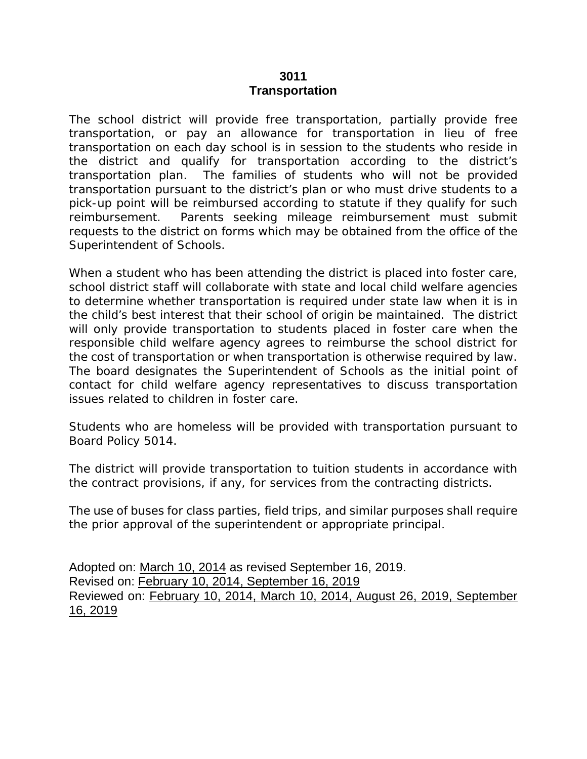#### **3011 Transportation**

The school district will provide free transportation, partially provide free transportation, or pay an allowance for transportation in lieu of free transportation on each day school is in session to the students who reside in the district and qualify for transportation according to the district's transportation plan. The families of students who will not be provided transportation pursuant to the district's plan or who must drive students to a pick-up point will be reimbursed according to statute if they qualify for such reimbursement. Parents seeking mileage reimbursement must submit requests to the district on forms which may be obtained from the office of the Superintendent of Schools.

When a student who has been attending the district is placed into foster care, school district staff will collaborate with state and local child welfare agencies to determine whether transportation is required under state law when it is in the child's best interest that their school of origin be maintained. The district will only provide transportation to students placed in foster care when the responsible child welfare agency agrees to reimburse the school district for the cost of transportation or when transportation is otherwise required by law. The board designates the Superintendent of Schools as the initial point of contact for child welfare agency representatives to discuss transportation issues related to children in foster care.

Students who are homeless will be provided with transportation pursuant to Board Policy 5014.

The district will provide transportation to tuition students in accordance with the contract provisions, if any, for services from the contracting districts.

The use of buses for class parties, field trips, and similar purposes shall require the prior approval of the superintendent or appropriate principal.

Adopted on: March 10, 2014 as revised September 16, 2019. Revised on: February 10, 2014, September 16, 2019 Reviewed on: February 10, 2014, March 10, 2014, August 26, 2019, September 16, 2019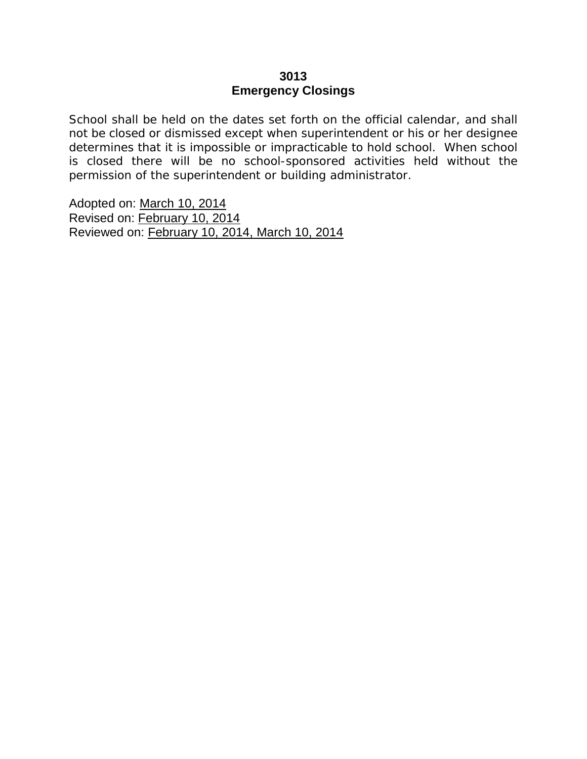# **3013 Emergency Closings**

School shall be held on the dates set forth on the official calendar, and shall not be closed or dismissed except when superintendent or his or her designee determines that it is impossible or impracticable to hold school. When school is closed there will be no school-sponsored activities held without the permission of the superintendent or building administrator.

Adopted on: March 10, 2014 Revised on: February 10, 2014 Reviewed on: February 10, 2014, March 10, 2014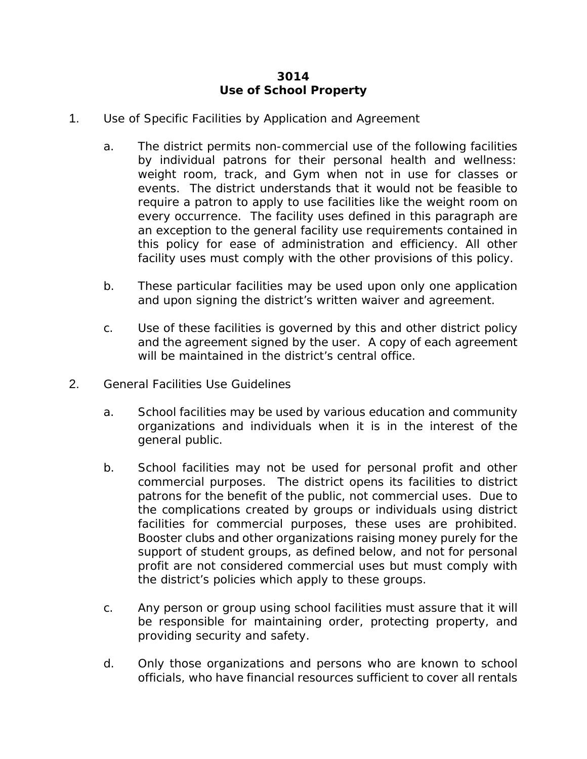# **3014 Use of School Property**

- 1. Use of Specific Facilities by Application and Agreement
	- a. The district permits non-commercial use of the following facilities by individual patrons for their personal health and wellness: weight room, track, and Gym when not in use for classes or events. The district understands that it would not be feasible to require a patron to apply to use facilities like the weight room on every occurrence. The facility uses defined in this paragraph are an exception to the general facility use requirements contained in this policy for ease of administration and efficiency. All other facility uses must comply with the other provisions of this policy.
	- b. These particular facilities may be used upon only one application and upon signing the district's written waiver and agreement.
	- c. Use of these facilities is governed by this and other district policy and the agreement signed by the user. A copy of each agreement will be maintained in the district's central office.
- 2. General Facilities Use Guidelines
	- a. School facilities may be used by various education and community organizations and individuals when it is in the interest of the general public.
	- b. School facilities may not be used for personal profit and other commercial purposes. The district opens its facilities to district patrons for the benefit of the public, not commercial uses. Due to the complications created by groups or individuals using district facilities for commercial purposes, these uses are prohibited. Booster clubs and other organizations raising money purely for the support of student groups, as defined below, and not for personal profit are not considered commercial uses but must comply with the district's policies which apply to these groups.
	- c. Any person or group using school facilities must assure that it will be responsible for maintaining order, protecting property, and providing security and safety.
	- d. Only those organizations and persons who are known to school officials, who have financial resources sufficient to cover all rentals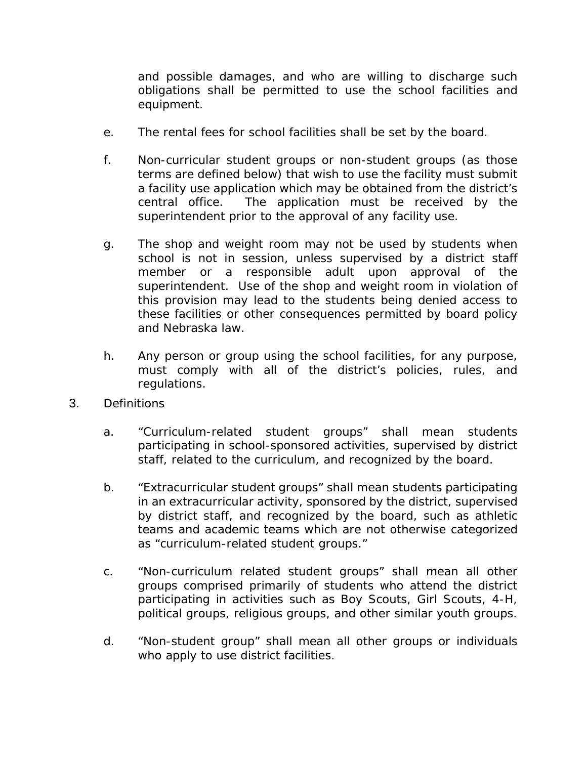and possible damages, and who are willing to discharge such obligations shall be permitted to use the school facilities and equipment.

- e. The rental fees for school facilities shall be set by the board.
- f. Non-curricular student groups or non-student groups (as those terms are defined below) that wish to use the facility must submit a facility use application which may be obtained from the district's central office. The application must be received by the superintendent prior to the approval of any facility use.
- g. The shop and weight room may not be used by students when school is not in session, unless supervised by a district staff member or a responsible adult upon approval of the superintendent. Use of the shop and weight room in violation of this provision may lead to the students being denied access to these facilities or other consequences permitted by board policy and Nebraska law.
- h. Any person or group using the school facilities, for any purpose, must comply with all of the district's policies, rules, and regulations.
- 3. Definitions
	- a. "Curriculum-related student groups" shall mean students participating in school-sponsored activities, supervised by district staff, related to the curriculum, and recognized by the board.
	- b. "Extracurricular student groups" shall mean students participating in an extracurricular activity, sponsored by the district, supervised by district staff, and recognized by the board, such as athletic teams and academic teams which are not otherwise categorized as "curriculum-related student groups."
	- c. "Non-curriculum related student groups" shall mean all other groups comprised primarily of students who attend the district participating in activities such as Boy Scouts, Girl Scouts, 4-H, political groups, religious groups, and other similar youth groups.
	- d. "Non-student group" shall mean all other groups or individuals who apply to use district facilities.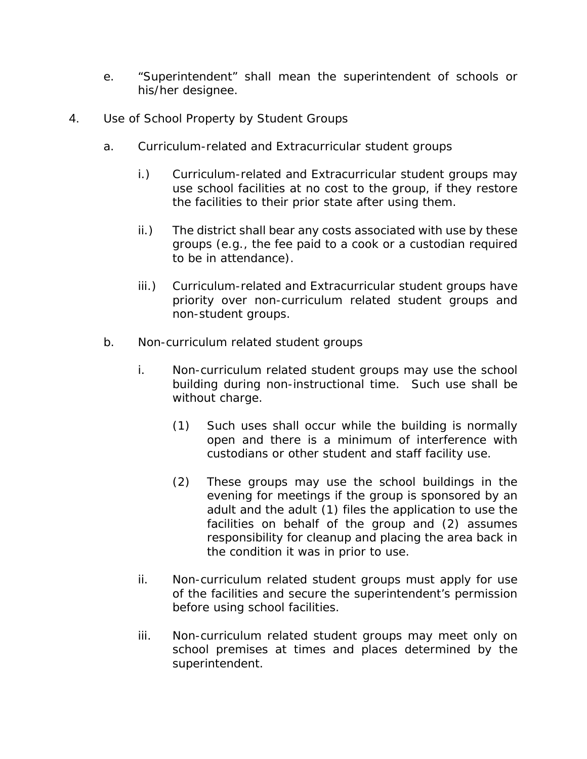- e. "Superintendent" shall mean the superintendent of schools or his/her designee.
- 4. Use of School Property by Student Groups
	- a. Curriculum-related and Extracurricular student groups
		- i.) Curriculum-related and Extracurricular student groups may use school facilities at no cost to the group, if they restore the facilities to their prior state after using them.
		- ii.) The district shall bear any costs associated with use by these groups (*e.g.*, the fee paid to a cook or a custodian required to be in attendance).
		- iii.) Curriculum-related and Extracurricular student groups have priority over non-curriculum related student groups and non-student groups.
	- b. Non-curriculum related student groups
		- i. Non-curriculum related student groups may use the school building during non-instructional time. Such use shall be without charge.
			- (1) Such uses shall occur while the building is normally open and there is a minimum of interference with custodians or other student and staff facility use.
			- (2) These groups may use the school buildings in the evening for meetings if the group is sponsored by an adult and the adult (1) files the application to use the facilities on behalf of the group and (2) assumes responsibility for cleanup and placing the area back in the condition it was in prior to use.
		- ii. Non-curriculum related student groups must apply for use of the facilities and secure the superintendent's permission before using school facilities.
		- iii. Non-curriculum related student groups may meet only on school premises at times and places determined by the superintendent.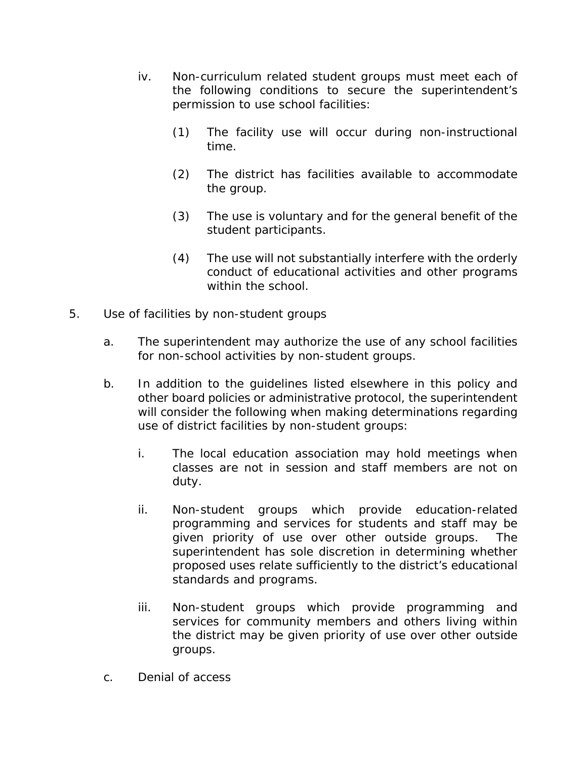- iv. Non-curriculum related student groups must meet each of the following conditions to secure the superintendent's permission to use school facilities:
	- (1) The facility use will occur during non-instructional time.
	- (2) The district has facilities available to accommodate the group.
	- (3) The use is voluntary and for the general benefit of the student participants.
	- (4) The use will not substantially interfere with the orderly conduct of educational activities and other programs within the school.
- 5. Use of facilities by non-student groups
	- a. The superintendent may authorize the use of any school facilities for non-school activities by non-student groups.
	- b. In addition to the guidelines listed elsewhere in this policy and other board policies or administrative protocol, the superintendent will consider the following when making determinations regarding use of district facilities by non-student groups:
		- i. The local education association may hold meetings when classes are not in session and staff members are not on duty.
		- ii. Non-student groups which provide education-related programming and services for students and staff may be given priority of use over other outside groups. The superintendent has sole discretion in determining whether proposed uses relate sufficiently to the district's educational standards and programs.
		- iii. Non-student groups which provide programming and services for community members and others living within the district may be given priority of use over other outside groups.
	- c. Denial of access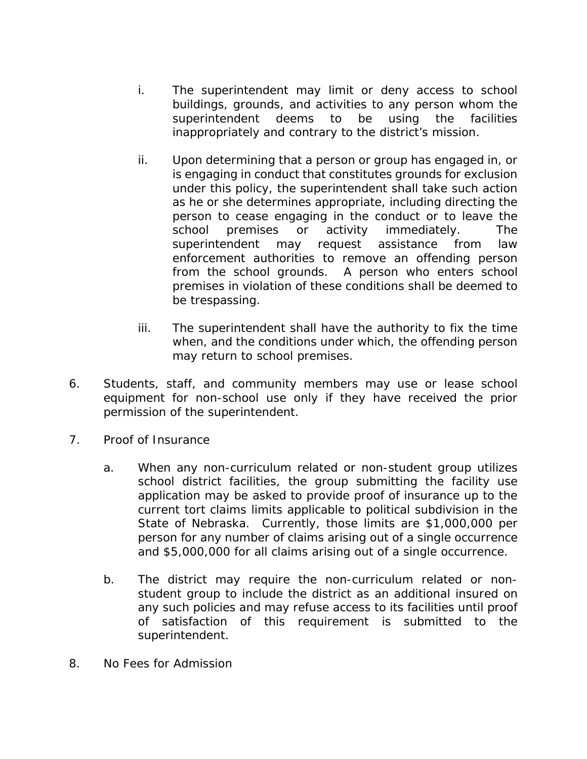- i. The superintendent may limit or deny access to school buildings, grounds, and activities to any person whom the superintendent deems to be using the facilities inappropriately and contrary to the district's mission.
- ii. Upon determining that a person or group has engaged in, or is engaging in conduct that constitutes grounds for exclusion under this policy, the superintendent shall take such action as he or she determines appropriate, including directing the person to cease engaging in the conduct or to leave the school premises or activity immediately. The superintendent may request assistance from law enforcement authorities to remove an offending person from the school grounds. A person who enters school premises in violation of these conditions shall be deemed to be trespassing.
- iii. The superintendent shall have the authority to fix the time when, and the conditions under which, the offending person may return to school premises.
- 6. Students, staff, and community members may use or lease school equipment for non-school use only if they have received the prior permission of the superintendent.
- 7. Proof of Insurance
	- a. When any non-curriculum related or non-student group utilizes school district facilities, the group submitting the facility use application may be asked to provide proof of insurance up to the current tort claims limits applicable to political subdivision in the State of Nebraska. Currently, those limits are \$1,000,000 per person for any number of claims arising out of a single occurrence and \$5,000,000 for all claims arising out of a single occurrence.
	- b. The district may require the non-curriculum related or nonstudent group to include the district as an additional insured on any such policies and may refuse access to its facilities until proof of satisfaction of this requirement is submitted to the superintendent.
- 8. No Fees for Admission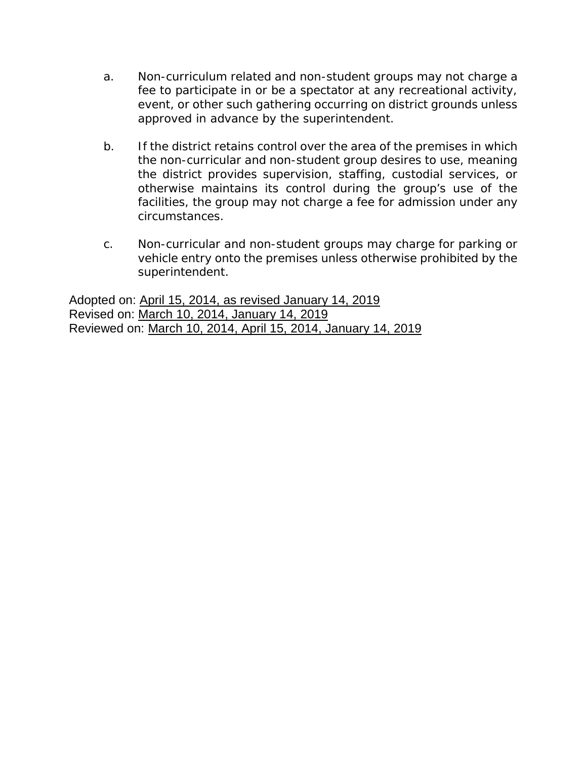- a. Non-curriculum related and non-student groups may not charge a fee to participate in or be a spectator at any recreational activity, event, or other such gathering occurring on district grounds unless approved in advance by the superintendent.
- b. If the district retains control over the area of the premises in which the non-curricular and non-student group desires to use, meaning the district provides supervision, staffing, custodial services, or otherwise maintains its control during the group's use of the facilities, the group may not charge a fee for admission under any circumstances.
- c. Non-curricular and non-student groups may charge for parking or vehicle entry onto the premises unless otherwise prohibited by the superintendent.

Adopted on: April 15, 2014, as revised January 14, 2019 Revised on: March 10, 2014, January 14, 2019 Reviewed on: March 10, 2014, April 15, 2014, January 14, 2019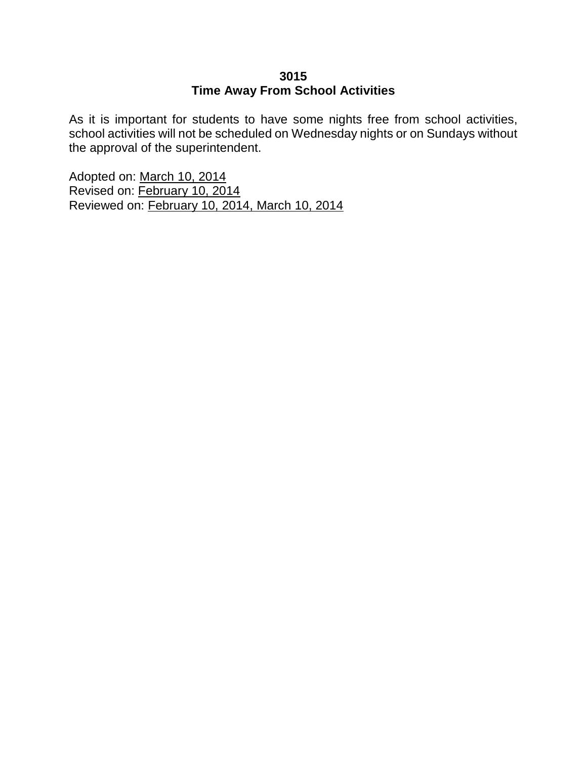# **3015 Time Away From School Activities**

As it is important for students to have some nights free from school activities, school activities will not be scheduled on Wednesday nights or on Sundays without the approval of the superintendent.

Adopted on: March 10, 2014 Revised on: February 10, 2014 Reviewed on: February 10, 2014, March 10, 2014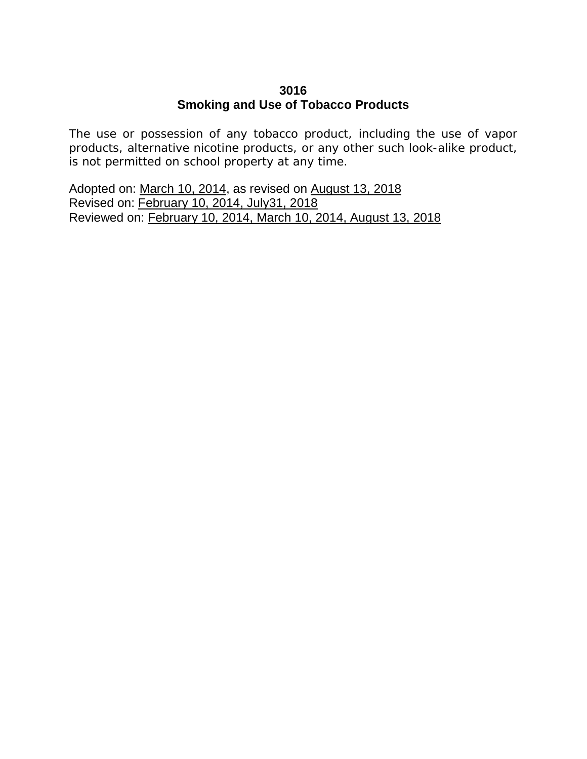# **3016 Smoking and Use of Tobacco Products**

The use or possession of any tobacco product, including the use of vapor products, alternative nicotine products, or any other such look-alike product, is not permitted on school property at any time.

Adopted on: March 10, 2014, as revised on August 13, 2018 Revised on: February 10, 2014, July31, 2018 Reviewed on: February 10, 2014, March 10, 2014, August 13, 2018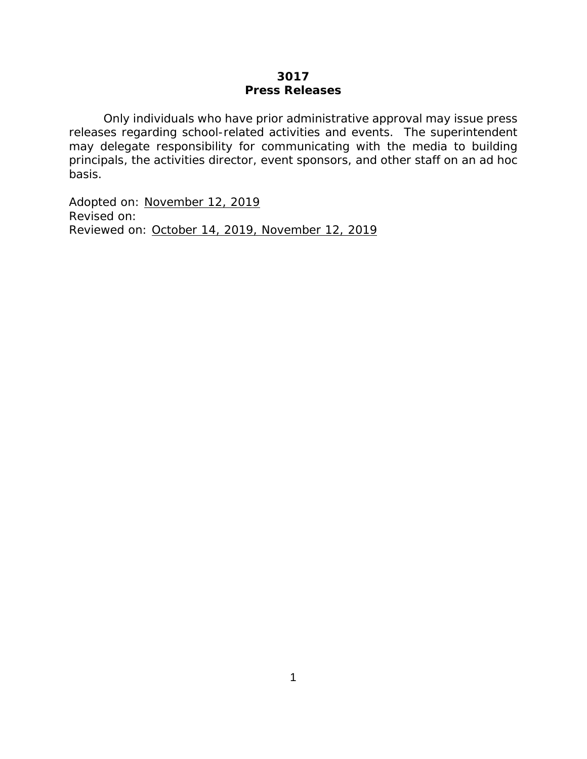#### **3017 Press Releases**

Only individuals who have prior administrative approval may issue press releases regarding school-related activities and events. The superintendent may delegate responsibility for communicating with the media to building principals, the activities director, event sponsors, and other staff on an ad hoc basis.

Adopted on: November 12, 2019 Revised on: Reviewed on: October 14, 2019, November 12, 2019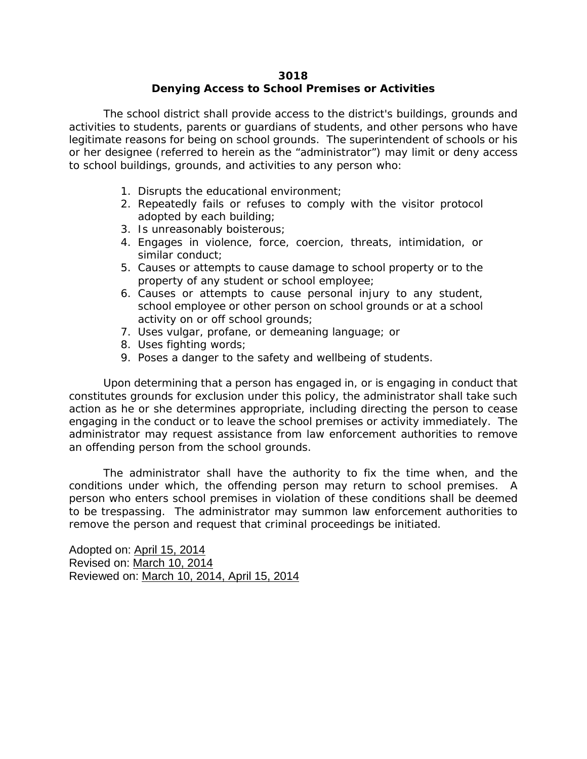#### **3018 Denying Access to School Premises or Activities**

The school district shall provide access to the district's buildings, grounds and activities to students, parents or guardians of students, and other persons who have legitimate reasons for being on school grounds. The superintendent of schools or his or her designee (referred to herein as the "administrator") may limit or deny access to school buildings, grounds, and activities to any person who:

- 1. Disrupts the educational environment;
- 2. Repeatedly fails or refuses to comply with the visitor protocol adopted by each building;
- 3. Is unreasonably boisterous;
- 4. Engages in violence, force, coercion, threats, intimidation, or similar conduct;
- 5. Causes or attempts to cause damage to school property or to the property of any student or school employee;
- 6. Causes or attempts to cause personal injury to any student, school employee or other person on school grounds or at a school activity on or off school grounds;
- 7. Uses vulgar, profane, or demeaning language; or
- 8. Uses fighting words;
- 9. Poses a danger to the safety and wellbeing of students.

Upon determining that a person has engaged in, or is engaging in conduct that constitutes grounds for exclusion under this policy, the administrator shall take such action as he or she determines appropriate, including directing the person to cease engaging in the conduct or to leave the school premises or activity immediately. The administrator may request assistance from law enforcement authorities to remove an offending person from the school grounds.

The administrator shall have the authority to fix the time when, and the conditions under which, the offending person may return to school premises. A person who enters school premises in violation of these conditions shall be deemed to be trespassing. The administrator may summon law enforcement authorities to remove the person and request that criminal proceedings be initiated.

Adopted on: April 15, 2014 Revised on: March 10, 2014 Reviewed on: March 10, 2014, April 15, 2014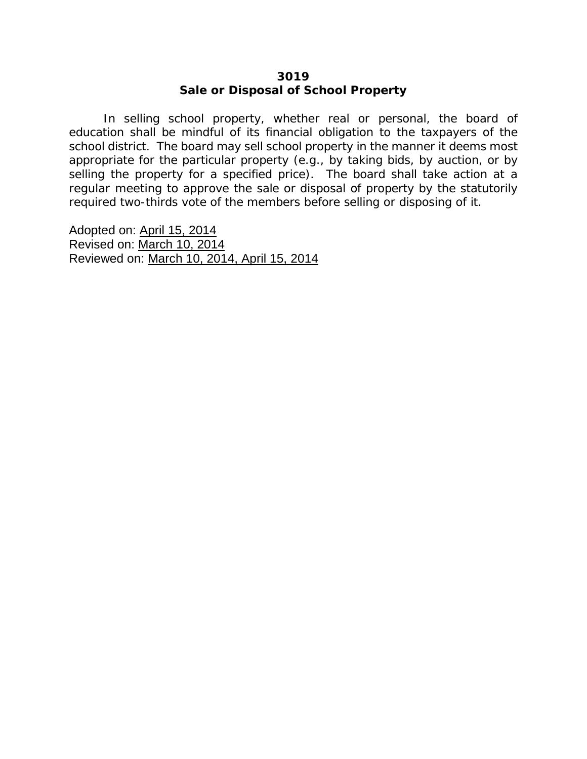#### **3019 Sale or Disposal of School Property**

In selling school property, whether real or personal, the board of education shall be mindful of its financial obligation to the taxpayers of the school district. The board may sell school property in the manner it deems most appropriate for the particular property (e.g., by taking bids, by auction, or by selling the property for a specified price). The board shall take action at a regular meeting to approve the sale or disposal of property by the statutorily required two-thirds vote of the members before selling or disposing of it.

Adopted on: April 15, 2014 Revised on: March 10, 2014 Reviewed on: March 10, 2014, April 15, 2014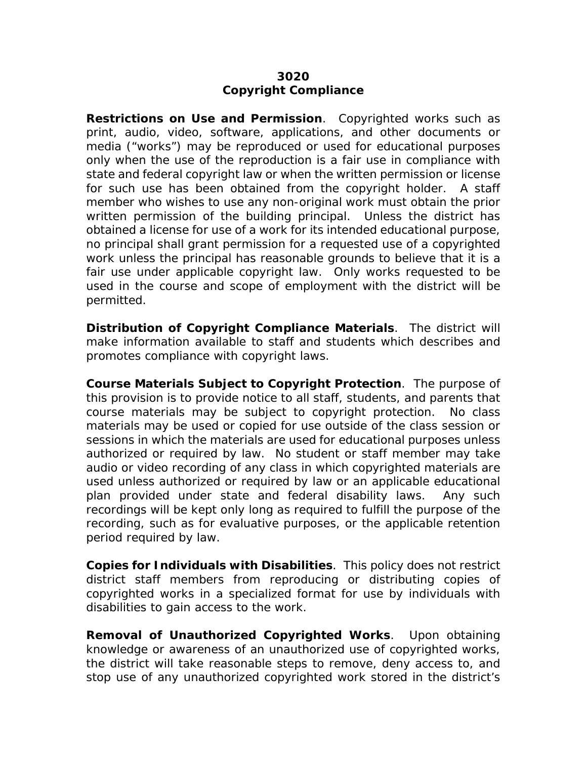# **3020 Copyright Compliance**

**Restrictions on Use and Permission**. Copyrighted works such as print, audio, video, software, applications, and other documents or media ("works") may be reproduced or used for educational purposes only when the use of the reproduction is a fair use in compliance with state and federal copyright law or when the written permission or license for such use has been obtained from the copyright holder. A staff member who wishes to use any non-original work must obtain the prior written permission of the building principal. Unless the district has obtained a license for use of a work for its intended educational purpose, no principal shall grant permission for a requested use of a copyrighted work unless the principal has reasonable grounds to believe that it is a fair use under applicable copyright law. Only works requested to be used in the course and scope of employment with the district will be permitted.

**Distribution of Copyright Compliance Materials**. The district will make information available to staff and students which describes and promotes compliance with copyright laws.

**Course Materials Subject to Copyright Protection**. The purpose of this provision is to provide notice to all staff, students, and parents that course materials may be subject to copyright protection. No class materials may be used or copied for use outside of the class session or sessions in which the materials are used for educational purposes unless authorized or required by law. No student or staff member may take audio or video recording of any class in which copyrighted materials are used unless authorized or required by law or an applicable educational plan provided under state and federal disability laws. Any such recordings will be kept only long as required to fulfill the purpose of the recording, such as for evaluative purposes, or the applicable retention period required by law.

**Copies for Individuals with Disabilities**. This policy does not restrict district staff members from reproducing or distributing copies of copyrighted works in a specialized format for use by individuals with disabilities to gain access to the work.

**Removal of Unauthorized Copyrighted Works**. Upon obtaining knowledge or awareness of an unauthorized use of copyrighted works, the district will take reasonable steps to remove, deny access to, and stop use of any unauthorized copyrighted work stored in the district's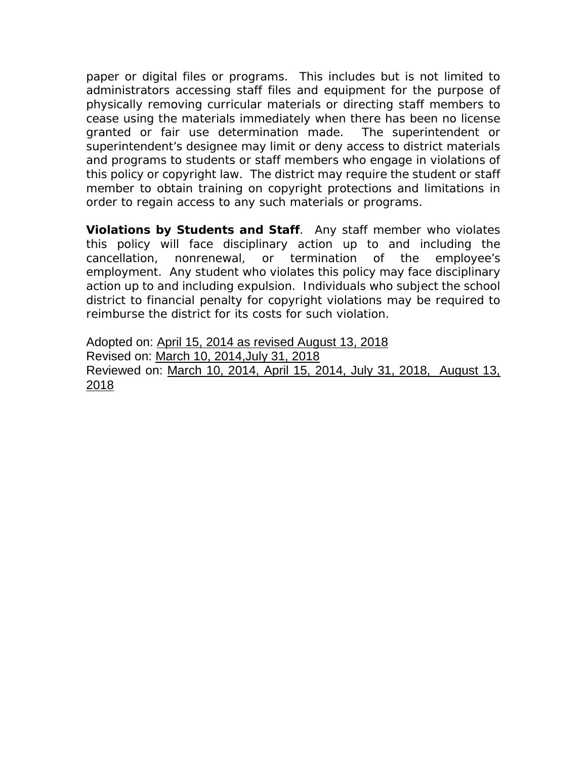paper or digital files or programs. This includes but is not limited to administrators accessing staff files and equipment for the purpose of physically removing curricular materials or directing staff members to cease using the materials immediately when there has been no license granted or fair use determination made. The superintendent or superintendent's designee may limit or deny access to district materials and programs to students or staff members who engage in violations of this policy or copyright law. The district may require the student or staff member to obtain training on copyright protections and limitations in order to regain access to any such materials or programs.

**Violations by Students and Staff**. Any staff member who violates this policy will face disciplinary action up to and including the cancellation, nonrenewal, or termination of the employee's employment. Any student who violates this policy may face disciplinary action up to and including expulsion. Individuals who subject the school district to financial penalty for copyright violations may be required to reimburse the district for its costs for such violation.

Adopted on: April 15, 2014 as revised August 13, 2018 Revised on: March 10, 2014,July 31, 2018 Reviewed on: March 10, 2014, April 15, 2014, July 31, 2018, August 13, 2018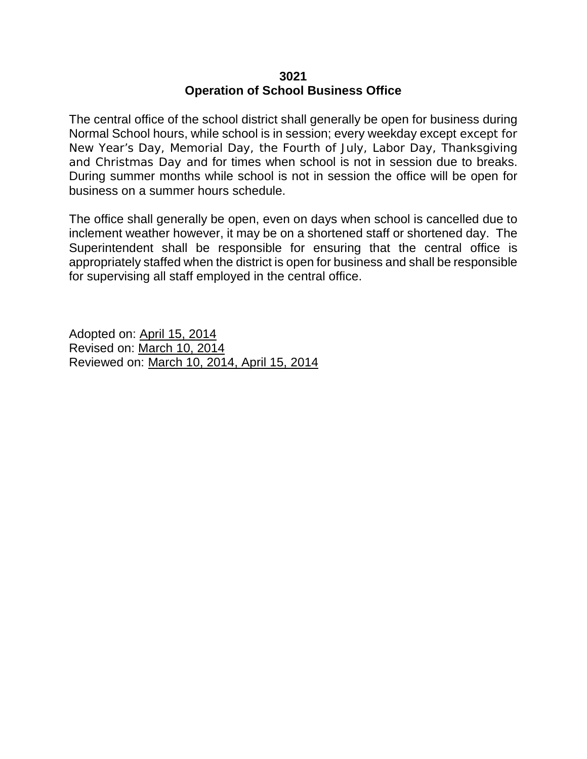#### **3021 Operation of School Business Office**

The central office of the school district shall generally be open for business during Normal School hours, while school is in session; every weekday except except for New Year's Day, Memorial Day, the Fourth of July, Labor Day, Thanksgiving and Christmas Day and for times when school is not in session due to breaks. During summer months while school is not in session the office will be open for business on a summer hours schedule.

The office shall generally be open, even on days when school is cancelled due to inclement weather however, it may be on a shortened staff or shortened day. The Superintendent shall be responsible for ensuring that the central office is appropriately staffed when the district is open for business and shall be responsible for supervising all staff employed in the central office.

Adopted on: April 15, 2014 Revised on: March 10, 2014 Reviewed on: March 10, 2014, April 15, 2014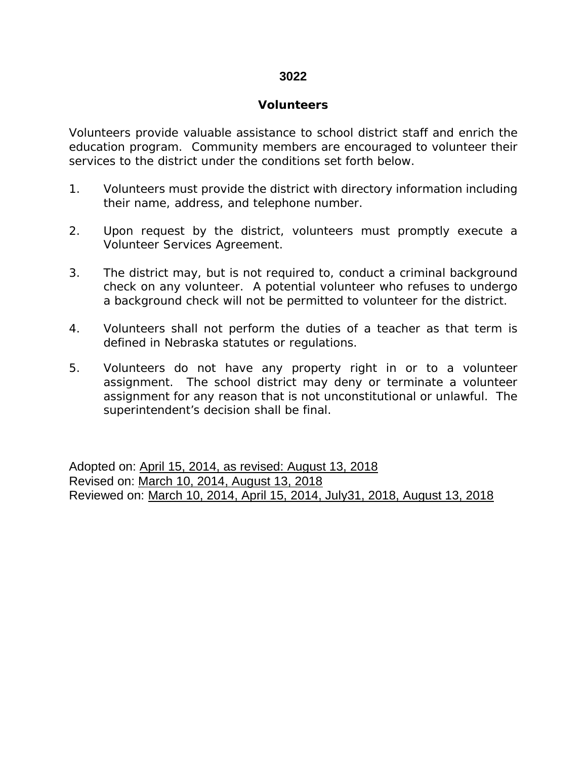#### **3022**

#### **Volunteers**

Volunteers provide valuable assistance to school district staff and enrich the education program. Community members are encouraged to volunteer their services to the district under the conditions set forth below.

- 1. Volunteers must provide the district with directory information including their name, address, and telephone number.
- 2. Upon request by the district, volunteers must promptly execute a Volunteer Services Agreement.
- 3. The district may, but is not required to, conduct a criminal background check on any volunteer. A potential volunteer who refuses to undergo a background check will not be permitted to volunteer for the district.
- 4. Volunteers shall not perform the duties of a teacher as that term is defined in Nebraska statutes or regulations.
- 5. Volunteers do not have any property right in or to a volunteer assignment. The school district may deny or terminate a volunteer assignment for any reason that is not unconstitutional or unlawful. The superintendent's decision shall be final.

Adopted on: April 15, 2014, as revised: August 13, 2018 Revised on: March 10, 2014, August 13, 2018 Reviewed on: March 10, 2014, April 15, 2014, July31, 2018, August 13, 2018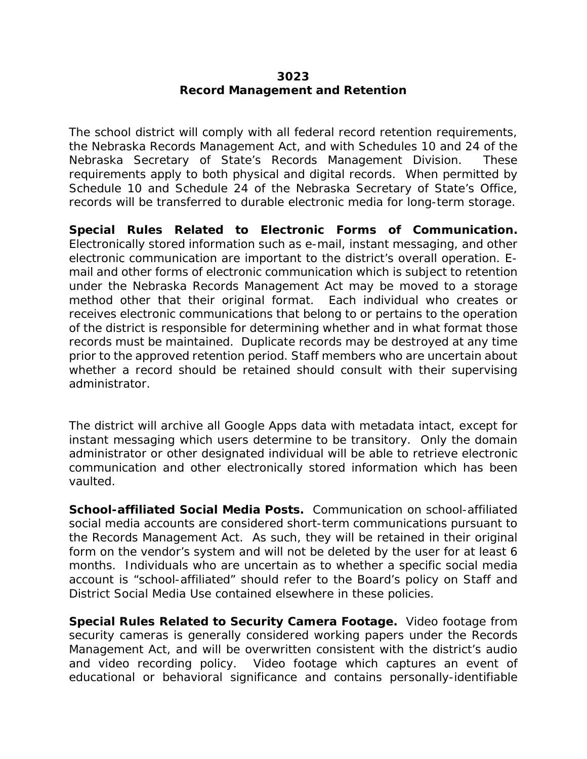#### **3023 Record Management and Retention**

The school district will comply with all federal record retention requirements, the Nebraska Records Management Act, and with Schedules 10 and 24 of the Nebraska Secretary of State's Records Management Division. These requirements apply to both physical and digital records. When permitted by Schedule 10 and Schedule 24 of the Nebraska Secretary of State's Office, records will be transferred to durable electronic media for long-term storage.

**Special Rules Related to Electronic Forms of Communication.**  Electronically stored information such as e-mail, instant messaging, and other electronic communication are important to the district's overall operation. Email and other forms of electronic communication which is subject to retention under the Nebraska Records Management Act may be moved to a storage method other that their original format. Each individual who creates or receives electronic communications that belong to or pertains to the operation of the district is responsible for determining whether and in what format those records must be maintained. Duplicate records may be destroyed at any time prior to the approved retention period. Staff members who are uncertain about whether a record should be retained should consult with their supervising administrator.

The district will archive all Google Apps data with metadata intact, except for instant messaging which users determine to be transitory. Only the domain administrator or other designated individual will be able to retrieve electronic communication and other electronically stored information which has been vaulted.

**School-affiliated Social Media Posts.** Communication on school-affiliated social media accounts are considered short-term communications pursuant to the Records Management Act. As such, they will be retained in their original form on the vendor's system and will not be deleted by the user for at least 6 months. Individuals who are uncertain as to whether a specific social media account is "school-affiliated" should refer to the Board's policy on Staff and District Social Media Use contained elsewhere in these policies.

**Special Rules Related to Security Camera Footage.** Video footage from security cameras is generally considered working papers under the Records Management Act, and will be overwritten consistent with the district's audio and video recording policy. Video footage which captures an event of educational or behavioral significance and contains personally-identifiable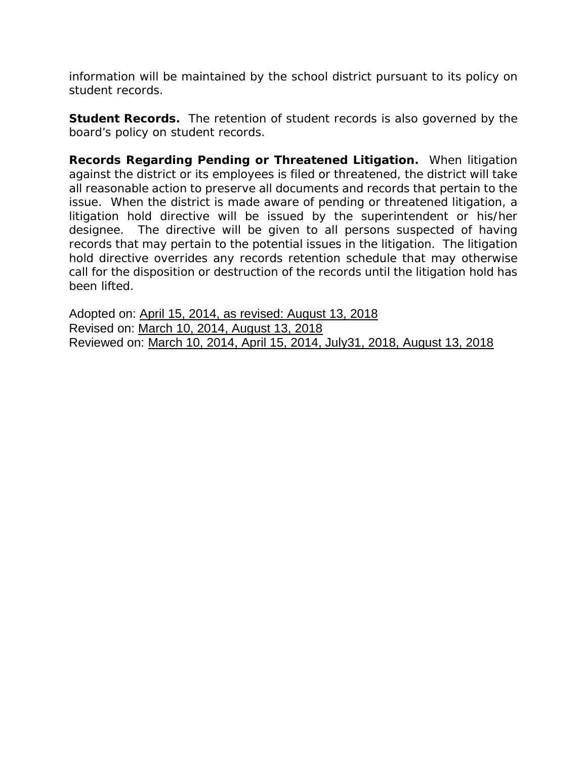information will be maintained by the school district pursuant to its policy on student records.

**Student Records.** The retention of student records is also governed by the board's policy on student records.

**Records Regarding Pending or Threatened Litigation.** When litigation against the district or its employees is filed or threatened, the district will take all reasonable action to preserve all documents and records that pertain to the issue. When the district is made aware of pending or threatened litigation, a litigation hold directive will be issued by the superintendent or his/her designee. The directive will be given to all persons suspected of having records that may pertain to the potential issues in the litigation. The litigation hold directive overrides any records retention schedule that may otherwise call for the disposition or destruction of the records until the litigation hold has been lifted.

Adopted on: April 15, 2014, as revised: August 13, 2018 Revised on: March 10, 2014, August 13, 2018 Reviewed on: March 10, 2014, April 15, 2014, July31, 2018, August 13, 2018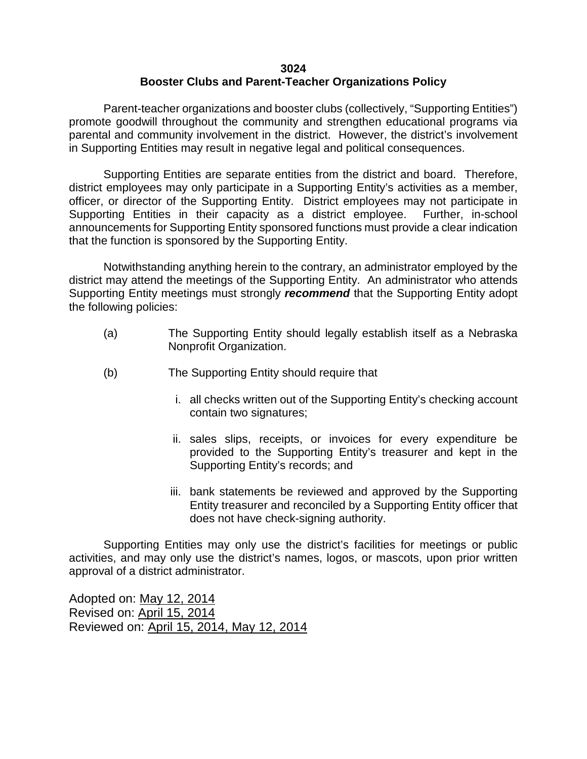#### **3024 Booster Clubs and Parent-Teacher Organizations Policy**

Parent-teacher organizations and booster clubs (collectively, "Supporting Entities") promote goodwill throughout the community and strengthen educational programs via parental and community involvement in the district. However, the district's involvement in Supporting Entities may result in negative legal and political consequences.

Supporting Entities are separate entities from the district and board. Therefore, district employees may only participate in a Supporting Entity's activities as a member, officer, or director of the Supporting Entity. District employees may not participate in Supporting Entities in their capacity as a district employee. Further, in-school announcements for Supporting Entity sponsored functions must provide a clear indication that the function is sponsored by the Supporting Entity.

Notwithstanding anything herein to the contrary, an administrator employed by the district may attend the meetings of the Supporting Entity. An administrator who attends Supporting Entity meetings must strongly *recommend* that the Supporting Entity adopt the following policies:

- (a) The Supporting Entity should legally establish itself as a Nebraska Nonprofit Organization.
- (b) The Supporting Entity should require that
	- i. all checks written out of the Supporting Entity's checking account contain two signatures;
	- ii. sales slips, receipts, or invoices for every expenditure be provided to the Supporting Entity's treasurer and kept in the Supporting Entity's records; and
	- iii. bank statements be reviewed and approved by the Supporting Entity treasurer and reconciled by a Supporting Entity officer that does not have check-signing authority.

Supporting Entities may only use the district's facilities for meetings or public activities, and may only use the district's names, logos, or mascots, upon prior written approval of a district administrator.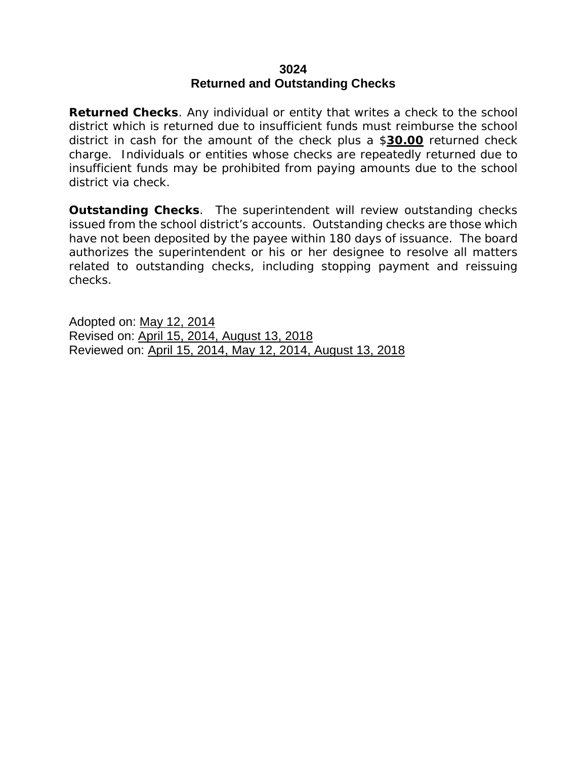#### **3024 Returned and Outstanding Checks**

**Returned Checks**. Any individual or entity that writes a check to the school district which is returned due to insufficient funds must reimburse the school district in cash for the amount of the check plus a \$**30.00** returned check charge. Individuals or entities whose checks are repeatedly returned due to insufficient funds may be prohibited from paying amounts due to the school district via check.

**Outstanding Checks**. The superintendent will review outstanding checks issued from the school district's accounts. Outstanding checks are those which have not been deposited by the payee within 180 days of issuance. The board authorizes the superintendent or his or her designee to resolve all matters related to outstanding checks, including stopping payment and reissuing checks.

Adopted on: May 12, 2014 Revised on: April 15, 2014, August 13, 2018 Reviewed on: April 15, 2014, May 12, 2014, August 13, 2018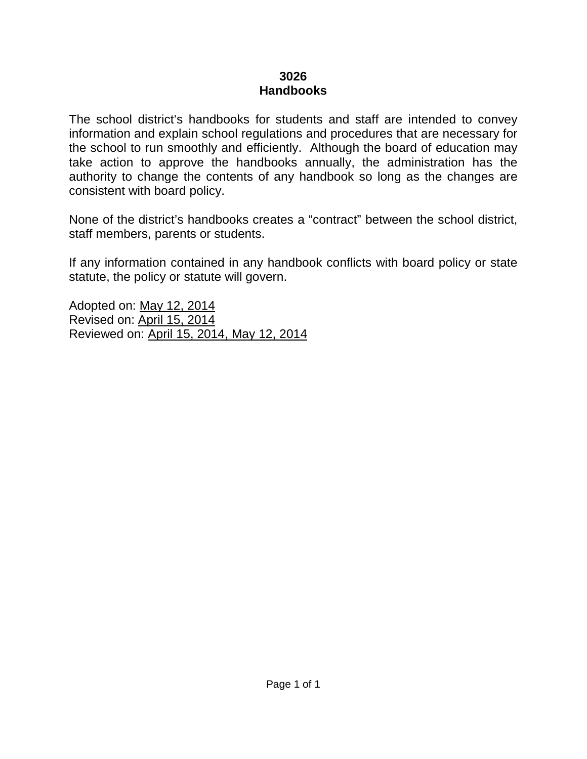# **3026 Handbooks**

The school district's handbooks for students and staff are intended to convey information and explain school regulations and procedures that are necessary for the school to run smoothly and efficiently. Although the board of education may take action to approve the handbooks annually, the administration has the authority to change the contents of any handbook so long as the changes are consistent with board policy.

None of the district's handbooks creates a "contract" between the school district, staff members, parents or students.

If any information contained in any handbook conflicts with board policy or state statute, the policy or statute will govern.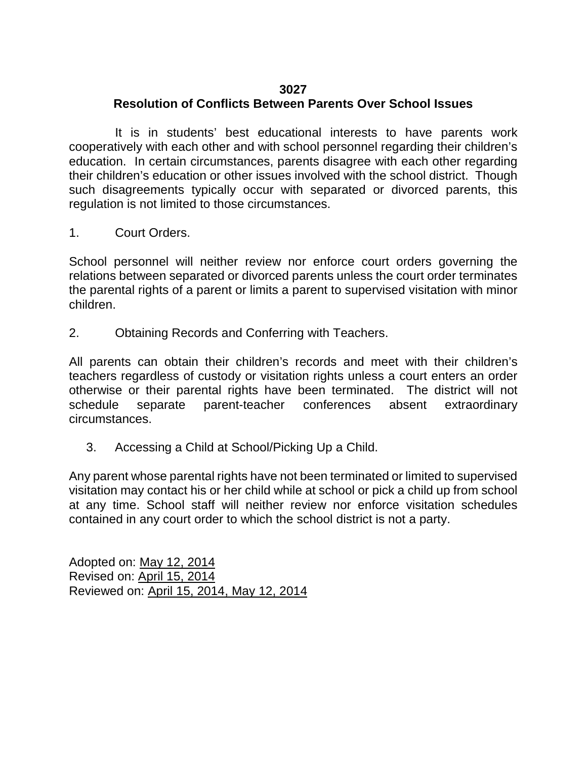# **3027**

# **Resolution of Conflicts Between Parents Over School Issues**

It is in students' best educational interests to have parents work cooperatively with each other and with school personnel regarding their children's education. In certain circumstances, parents disagree with each other regarding their children's education or other issues involved with the school district. Though such disagreements typically occur with separated or divorced parents, this regulation is not limited to those circumstances.

1. Court Orders.

School personnel will neither review nor enforce court orders governing the relations between separated or divorced parents unless the court order terminates the parental rights of a parent or limits a parent to supervised visitation with minor children.

2. Obtaining Records and Conferring with Teachers.

All parents can obtain their children's records and meet with their children's teachers regardless of custody or visitation rights unless a court enters an order otherwise or their parental rights have been terminated. The district will not schedule separate parent-teacher conferences absent extraordinary circumstances.

3. Accessing a Child at School/Picking Up a Child.

Any parent whose parental rights have not been terminated or limited to supervised visitation may contact his or her child while at school or pick a child up from school at any time. School staff will neither review nor enforce visitation schedules contained in any court order to which the school district is not a party.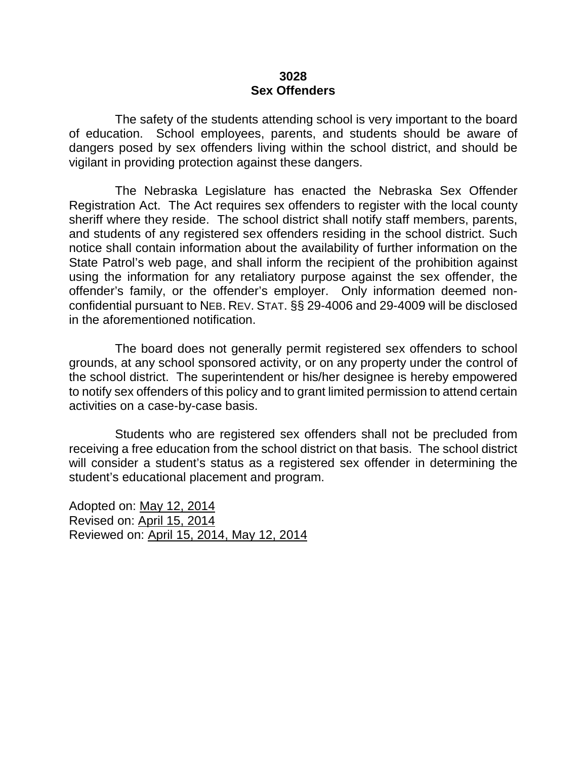#### **3028 Sex Offenders**

The safety of the students attending school is very important to the board of education. School employees, parents, and students should be aware of dangers posed by sex offenders living within the school district, and should be vigilant in providing protection against these dangers.

The Nebraska Legislature has enacted the Nebraska Sex Offender Registration Act. The Act requires sex offenders to register with the local county sheriff where they reside. The school district shall notify staff members, parents, and students of any registered sex offenders residing in the school district. Such notice shall contain information about the availability of further information on the State Patrol's web page, and shall inform the recipient of the prohibition against using the information for any retaliatory purpose against the sex offender, the offender's family, or the offender's employer. Only information deemed nonconfidential pursuant to NEB. REV. STAT. §§ 29-4006 and 29-4009 will be disclosed in the aforementioned notification.

The board does not generally permit registered sex offenders to school grounds, at any school sponsored activity, or on any property under the control of the school district. The superintendent or his/her designee is hereby empowered to notify sex offenders of this policy and to grant limited permission to attend certain activities on a case-by-case basis.

Students who are registered sex offenders shall not be precluded from receiving a free education from the school district on that basis. The school district will consider a student's status as a registered sex offender in determining the student's educational placement and program.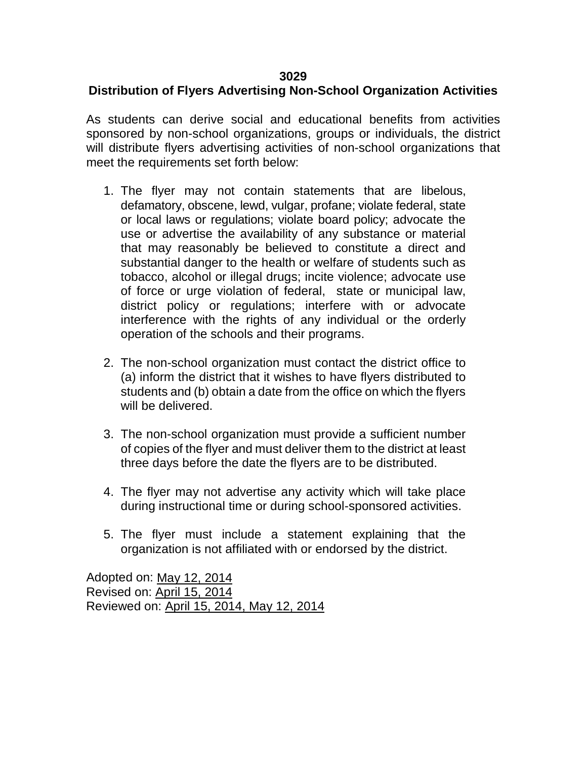# **3029**

# **Distribution of Flyers Advertising Non-School Organization Activities**

As students can derive social and educational benefits from activities sponsored by non-school organizations, groups or individuals, the district will distribute flyers advertising activities of non-school organizations that meet the requirements set forth below:

- 1. The flyer may not contain statements that are libelous, defamatory, obscene, lewd, vulgar, profane; violate federal, state or local laws or regulations; violate board policy; advocate the use or advertise the availability of any substance or material that may reasonably be believed to constitute a direct and substantial danger to the health or welfare of students such as tobacco, alcohol or illegal drugs; incite violence; advocate use of force or urge violation of federal, state or municipal law, district policy or regulations; interfere with or advocate interference with the rights of any individual or the orderly operation of the schools and their programs.
- 2. The non-school organization must contact the district office to (a) inform the district that it wishes to have flyers distributed to students and (b) obtain a date from the office on which the flyers will be delivered.
- 3. The non-school organization must provide a sufficient number of copies of the flyer and must deliver them to the district at least three days before the date the flyers are to be distributed.
- 4. The flyer may not advertise any activity which will take place during instructional time or during school-sponsored activities.
- 5. The flyer must include a statement explaining that the organization is not affiliated with or endorsed by the district.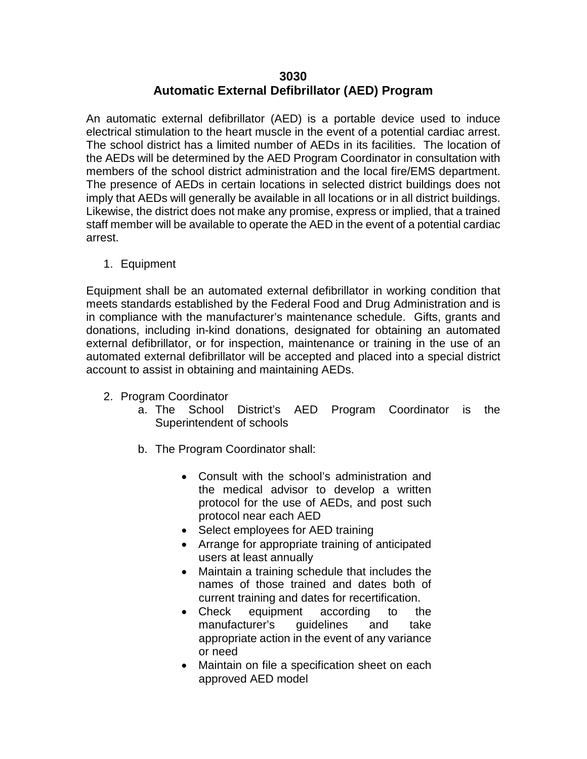### **3030 Automatic External Defibrillator (AED) Program**

An automatic external defibrillator (AED) is a portable device used to induce electrical stimulation to the heart muscle in the event of a potential cardiac arrest. The school district has a limited number of AEDs in its facilities. The location of the AEDs will be determined by the AED Program Coordinator in consultation with members of the school district administration and the local fire/EMS department. The presence of AEDs in certain locations in selected district buildings does not imply that AEDs will generally be available in all locations or in all district buildings. Likewise, the district does not make any promise, express or implied, that a trained staff member will be available to operate the AED in the event of a potential cardiac arrest.

1. Equipment

Equipment shall be an automated external defibrillator in working condition that meets standards established by the Federal Food and Drug Administration and is in compliance with the manufacturer's maintenance schedule. Gifts, grants and donations, including in-kind donations, designated for obtaining an automated external defibrillator, or for inspection, maintenance or training in the use of an automated external defibrillator will be accepted and placed into a special district account to assist in obtaining and maintaining AEDs.

- 2. Program Coordinator
	- a. The School District's AED Program Coordinator is the Superintendent of schools
	- b. The Program Coordinator shall:
		- Consult with the school's administration and the medical advisor to develop a written protocol for the use of AEDs, and post such protocol near each AED
		- Select employees for AED training
		- Arrange for appropriate training of anticipated users at least annually
		- Maintain a training schedule that includes the names of those trained and dates both of current training and dates for recertification.
		- Check equipment according to the manufacturer's quidelines and take appropriate action in the event of any variance or need
		- Maintain on file a specification sheet on each approved AED model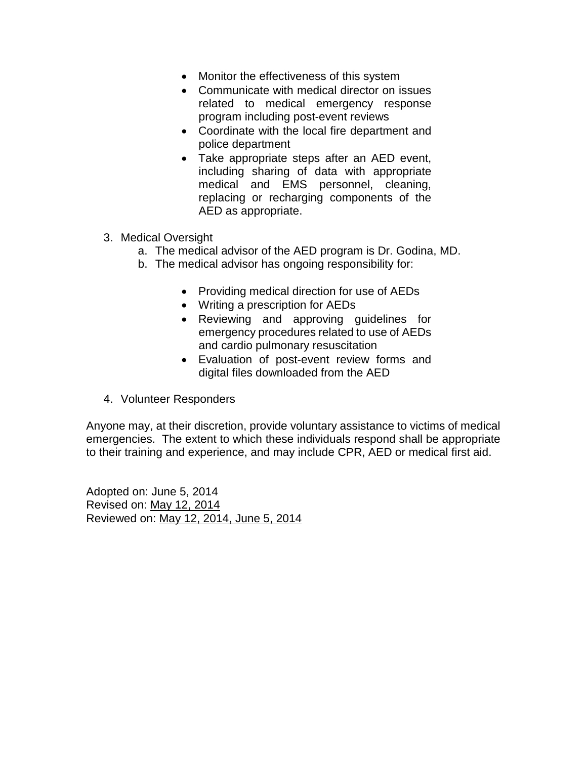- Monitor the effectiveness of this system
- Communicate with medical director on issues related to medical emergency response program including post-event reviews
- Coordinate with the local fire department and police department
- Take appropriate steps after an AED event, including sharing of data with appropriate medical and EMS personnel, cleaning, replacing or recharging components of the AED as appropriate.
- 3. Medical Oversight
	- a. The medical advisor of the AED program is Dr. Godina, MD.
	- b. The medical advisor has ongoing responsibility for:
		- Providing medical direction for use of AEDs
		- Writing a prescription for AEDs
		- Reviewing and approving guidelines for emergency procedures related to use of AEDs and cardio pulmonary resuscitation
		- Evaluation of post-event review forms and digital files downloaded from the AED
- 4. Volunteer Responders

Anyone may, at their discretion, provide voluntary assistance to victims of medical emergencies. The extent to which these individuals respond shall be appropriate to their training and experience, and may include CPR, AED or medical first aid.

Adopted on: June 5, 2014 Revised on: May 12, 2014 Reviewed on: May 12, 2014, June 5, 2014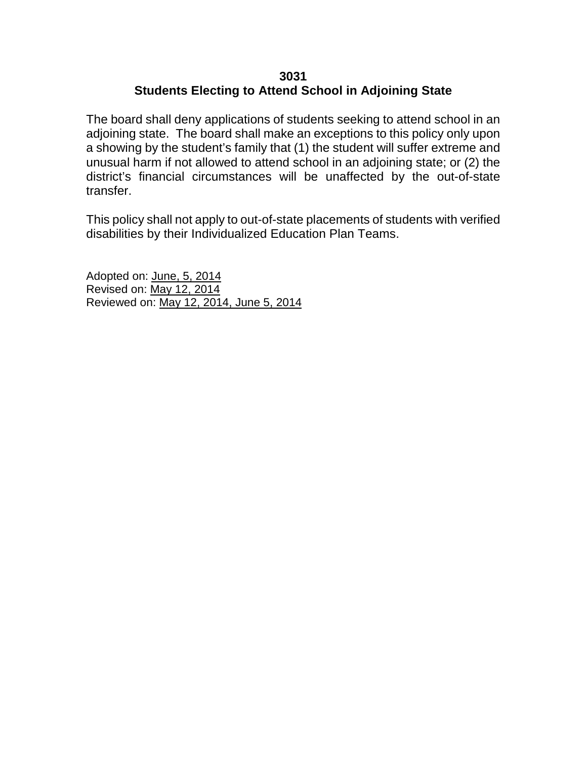# **3031 Students Electing to Attend School in Adjoining State**

The board shall deny applications of students seeking to attend school in an adjoining state. The board shall make an exceptions to this policy only upon a showing by the student's family that (1) the student will suffer extreme and unusual harm if not allowed to attend school in an adjoining state; or (2) the district's financial circumstances will be unaffected by the out-of-state transfer.

This policy shall not apply to out-of-state placements of students with verified disabilities by their Individualized Education Plan Teams.

Adopted on: June, 5, 2014 Revised on: May 12, 2014 Reviewed on: May 12, 2014, June 5, 2014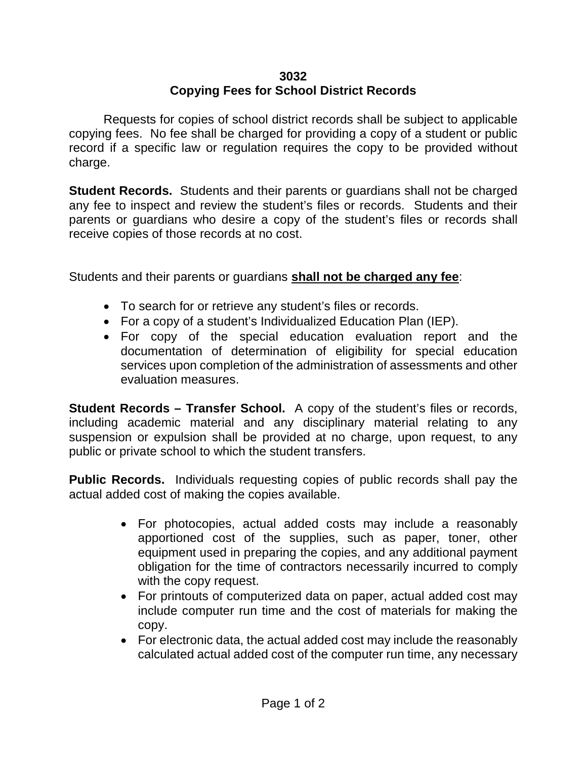# **3032 Copying Fees for School District Records**

Requests for copies of school district records shall be subject to applicable copying fees. No fee shall be charged for providing a copy of a student or public record if a specific law or regulation requires the copy to be provided without charge.

**Student Records.** Students and their parents or guardians shall not be charged any fee to inspect and review the student's files or records. Students and their parents or guardians who desire a copy of the student's files or records shall receive copies of those records at no cost.

Students and their parents or guardians **shall not be charged any fee**:

- To search for or retrieve any student's files or records.
- For a copy of a student's Individualized Education Plan (IEP).
- For copy of the special education evaluation report and the documentation of determination of eligibility for special education services upon completion of the administration of assessments and other evaluation measures.

**Student Records – Transfer School.** A copy of the student's files or records, including academic material and any disciplinary material relating to any suspension or expulsion shall be provided at no charge, upon request, to any public or private school to which the student transfers.

**Public Records.** Individuals requesting copies of public records shall pay the actual added cost of making the copies available.

- For photocopies, actual added costs may include a reasonably apportioned cost of the supplies, such as paper, toner, other equipment used in preparing the copies, and any additional payment obligation for the time of contractors necessarily incurred to comply with the copy request.
- For printouts of computerized data on paper, actual added cost may include computer run time and the cost of materials for making the copy.
- For electronic data, the actual added cost may include the reasonably calculated actual added cost of the computer run time, any necessary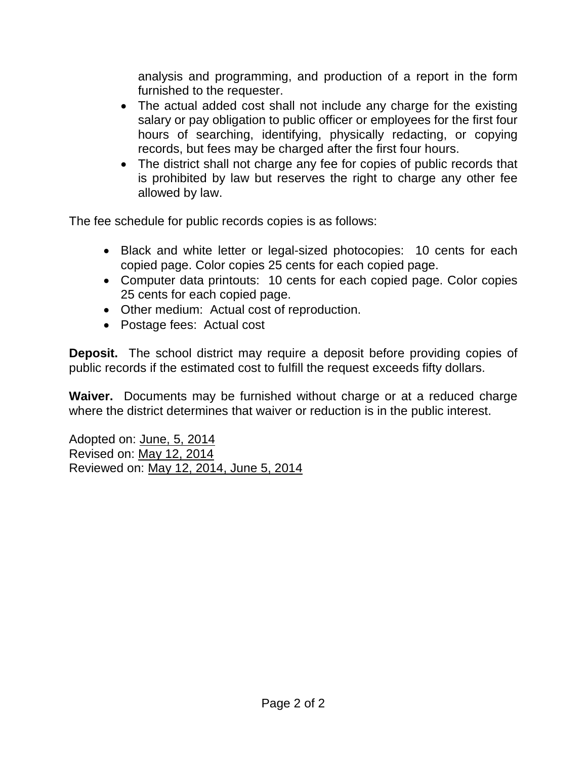analysis and programming, and production of a report in the form furnished to the requester.

- The actual added cost shall not include any charge for the existing salary or pay obligation to public officer or employees for the first four hours of searching, identifying, physically redacting, or copying records, but fees may be charged after the first four hours.
- The district shall not charge any fee for copies of public records that is prohibited by law but reserves the right to charge any other fee allowed by law.

The fee schedule for public records copies is as follows:

- Black and white letter or legal-sized photocopies: 10 cents for each copied page. Color copies 25 cents for each copied page.
- Computer data printouts: 10 cents for each copied page. Color copies 25 cents for each copied page.
- Other medium: Actual cost of reproduction.
- Postage fees: Actual cost

**Deposit.** The school district may require a deposit before providing copies of public records if the estimated cost to fulfill the request exceeds fifty dollars.

**Waiver.** Documents may be furnished without charge or at a reduced charge where the district determines that waiver or reduction is in the public interest.

Adopted on: June, 5, 2014 Revised on: May 12, 2014 Reviewed on: May 12, 2014, June 5, 2014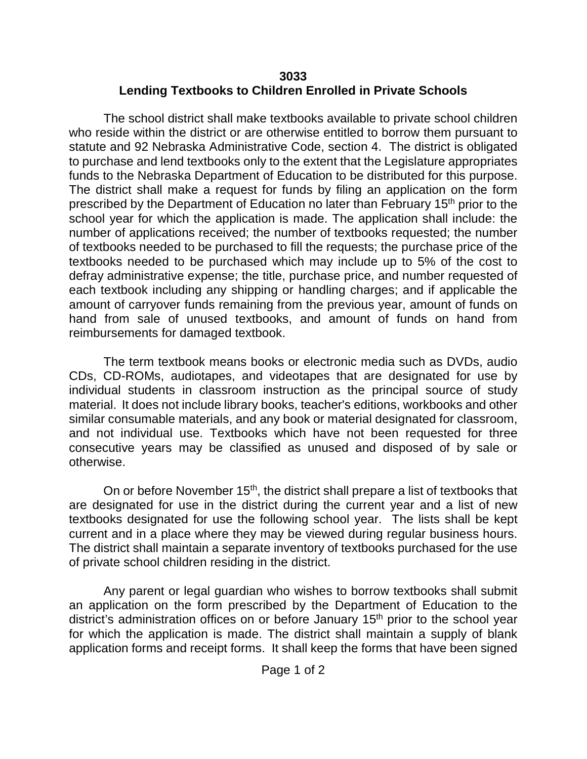# **3033 Lending Textbooks to Children Enrolled in Private Schools**

The school district shall make textbooks available to private school children who reside within the district or are otherwise entitled to borrow them pursuant to statute and 92 Nebraska Administrative Code, section 4. The district is obligated to purchase and lend textbooks only to the extent that the Legislature appropriates funds to the Nebraska Department of Education to be distributed for this purpose. The district shall make a request for funds by filing an application on the form prescribed by the Department of Education no later than February 15<sup>th</sup> prior to the school year for which the application is made. The application shall include: the number of applications received; the number of textbooks requested; the number of textbooks needed to be purchased to fill the requests; the purchase price of the textbooks needed to be purchased which may include up to 5% of the cost to defray administrative expense; the title, purchase price, and number requested of each textbook including any shipping or handling charges; and if applicable the amount of carryover funds remaining from the previous year, amount of funds on hand from sale of unused textbooks, and amount of funds on hand from reimbursements for damaged textbook.

The term textbook means books or electronic media such as DVDs, audio CDs, CD-ROMs, audiotapes, and videotapes that are designated for use by individual students in classroom instruction as the principal source of study material. It does not include library books, teacher's editions, workbooks and other similar consumable materials, and any book or material designated for classroom, and not individual use. Textbooks which have not been requested for three consecutive years may be classified as unused and disposed of by sale or otherwise.

On or before November 15<sup>th</sup>, the district shall prepare a list of textbooks that are designated for use in the district during the current year and a list of new textbooks designated for use the following school year. The lists shall be kept current and in a place where they may be viewed during regular business hours. The district shall maintain a separate inventory of textbooks purchased for the use of private school children residing in the district.

Any parent or legal guardian who wishes to borrow textbooks shall submit an application on the form prescribed by the Department of Education to the district's administration offices on or before January 15<sup>th</sup> prior to the school year for which the application is made. The district shall maintain a supply of blank application forms and receipt forms. It shall keep the forms that have been signed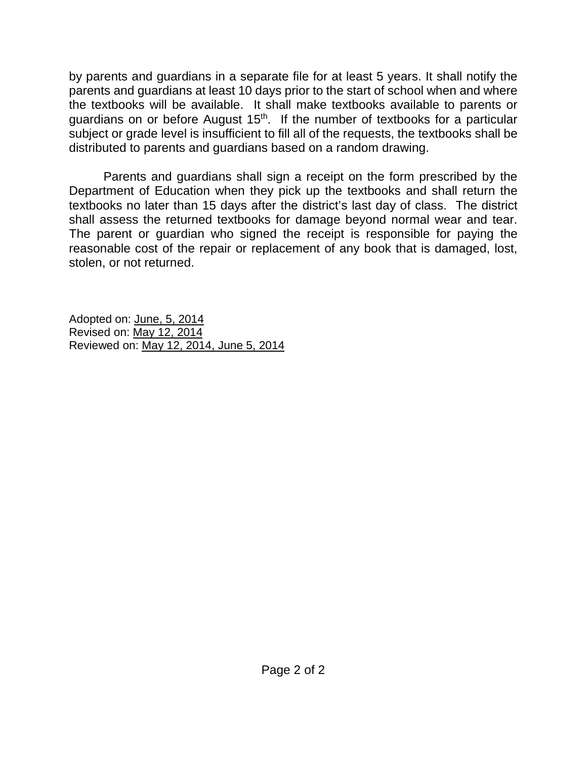by parents and guardians in a separate file for at least 5 years. It shall notify the parents and guardians at least 10 days prior to the start of school when and where the textbooks will be available. It shall make textbooks available to parents or guardians on or before August  $15<sup>th</sup>$ . If the number of textbooks for a particular subject or grade level is insufficient to fill all of the requests, the textbooks shall be distributed to parents and guardians based on a random drawing.

Parents and guardians shall sign a receipt on the form prescribed by the Department of Education when they pick up the textbooks and shall return the textbooks no later than 15 days after the district's last day of class. The district shall assess the returned textbooks for damage beyond normal wear and tear. The parent or guardian who signed the receipt is responsible for paying the reasonable cost of the repair or replacement of any book that is damaged, lost, stolen, or not returned.

Adopted on: June, 5, 2014 Revised on: May 12, 2014 Reviewed on: May 12, 2014, June 5, 2014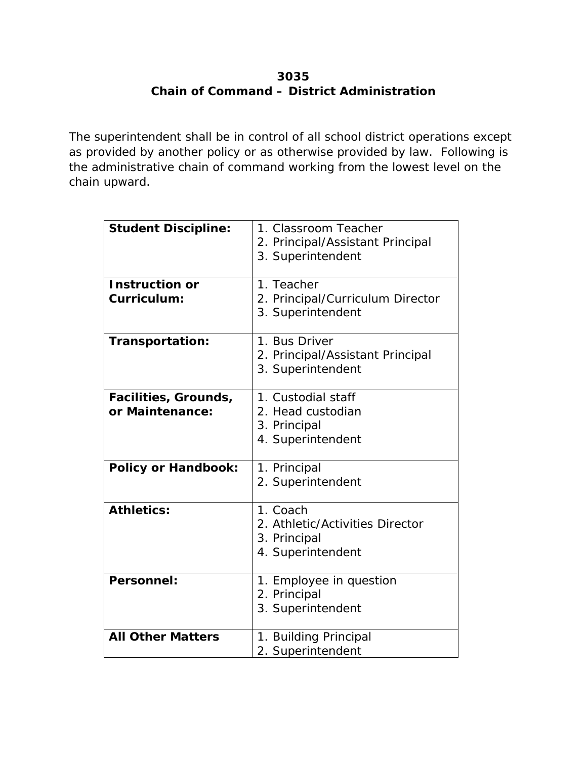## **3035 Chain of Command – District Administration**

The superintendent shall be in control of all school district operations except as provided by another policy or as otherwise provided by law. Following is the administrative chain of command working from the lowest level on the chain upward.

| <b>Student Discipline:</b> | 1. Classroom Teacher             |
|----------------------------|----------------------------------|
|                            | 2. Principal/Assistant Principal |
|                            | 3. Superintendent                |
|                            |                                  |
| <b>Instruction or</b>      | 1. Teacher                       |
| Curriculum:                | 2. Principal/Curriculum Director |
|                            | 3. Superintendent                |
| Transportation:            | 1. Bus Driver                    |
|                            | 2. Principal/Assistant Principal |
|                            | 3. Superintendent                |
| Facilities, Grounds,       | 1. Custodial staff               |
| or Maintenance:            | 2. Head custodian                |
|                            | 3. Principal                     |
|                            | 4. Superintendent                |
|                            |                                  |
| <b>Policy or Handbook:</b> | 1. Principal                     |
|                            | 2. Superintendent                |
| <b>Athletics:</b>          | 1. Coach                         |
|                            | 2. Athletic/Activities Director  |
|                            | 3. Principal                     |
|                            | 4. Superintendent                |
|                            |                                  |
| Personnel:                 | 1. Employee in question          |
|                            | 2. Principal                     |
|                            | 3. Superintendent                |
| <b>All Other Matters</b>   | 1. Building Principal            |
|                            | 2. Superintendent                |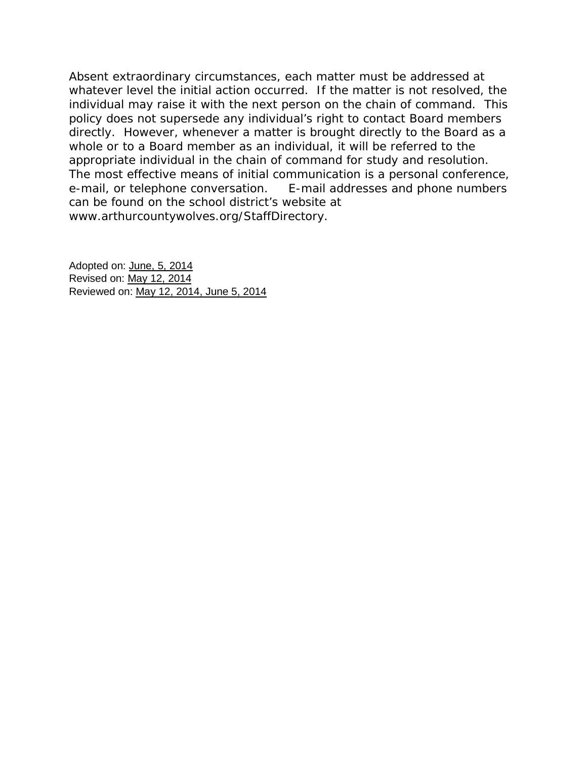Absent extraordinary circumstances, each matter must be addressed at whatever level the initial action occurred. If the matter is not resolved, the individual may raise it with the next person on the chain of command. This policy does not supersede any individual's right to contact Board members directly. However, whenever a matter is brought directly to the Board as a whole or to a Board member as an individual, it will be referred to the appropriate individual in the chain of command for study and resolution. The most effective means of initial communication is a personal conference, e-mail, or telephone conversation. E-mail addresses and phone numbers can be found on the school district's website at www.arthurcountywolves.org/StaffDirectory.

Adopted on: June, 5, 2014 Revised on: May 12, 2014 Reviewed on: May 12, 2014, June 5, 2014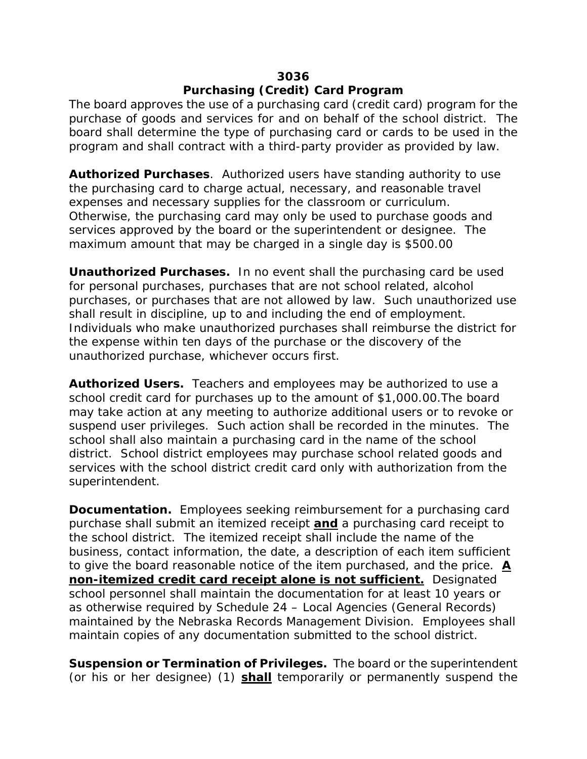#### **3036**

## **Purchasing (Credit) Card Program**

The board approves the use of a purchasing card (credit card) program for the purchase of goods and services for and on behalf of the school district. The board shall determine the type of purchasing card or cards to be used in the program and shall contract with a third-party provider as provided by law.

**Authorized Purchases***.* Authorized users have standing authority to use the purchasing card to charge actual, necessary, and reasonable travel expenses and necessary supplies for the classroom or curriculum. Otherwise, the purchasing card may only be used to purchase goods and services approved by the board or the superintendent or designee. The maximum amount that may be charged in a single day is \$500.00

**Unauthorized Purchases.** In no event shall the purchasing card be used for personal purchases, purchases that are not school related, alcohol purchases, or purchases that are not allowed by law. Such unauthorized use shall result in discipline, up to and including the end of employment. Individuals who make unauthorized purchases shall reimburse the district for the expense within ten days of the purchase or the discovery of the unauthorized purchase, whichever occurs first.

**Authorized Users.** Teachers and employees may be authorized to use a school credit card for purchases up to the amount of \$1,000.00.The board may take action at any meeting to authorize additional users or to revoke or suspend user privileges. Such action shall be recorded in the minutes. The school shall also maintain a purchasing card in the name of the school district. School district employees may purchase school related goods and services with the school district credit card only with authorization from the superintendent.

**Documentation.** Employees seeking reimbursement for a purchasing card purchase shall submit an itemized receipt *and* a purchasing card receipt to the school district. The itemized receipt shall include the name of the business, contact information, the date, a description of each item sufficient to give the board reasonable notice of the item purchased, and the price. *A non-itemized credit card receipt alone is not sufficient.* Designated school personnel shall maintain the documentation for at least 10 years or as otherwise required by Schedule 24 – Local Agencies (General Records) maintained by the Nebraska Records Management Division. Employees shall maintain copies of any documentation submitted to the school district.

**Suspension or Termination of Privileges.** The board or the superintendent (or his or her designee) (1) *shall* temporarily or permanently suspend the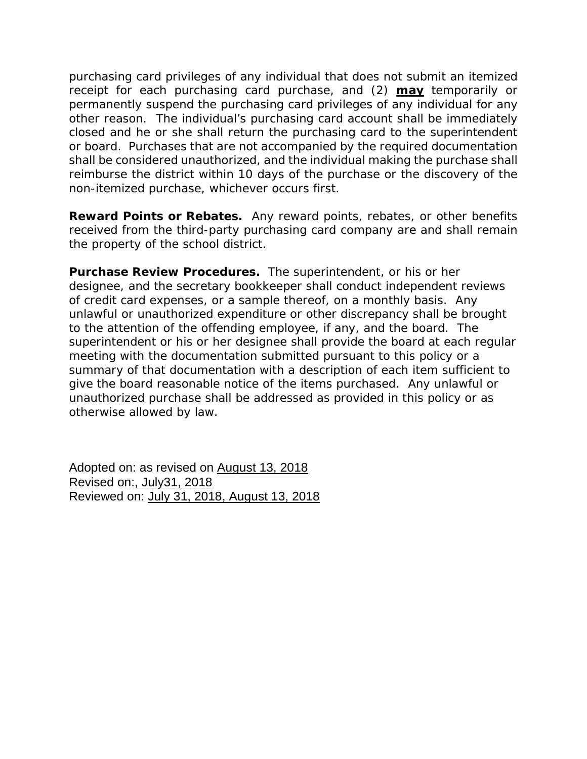purchasing card privileges of any individual that does not submit an itemized receipt for each purchasing card purchase, and (2) *may* temporarily or permanently suspend the purchasing card privileges of any individual for any other reason. The individual's purchasing card account shall be immediately closed and he or she shall return the purchasing card to the superintendent or board. Purchases that are not accompanied by the required documentation shall be considered unauthorized, and the individual making the purchase shall reimburse the district within 10 days of the purchase or the discovery of the non-itemized purchase, whichever occurs first.

**Reward Points or Rebates.** Any reward points, rebates, or other benefits received from the third-party purchasing card company are and shall remain the property of the school district.

**Purchase Review Procedures.** The superintendent, or his or her designee, and the secretary bookkeeper shall conduct independent reviews of credit card expenses, or a sample thereof, on a monthly basis. Any unlawful or unauthorized expenditure or other discrepancy shall be brought to the attention of the offending employee, if any, and the board. The superintendent or his or her designee shall provide the board at each regular meeting with the documentation submitted pursuant to this policy or a summary of that documentation with a description of each item sufficient to give the board reasonable notice of the items purchased. Any unlawful or unauthorized purchase shall be addressed as provided in this policy or as otherwise allowed by law.

Adopted on: as revised on August 13, 2018 Revised on:, July31, 2018 Reviewed on: July 31, 2018, August 13, 2018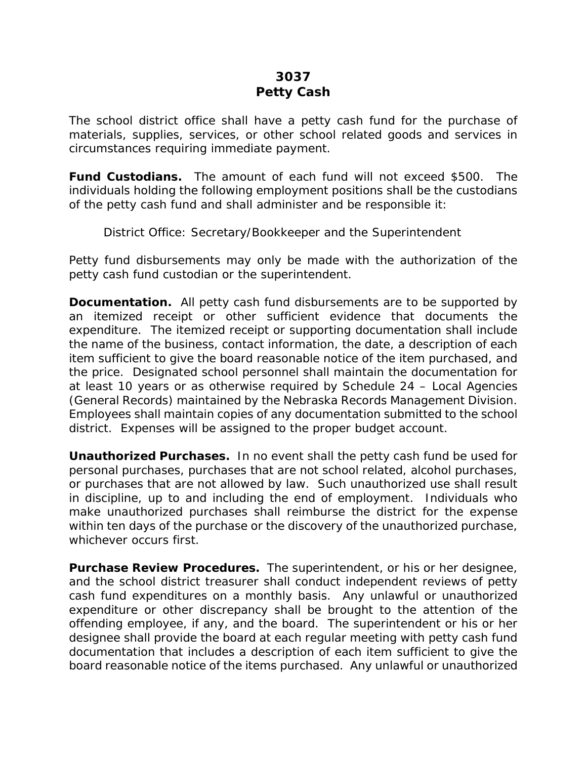## **3037 Petty Cash**

The school district office shall have a petty cash fund for the purchase of materials, supplies, services, or other school related goods and services in circumstances requiring immediate payment.

**Fund Custodians.** The amount of each fund will not exceed \$500. The individuals holding the following employment positions shall be the custodians of the petty cash fund and shall administer and be responsible it:

District Office: Secretary/Bookkeeper and the Superintendent

Petty fund disbursements may only be made with the authorization of the petty cash fund custodian or the superintendent.

**Documentation.** All petty cash fund disbursements are to be supported by an itemized receipt or other sufficient evidence that documents the expenditure. The itemized receipt or supporting documentation shall include the name of the business, contact information, the date, a description of each item sufficient to give the board reasonable notice of the item purchased, and the price. Designated school personnel shall maintain the documentation for at least 10 years or as otherwise required by Schedule 24 – Local Agencies (General Records) maintained by the Nebraska Records Management Division. Employees shall maintain copies of any documentation submitted to the school district. Expenses will be assigned to the proper budget account.

**Unauthorized Purchases.** In no event shall the petty cash fund be used for personal purchases, purchases that are not school related, alcohol purchases, or purchases that are not allowed by law. Such unauthorized use shall result in discipline, up to and including the end of employment. Individuals who make unauthorized purchases shall reimburse the district for the expense within ten days of the purchase or the discovery of the unauthorized purchase, whichever occurs first.

**Purchase Review Procedures.** The superintendent, or his or her designee, and the school district treasurer shall conduct independent reviews of petty cash fund expenditures on a monthly basis. Any unlawful or unauthorized expenditure or other discrepancy shall be brought to the attention of the offending employee, if any, and the board. The superintendent or his or her designee shall provide the board at each regular meeting with petty cash fund documentation that includes a description of each item sufficient to give the board reasonable notice of the items purchased. Any unlawful or unauthorized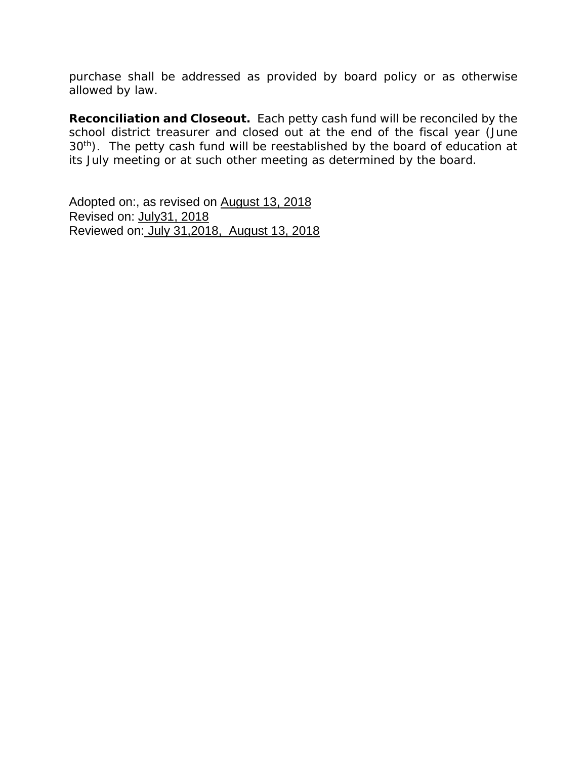purchase shall be addressed as provided by board policy or as otherwise allowed by law.

**Reconciliation and Closeout.** Each petty cash fund will be reconciled by the school district treasurer and closed out at the end of the fiscal year (June 30<sup>th</sup>). The petty cash fund will be reestablished by the board of education at its July meeting or at such other meeting as determined by the board.

Adopted on:, as revised on August 13, 2018 Revised on: July31, 2018 Reviewed on: July 31,2018, August 13, 2018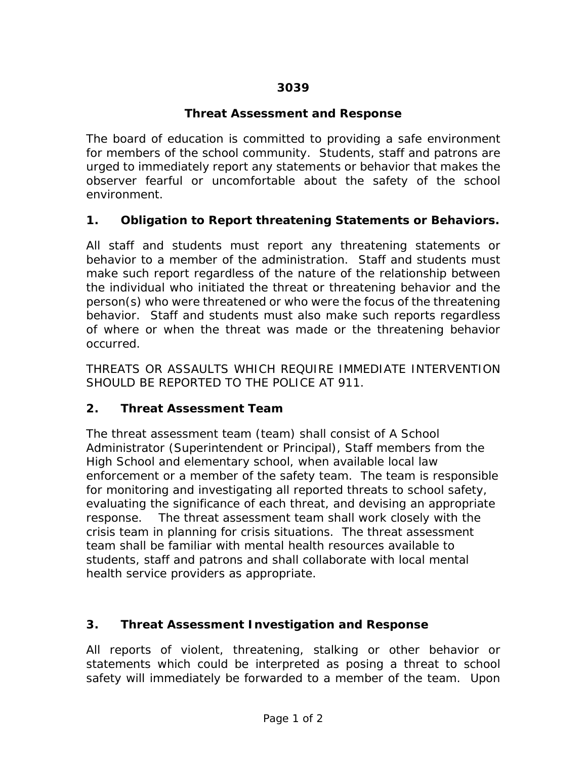## **Threat Assessment and Response**

The board of education is committed to providing a safe environment for members of the school community. Students, staff and patrons are urged to immediately report any statements or behavior that makes the observer fearful or uncomfortable about the safety of the school environment.

## **1. Obligation to Report threatening Statements or Behaviors.**

All staff and students must report any threatening statements or behavior to a member of the administration. Staff and students must make such report regardless of the nature of the relationship between the individual who initiated the threat or threatening behavior and the person(s) who were threatened or who were the focus of the threatening behavior. Staff and students must also make such reports regardless of where or when the threat was made or the threatening behavior occurred.

THREATS OR ASSAULTS WHICH REQUIRE IMMEDIATE INTERVENTION SHOULD BE REPORTED TO THE POLICE AT 911.

### **2. Threat Assessment Team**

The threat assessment team (team) shall consist of A School Administrator (Superintendent or Principal), Staff members from the High School and elementary school, when available local law enforcement or a member of the safety team. The team is responsible for monitoring and investigating all reported threats to school safety, evaluating the significance of each threat, and devising an appropriate response. The threat assessment team shall work closely with the crisis team in planning for crisis situations. The threat assessment team shall be familiar with mental health resources available to students, staff and patrons and shall collaborate with local mental health service providers as appropriate.

### **3. Threat Assessment Investigation and Response**

All reports of violent, threatening, stalking or other behavior or statements which could be interpreted as posing a threat to school safety will immediately be forwarded to a member of the team. Upon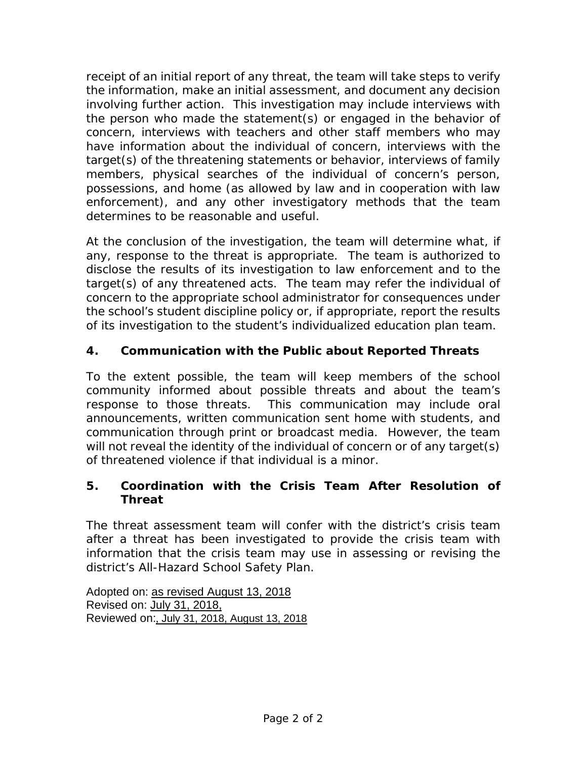receipt of an initial report of any threat, the team will take steps to verify the information, make an initial assessment, and document any decision involving further action. This investigation may include interviews with the person who made the statement(s) or engaged in the behavior of concern, interviews with teachers and other staff members who may have information about the individual of concern, interviews with the target(s) of the threatening statements or behavior, interviews of family members, physical searches of the individual of concern's person, possessions, and home (as allowed by law and in cooperation with law enforcement), and any other investigatory methods that the team determines to be reasonable and useful.

At the conclusion of the investigation, the team will determine what, if any, response to the threat is appropriate. The team is authorized to disclose the results of its investigation to law enforcement and to the target(s) of any threatened acts. The team may refer the individual of concern to the appropriate school administrator for consequences under the school's student discipline policy or, if appropriate, report the results of its investigation to the student's individualized education plan team.

# **4. Communication with the Public about Reported Threats**

To the extent possible, the team will keep members of the school community informed about possible threats and about the team's response to those threats. This communication may include oral announcements, written communication sent home with students, and communication through print or broadcast media. However, the team will not reveal the identity of the individual of concern or of any target(s) of threatened violence if that individual is a minor.

## **5. Coordination with the Crisis Team After Resolution of Threat**

The threat assessment team will confer with the district's crisis team after a threat has been investigated to provide the crisis team with information that the crisis team may use in assessing or revising the district's All-Hazard School Safety Plan.

Adopted on: as revised August 13, 2018 Revised on: July 31, 2018, Reviewed on:, July 31, 2018, August 13, 2018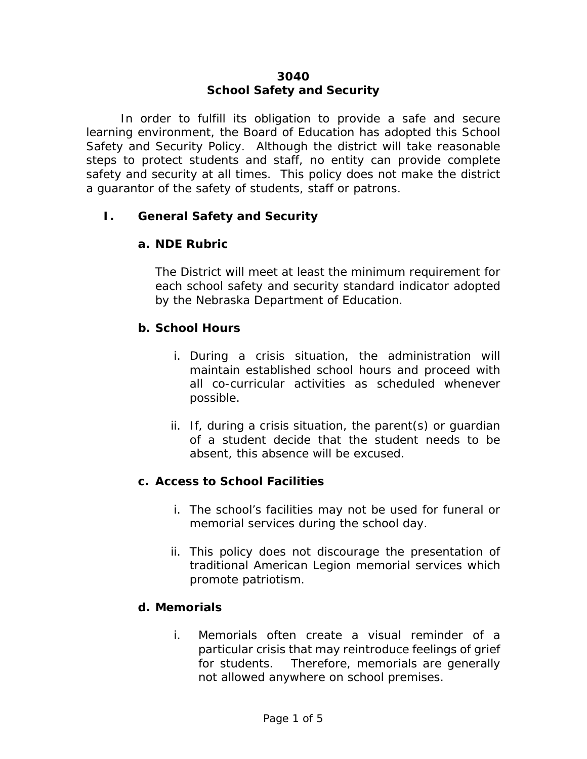## **3040 School Safety and Security**

In order to fulfill its obligation to provide a safe and secure learning environment, the Board of Education has adopted this School Safety and Security Policy. Although the district will take reasonable steps to protect students and staff, no entity can provide complete safety and security at all times. This policy does not make the district a guarantor of the safety of students, staff or patrons.

### **I. General Safety and Security**

#### **a. NDE Rubric**

The District will meet at least the minimum requirement for each school safety and security standard indicator adopted by the Nebraska Department of Education.

#### **b. School Hours**

- i. During a crisis situation, the administration will maintain established school hours and proceed with all co-curricular activities as scheduled whenever possible.
- ii. If, during a crisis situation, the parent(s) or guardian of a student decide that the student needs to be absent, this absence will be excused.

### **c. Access to School Facilities**

- i. The school's facilities may not be used for funeral or memorial services during the school day.
- ii. This policy does not discourage the presentation of traditional American Legion memorial services which promote patriotism.

#### **d. Memorials**

i. Memorials often create a visual reminder of a particular crisis that may reintroduce feelings of grief for students. Therefore, memorials are generally not allowed anywhere on school premises.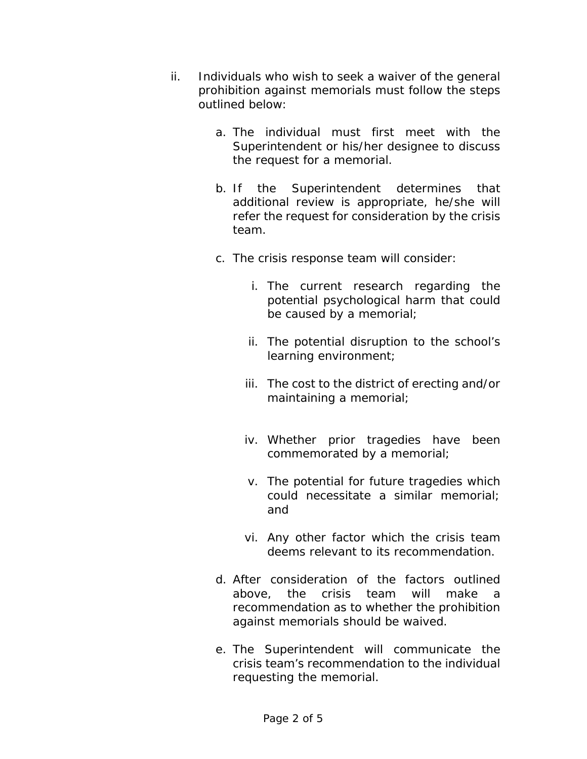- ii. Individuals who wish to seek a waiver of the general prohibition against memorials must follow the steps outlined below:
	- a. The individual must first meet with the Superintendent or his/her designee to discuss the request for a memorial.
	- b. If the Superintendent determines that additional review is appropriate, he/she will refer the request for consideration by the crisis team.
	- c. The crisis response team will consider:
		- i. The current research regarding the potential psychological harm that could be caused by a memorial;
		- ii. The potential disruption to the school's learning environment;
		- iii. The cost to the district of erecting and/or maintaining a memorial;
		- iv. Whether prior tragedies have been commemorated by a memorial;
		- v. The potential for future tragedies which could necessitate a similar memorial; and
		- vi. Any other factor which the crisis team deems relevant to its recommendation.
	- d. After consideration of the factors outlined above, the crisis team will make a recommendation as to whether the prohibition against memorials should be waived.
	- e. The Superintendent will communicate the crisis team's recommendation to the individual requesting the memorial.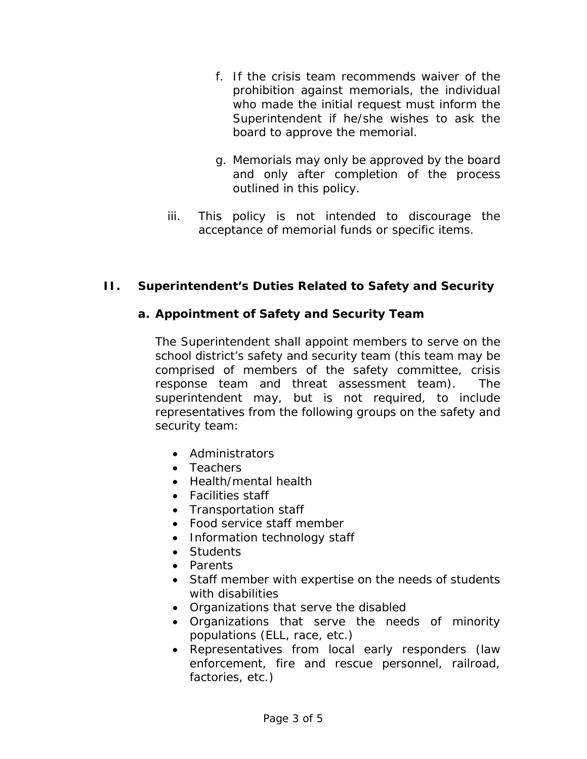- f. If the crisis team recommends waiver of the prohibition against memorials, the individual who made the initial request must inform the Superintendent if he/she wishes to ask the board to approve the memorial.
- g. Memorials may only be approved by the board and only after completion of the process outlined in this policy.
- iii. This policy is not intended to discourage the acceptance of memorial funds or specific items.

# **II. Superintendent's Duties Related to Safety and Security**

## **a. Appointment of Safety and Security Team**

The Superintendent shall appoint members to serve on the school district's safety and security team (this team may be comprised of members of the safety committee, crisis response team and threat assessment team). The superintendent may, but is not required, to include representatives from the following groups on the safety and security team:

- Administrators
- Teachers
- Health/mental health
- Facilities staff
- Transportation staff
- Food service staff member
- Information technology staff
- Students
- Parents
- Staff member with expertise on the needs of students with disabilities
- Organizations that serve the disabled
- Organizations that serve the needs of minority populations (ELL, race, etc.)
- Representatives from local early responders (law enforcement, fire and rescue personnel, railroad, factories, etc.)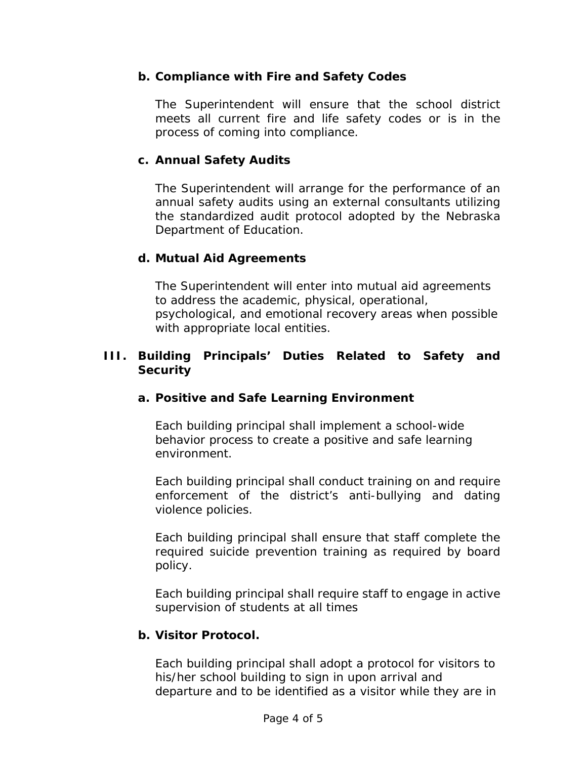### **b. Compliance with Fire and Safety Codes**

The Superintendent will ensure that the school district meets all current fire and life safety codes or is in the process of coming into compliance.

### **c. Annual Safety Audits**

The Superintendent will arrange for the performance of an annual safety audits using an external consultants utilizing the standardized audit protocol adopted by the Nebraska Department of Education.

## **d. Mutual Aid Agreements**

The Superintendent will enter into mutual aid agreements to address the academic, physical, operational, psychological, and emotional recovery areas when possible with appropriate local entities.

### **III. Building Principals' Duties Related to Safety and Security**

## **a. Positive and Safe Learning Environment**

Each building principal shall implement a school-wide behavior process to create a positive and safe learning environment.

Each building principal shall conduct training on and require enforcement of the district's anti-bullying and dating violence policies.

Each building principal shall ensure that staff complete the required suicide prevention training as required by board policy.

Each building principal shall require staff to engage in active supervision of students at all times

### **b. Visitor Protocol.**

Each building principal shall adopt a protocol for visitors to his/her school building to sign in upon arrival and departure and to be identified as a visitor while they are in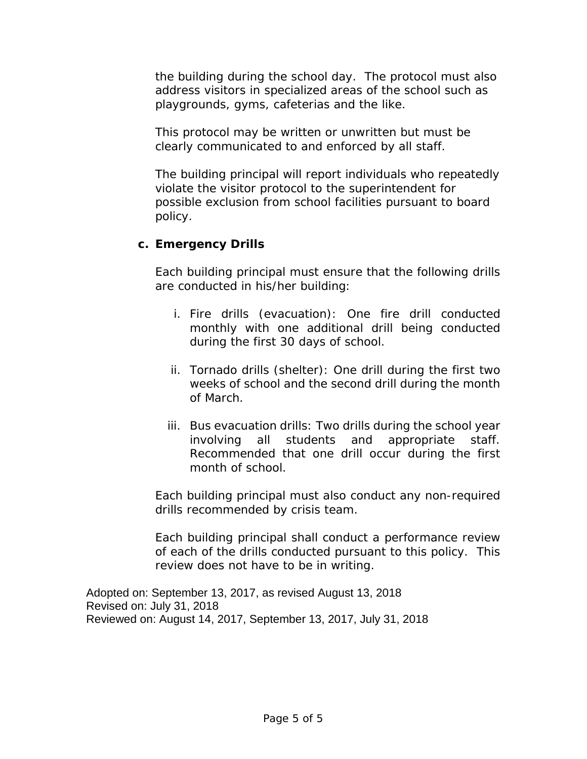the building during the school day. The protocol must also address visitors in specialized areas of the school such as playgrounds, gyms, cafeterias and the like.

This protocol may be written or unwritten but must be clearly communicated to and enforced by all staff.

The building principal will report individuals who repeatedly violate the visitor protocol to the superintendent for possible exclusion from school facilities pursuant to board policy.

### **c. Emergency Drills**

Each building principal must ensure that the following drills are conducted in his/her building:

- i. Fire drills (evacuation): One fire drill conducted monthly with one additional drill being conducted during the first 30 days of school.
- ii. Tornado drills (shelter): One drill during the first two weeks of school and the second drill during the month of March.
- iii. Bus evacuation drills: Two drills during the school year involving all students and appropriate staff. Recommended that one drill occur during the first month of school.

Each building principal must also conduct any non-required drills recommended by crisis team.

Each building principal shall conduct a performance review of each of the drills conducted pursuant to this policy. This review does not have to be in writing.

Adopted on: September 13, 2017, as revised August 13, 2018 Revised on: July 31, 2018 Reviewed on: August 14, 2017, September 13, 2017, July 31, 2018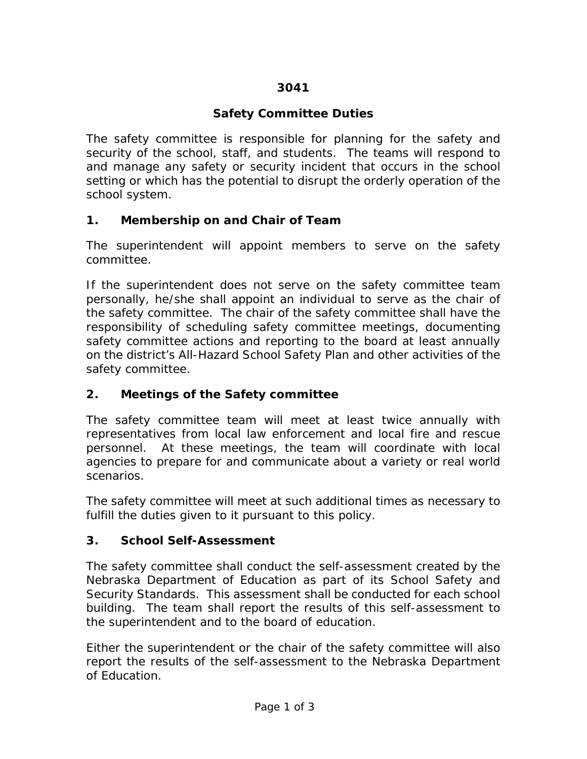# **3041**

# **Safety Committee Duties**

The safety committee is responsible for planning for the safety and security of the school, staff, and students. The teams will respond to and manage any safety or security incident that occurs in the school setting or which has the potential to disrupt the orderly operation of the school system.

## **1. Membership on and Chair of Team**

The superintendent will appoint members to serve on the safety committee.

If the superintendent does not serve on the safety committee team personally, he/she shall appoint an individual to serve as the chair of the safety committee. The chair of the safety committee shall have the responsibility of scheduling safety committee meetings, documenting safety committee actions and reporting to the board at least annually on the district's All-Hazard School Safety Plan and other activities of the safety committee.

# **2. Meetings of the Safety committee**

The safety committee team will meet at least twice annually with representatives from local law enforcement and local fire and rescue personnel. At these meetings, the team will coordinate with local agencies to prepare for and communicate about a variety or real world scenarios.

The safety committee will meet at such additional times as necessary to fulfill the duties given to it pursuant to this policy.

# **3. School Self-Assessment**

The safety committee shall conduct the self-assessment created by the Nebraska Department of Education as part of its School Safety and Security Standards. This assessment shall be conducted for each school building. The team shall report the results of this self-assessment to the superintendent and to the board of education.

Either the superintendent or the chair of the safety committee will also report the results of the self-assessment to the Nebraska Department of Education.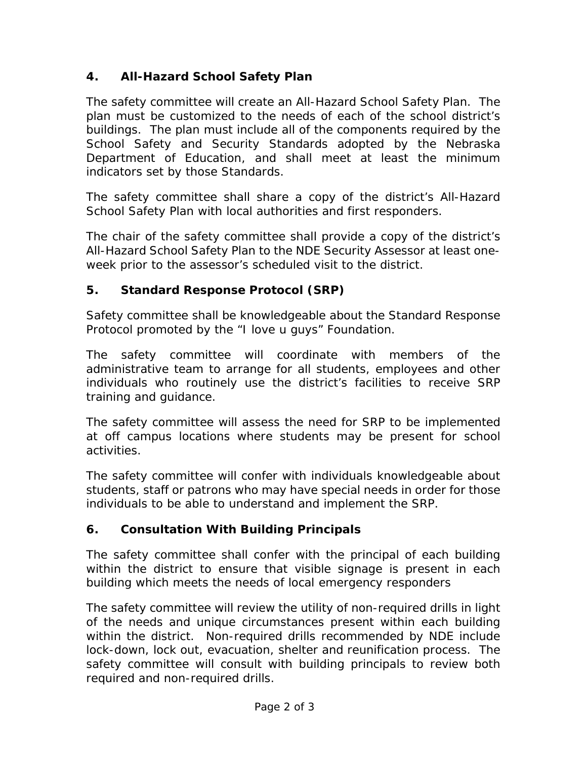# **4. All-Hazard School Safety Plan**

The safety committee will create an All-Hazard School Safety Plan. The plan must be customized to the needs of each of the school district's buildings. The plan must include all of the components required by the School Safety and Security Standards adopted by the Nebraska Department of Education, and shall meet at least the minimum indicators set by those Standards.

The safety committee shall share a copy of the district's All-Hazard School Safety Plan with local authorities and first responders.

The chair of the safety committee shall provide a copy of the district's All-Hazard School Safety Plan to the NDE Security Assessor at least oneweek prior to the assessor's scheduled visit to the district.

# **5. Standard Response Protocol (SRP)**

Safety committee shall be knowledgeable about the Standard Response Protocol promoted by the "I love u guys" Foundation.

The safety committee will coordinate with members of the administrative team to arrange for all students, employees and other individuals who routinely use the district's facilities to receive SRP training and guidance.

The safety committee will assess the need for SRP to be implemented at off campus locations where students may be present for school activities.

The safety committee will confer with individuals knowledgeable about students, staff or patrons who may have special needs in order for those individuals to be able to understand and implement the SRP.

# **6. Consultation With Building Principals**

The safety committee shall confer with the principal of each building within the district to ensure that visible signage is present in each building which meets the needs of local emergency responders

The safety committee will review the utility of non-required drills in light of the needs and unique circumstances present within each building within the district. Non-required drills recommended by NDE include lock-down, lock out, evacuation, shelter and reunification process. The safety committee will consult with building principals to review both required and non-required drills.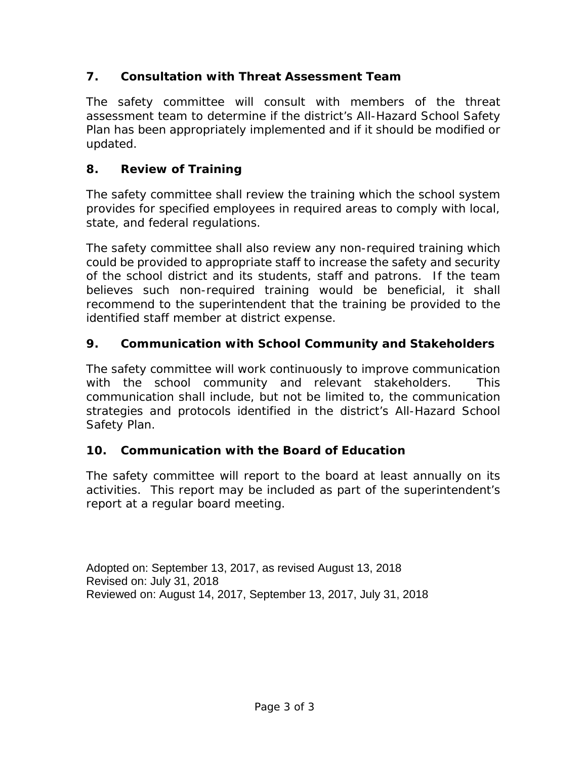# **7. Consultation with Threat Assessment Team**

The safety committee will consult with members of the threat assessment team to determine if the district's All-Hazard School Safety Plan has been appropriately implemented and if it should be modified or updated.

# **8. Review of Training**

The safety committee shall review the training which the school system provides for specified employees in required areas to comply with local, state, and federal regulations.

The safety committee shall also review any non-required training which could be provided to appropriate staff to increase the safety and security of the school district and its students, staff and patrons. If the team believes such non-required training would be beneficial, it shall recommend to the superintendent that the training be provided to the identified staff member at district expense.

# **9. Communication with School Community and Stakeholders**

The safety committee will work continuously to improve communication with the school community and relevant stakeholders. This communication shall include, but not be limited to, the communication strategies and protocols identified in the district's All-Hazard School Safety Plan.

# **10. Communication with the Board of Education**

The safety committee will report to the board at least annually on its activities. This report may be included as part of the superintendent's report at a regular board meeting.

Adopted on: September 13, 2017, as revised August 13, 2018 Revised on: July 31, 2018 Reviewed on: August 14, 2017, September 13, 2017, July 31, 2018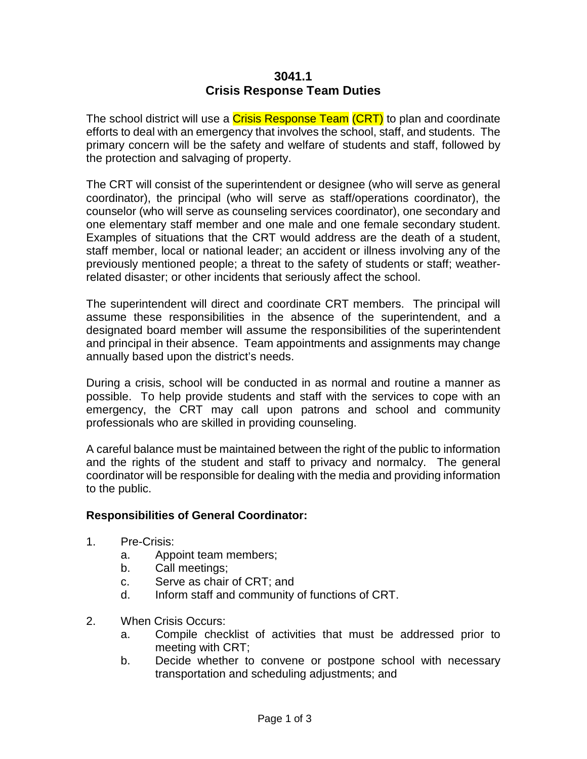#### **3041.1 Crisis Response Team Duties**

The school district will use a Crisis Response Team (CRT) to plan and coordinate efforts to deal with an emergency that involves the school, staff, and students. The primary concern will be the safety and welfare of students and staff, followed by the protection and salvaging of property.

The CRT will consist of the superintendent or designee (who will serve as general coordinator), the principal (who will serve as staff/operations coordinator), the counselor (who will serve as counseling services coordinator), one secondary and one elementary staff member and one male and one female secondary student. Examples of situations that the CRT would address are the death of a student, staff member, local or national leader; an accident or illness involving any of the previously mentioned people; a threat to the safety of students or staff; weatherrelated disaster; or other incidents that seriously affect the school.

The superintendent will direct and coordinate CRT members. The principal will assume these responsibilities in the absence of the superintendent, and a designated board member will assume the responsibilities of the superintendent and principal in their absence. Team appointments and assignments may change annually based upon the district's needs.

During a crisis, school will be conducted in as normal and routine a manner as possible. To help provide students and staff with the services to cope with an emergency, the CRT may call upon patrons and school and community professionals who are skilled in providing counseling.

A careful balance must be maintained between the right of the public to information and the rights of the student and staff to privacy and normalcy. The general coordinator will be responsible for dealing with the media and providing information to the public.

#### **Responsibilities of General Coordinator:**

- 1. Pre-Crisis:
	- a. Appoint team members;
	- b. Call meetings;
	- c. Serve as chair of CRT; and
	- d. Inform staff and community of functions of CRT.
- 2. When Crisis Occurs:
	- a. Compile checklist of activities that must be addressed prior to meeting with CRT;
	- b. Decide whether to convene or postpone school with necessary transportation and scheduling adjustments; and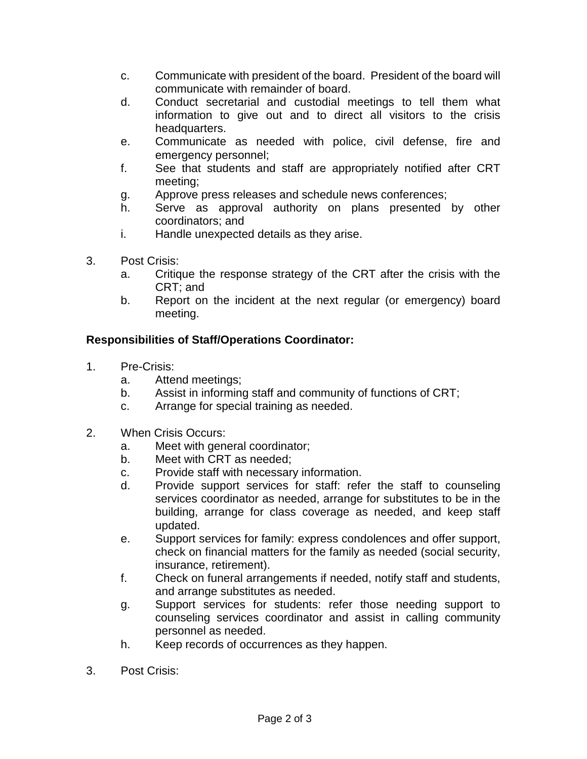- c. Communicate with president of the board. President of the board will communicate with remainder of board.
- d. Conduct secretarial and custodial meetings to tell them what information to give out and to direct all visitors to the crisis headquarters.
- e. Communicate as needed with police, civil defense, fire and emergency personnel;
- f. See that students and staff are appropriately notified after CRT meeting;
- g. Approve press releases and schedule news conferences;
- h. Serve as approval authority on plans presented by other coordinators; and
- i. Handle unexpected details as they arise.
- 3. Post Crisis:
	- a. Critique the response strategy of the CRT after the crisis with the CRT; and
	- b. Report on the incident at the next regular (or emergency) board meeting.

## **Responsibilities of Staff/Operations Coordinator:**

- 1. Pre-Crisis:
	- a. Attend meetings;
	- b. Assist in informing staff and community of functions of CRT;
	- c. Arrange for special training as needed.
- 2. When Crisis Occurs:
	- a. Meet with general coordinator;
	- b. Meet with CRT as needed;
	- c. Provide staff with necessary information.
	- d. Provide support services for staff: refer the staff to counseling services coordinator as needed, arrange for substitutes to be in the building, arrange for class coverage as needed, and keep staff updated.
	- e. Support services for family: express condolences and offer support, check on financial matters for the family as needed (social security, insurance, retirement).
	- f. Check on funeral arrangements if needed, notify staff and students, and arrange substitutes as needed.
	- g. Support services for students: refer those needing support to counseling services coordinator and assist in calling community personnel as needed.
	- h. Keep records of occurrences as they happen.
- 3. Post Crisis: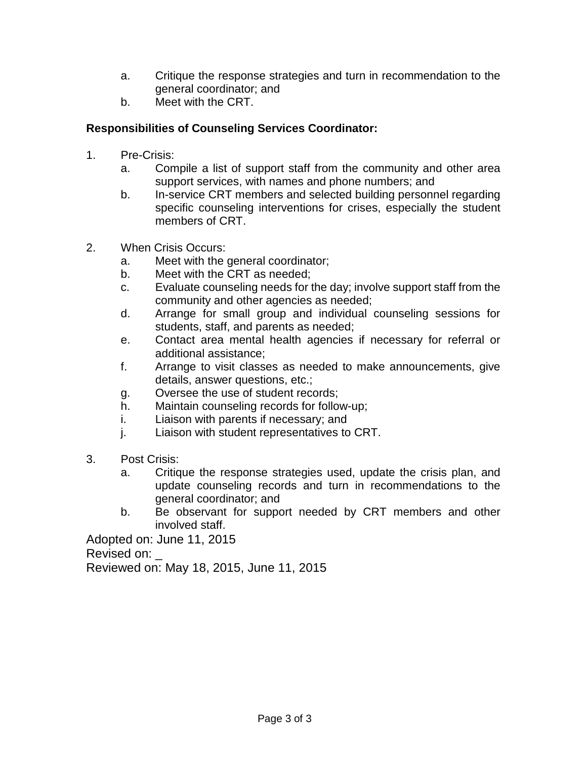- a. Critique the response strategies and turn in recommendation to the general coordinator; and
- b. Meet with the CRT.

### **Responsibilities of Counseling Services Coordinator:**

- 1. Pre-Crisis:
	- a. Compile a list of support staff from the community and other area support services, with names and phone numbers; and
	- b. In-service CRT members and selected building personnel regarding specific counseling interventions for crises, especially the student members of CRT.
- 2. When Crisis Occurs:
	- a. Meet with the general coordinator;
	- b. Meet with the CRT as needed;
	- c. Evaluate counseling needs for the day; involve support staff from the community and other agencies as needed;
	- d. Arrange for small group and individual counseling sessions for students, staff, and parents as needed;
	- e. Contact area mental health agencies if necessary for referral or additional assistance;
	- f. Arrange to visit classes as needed to make announcements, give details, answer questions, etc.;
	- g. Oversee the use of student records;
	- h. Maintain counseling records for follow-up;
	- i. Liaison with parents if necessary; and
	- j. Liaison with student representatives to CRT.
- 3. Post Crisis:
	- a. Critique the response strategies used, update the crisis plan, and update counseling records and turn in recommendations to the general coordinator; and
	- b. Be observant for support needed by CRT members and other involved staff.

Adopted on: June 11, 2015 Revised on: Reviewed on: May 18, 2015, June 11, 2015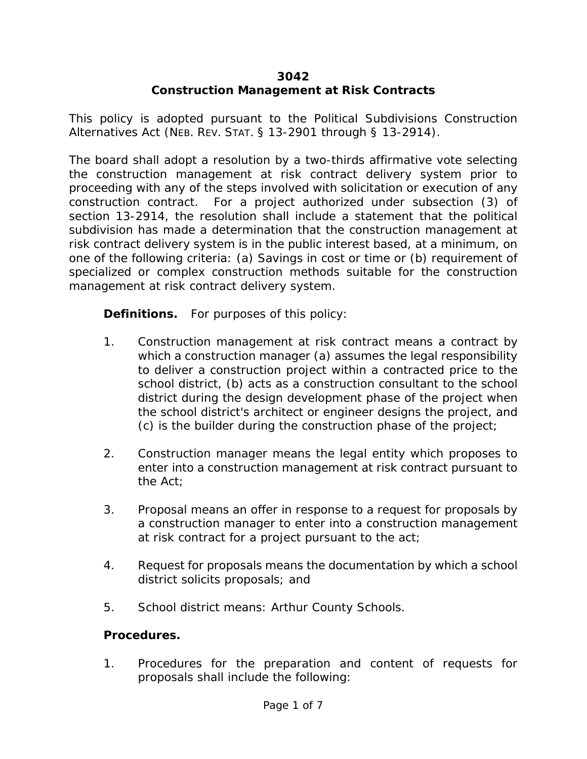## **3042**

# **Construction Management at Risk Contracts**

This policy is adopted pursuant to the Political Subdivisions Construction Alternatives Act (NEB. REV. STAT. § 13-2901 through § 13-2914).

The board shall adopt a resolution by a two-thirds affirmative vote selecting the construction management at risk contract delivery system prior to proceeding with any of the steps involved with solicitation or execution of any construction contract. For a project authorized under subsection (3) of section 13-2914, the resolution shall include a statement that the political subdivision has made a determination that the construction management at risk contract delivery system is in the public interest based, at a minimum, on one of the following criteria: (a) Savings in cost or time or (b) requirement of specialized or complex construction methods suitable for the construction management at risk contract delivery system.

**Definitions.** For purposes of this policy:

- 1. Construction management at risk contract means a contract by which a construction manager (a) assumes the legal responsibility to deliver a construction project within a contracted price to the school district, (b) acts as a construction consultant to the school district during the design development phase of the project when the school district's architect or engineer designs the project, and (c) is the builder during the construction phase of the project;
- 2. Construction manager means the legal entity which proposes to enter into a construction management at risk contract pursuant to the Act;
- 3. Proposal means an offer in response to a request for proposals by a construction manager to enter into a construction management at risk contract for a project pursuant to the act;
- 4. Request for proposals means the documentation by which a school district solicits proposals; and
- 5. School district means: Arthur County Schools.

### **Procedures.**

1. Procedures for the preparation and content of requests for proposals shall include the following: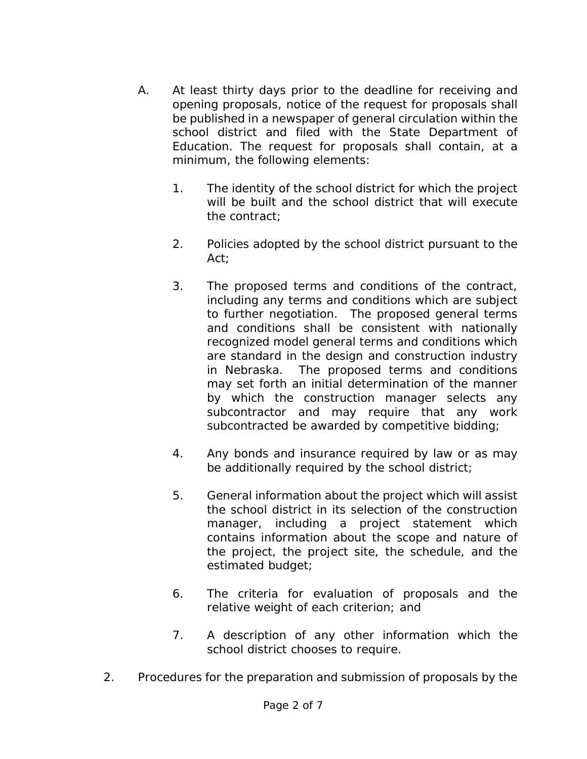- A. At least thirty days prior to the deadline for receiving and opening proposals, notice of the request for proposals shall be published in a newspaper of general circulation within the school district and filed with the State Department of Education. The request for proposals shall contain, at a minimum, the following elements:
	- 1. The identity of the school district for which the project will be built and the school district that will execute the contract;
	- 2. Policies adopted by the school district pursuant to the Act;
	- 3. The proposed terms and conditions of the contract, including any terms and conditions which are subject to further negotiation. The proposed general terms and conditions shall be consistent with nationally recognized model general terms and conditions which are standard in the design and construction industry in Nebraska. The proposed terms and conditions may set forth an initial determination of the manner by which the construction manager selects any subcontractor and may require that any work subcontracted be awarded by competitive bidding;
	- 4. Any bonds and insurance required by law or as may be additionally required by the school district;
	- 5. General information about the project which will assist the school district in its selection of the construction manager, including a project statement which contains information about the scope and nature of the project, the project site, the schedule, and the estimated budget;
	- 6. The criteria for evaluation of proposals and the relative weight of each criterion; and
	- 7. A description of any other information which the school district chooses to require.
- 2. Procedures for the preparation and submission of proposals by the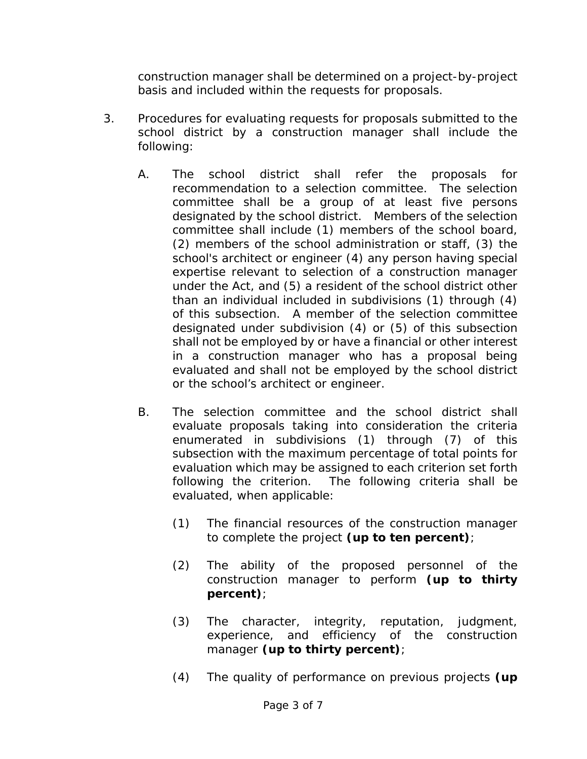construction manager shall be determined on a project-by-project basis and included within the requests for proposals.

- 3. Procedures for evaluating requests for proposals submitted to the school district by a construction manager shall include the following:
	- A. The school district shall refer the proposals for recommendation to a selection committee. The selection committee shall be a group of at least five persons designated by the school district. Members of the selection committee shall include (1) members of the school board, (2) members of the school administration or staff, (3) the school's architect or engineer (4) any person having special expertise relevant to selection of a construction manager under the Act, and (5) a resident of the school district other than an individual included in subdivisions (1) through (4) of this subsection. A member of the selection committee designated under subdivision (4) or (5) of this subsection shall not be employed by or have a financial or other interest in a construction manager who has a proposal being evaluated and shall not be employed by the school district or the school's architect or engineer.
	- B. The selection committee and the school district shall evaluate proposals taking into consideration the criteria enumerated in subdivisions (1) through (7) of this subsection with the maximum percentage of total points for evaluation which may be assigned to each criterion set forth following the criterion. The following criteria shall be evaluated, when applicable:
		- (1) The financial resources of the construction manager to complete the project **(up to ten percent)**;
		- (2) The ability of the proposed personnel of the construction manager to perform **(up to thirty percent)**;
		- (3) The character, integrity, reputation, judgment, experience, and efficiency of the construction manager **(up to thirty percent)**;
		- (4) The quality of performance on previous projects **(up**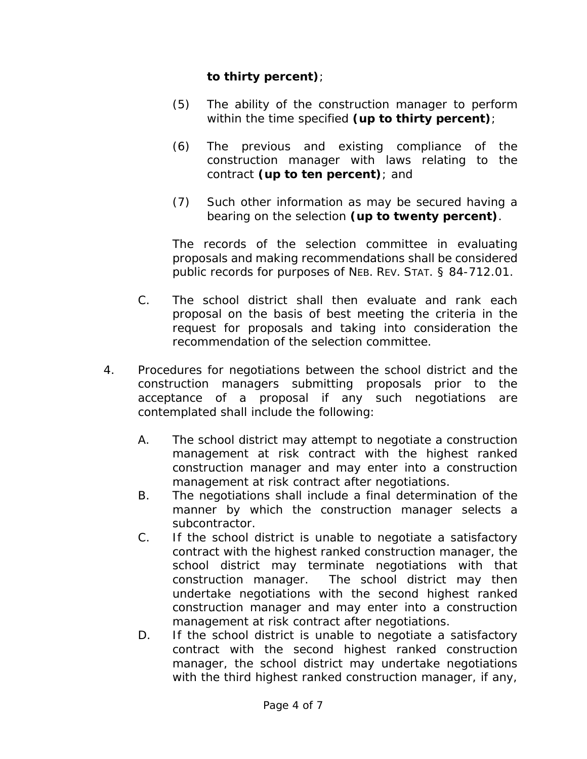## **to thirty percent)**;

- (5) The ability of the construction manager to perform within the time specified **(up to thirty percent)**;
- (6) The previous and existing compliance of the construction manager with laws relating to the contract **(up to ten percent)**; and
- (7) Such other information as may be secured having a bearing on the selection **(up to twenty percent)**.

The records of the selection committee in evaluating proposals and making recommendations shall be considered public records for purposes of NEB. REV. STAT. § 84-712.01.

- C. The school district shall then evaluate and rank each proposal on the basis of best meeting the criteria in the request for proposals and taking into consideration the recommendation of the selection committee.
- 4. Procedures for negotiations between the school district and the construction managers submitting proposals prior to the acceptance of a proposal if any such negotiations are contemplated shall include the following:
	- A. The school district may attempt to negotiate a construction management at risk contract with the highest ranked construction manager and may enter into a construction management at risk contract after negotiations.
	- B. The negotiations shall include a final determination of the manner by which the construction manager selects a subcontractor.
	- C. If the school district is unable to negotiate a satisfactory contract with the highest ranked construction manager, the school district may terminate negotiations with that construction manager. The school district may then undertake negotiations with the second highest ranked construction manager and may enter into a construction management at risk contract after negotiations.
	- D. If the school district is unable to negotiate a satisfactory contract with the second highest ranked construction manager, the school district may undertake negotiations with the third highest ranked construction manager, if any,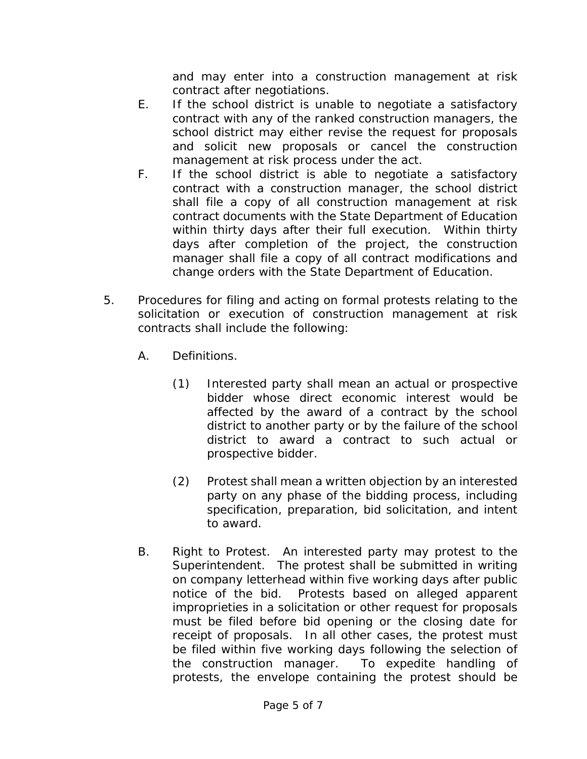and may enter into a construction management at risk contract after negotiations.

- E. If the school district is unable to negotiate a satisfactory contract with any of the ranked construction managers, the school district may either revise the request for proposals and solicit new proposals or cancel the construction management at risk process under the act.
- F. If the school district is able to negotiate a satisfactory contract with a construction manager, the school district shall file a copy of all construction management at risk contract documents with the State Department of Education within thirty days after their full execution. Within thirty days after completion of the project, the construction manager shall file a copy of all contract modifications and change orders with the State Department of Education.
- 5. Procedures for filing and acting on formal protests relating to the solicitation or execution of construction management at risk contracts shall include the following:
	- A. Definitions.
		- (1) Interested party shall mean an actual or prospective bidder whose direct economic interest would be affected by the award of a contract by the school district to another party or by the failure of the school district to award a contract to such actual or prospective bidder.
		- (2) Protest shall mean a written objection by an interested party on any phase of the bidding process, including specification, preparation, bid solicitation, and intent to award.
	- B. Right to Protest. An interested party may protest to the Superintendent. The protest shall be submitted in writing on company letterhead within five working days after public notice of the bid. Protests based on alleged apparent improprieties in a solicitation or other request for proposals must be filed before bid opening or the closing date for receipt of proposals. In all other cases, the protest must be filed within five working days following the selection of the construction manager. To expedite handling of protests, the envelope containing the protest should be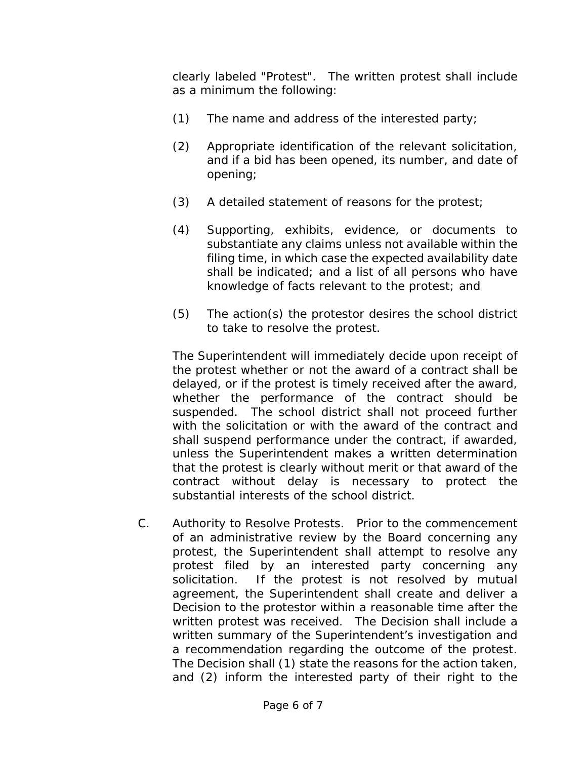clearly labeled "Protest". The written protest shall include as a minimum the following:

- (1) The name and address of the interested party;
- (2) Appropriate identification of the relevant solicitation, and if a bid has been opened, its number, and date of opening;
- (3) A detailed statement of reasons for the protest;
- (4) Supporting, exhibits, evidence, or documents to substantiate any claims unless not available within the filing time, in which case the expected availability date shall be indicated; and a list of all persons who have knowledge of facts relevant to the protest; and
- (5) The action(s) the protestor desires the school district to take to resolve the protest.

The Superintendent will immediately decide upon receipt of the protest whether or not the award of a contract shall be delayed, or if the protest is timely received after the award, whether the performance of the contract should be suspended. The school district shall not proceed further with the solicitation or with the award of the contract and shall suspend performance under the contract, if awarded, unless the Superintendent makes a written determination that the protest is clearly without merit or that award of the contract without delay is necessary to protect the substantial interests of the school district.

C. Authority to Resolve Protests. Prior to the commencement of an administrative review by the Board concerning any protest, the Superintendent shall attempt to resolve any protest filed by an interested party concerning any solicitation. If the protest is not resolved by mutual agreement, the Superintendent shall create and deliver a Decision to the protestor within a reasonable time after the written protest was received. The Decision shall include a written summary of the Superintendent's investigation and a recommendation regarding the outcome of the protest. The Decision shall (1) state the reasons for the action taken, and (2) inform the interested party of their right to the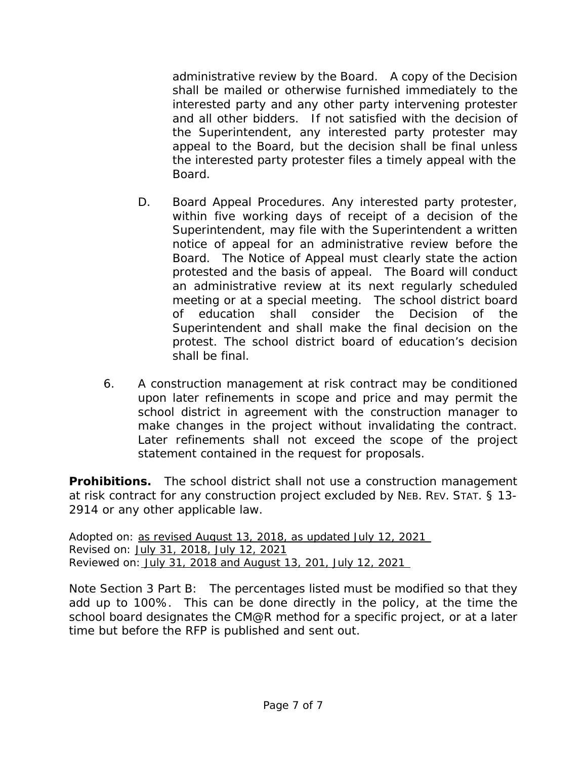administrative review by the Board. A copy of the Decision shall be mailed or otherwise furnished immediately to the interested party and any other party intervening protester and all other bidders. If not satisfied with the decision of the Superintendent, any interested party protester may appeal to the Board, but the decision shall be final unless the interested party protester files a timely appeal with the Board.

- D. Board Appeal Procedures. Any interested party protester, within five working days of receipt of a decision of the Superintendent, may file with the Superintendent a written notice of appeal for an administrative review before the Board. The Notice of Appeal must clearly state the action protested and the basis of appeal. The Board will conduct an administrative review at its next regularly scheduled meeting or at a special meeting. The school district board of education shall consider the Decision of the Superintendent and shall make the final decision on the protest. The school district board of education's decision shall be final.
- 6. A construction management at risk contract may be conditioned upon later refinements in scope and price and may permit the school district in agreement with the construction manager to make changes in the project without invalidating the contract. Later refinements shall not exceed the scope of the project statement contained in the request for proposals.

**Prohibitions.** The school district shall not use a construction management at risk contract for any construction project excluded by NEB. REV. STAT. § 13- 2914 or any other applicable law.

Adopted on: as revised August 13, 2018, as updated July 12, 2021 Revised on: July 31, 2018, July 12, 2021 Reviewed on: July 31, 2018 and August 13, 201, July 12, 2021

*Note Section 3 Part B: The percentages listed must be modified so that they add up to 100%. This can be done directly in the policy, at the time the school board designates the CM@R method for a specific project, or at a later time but before the RFP is published and sent out.*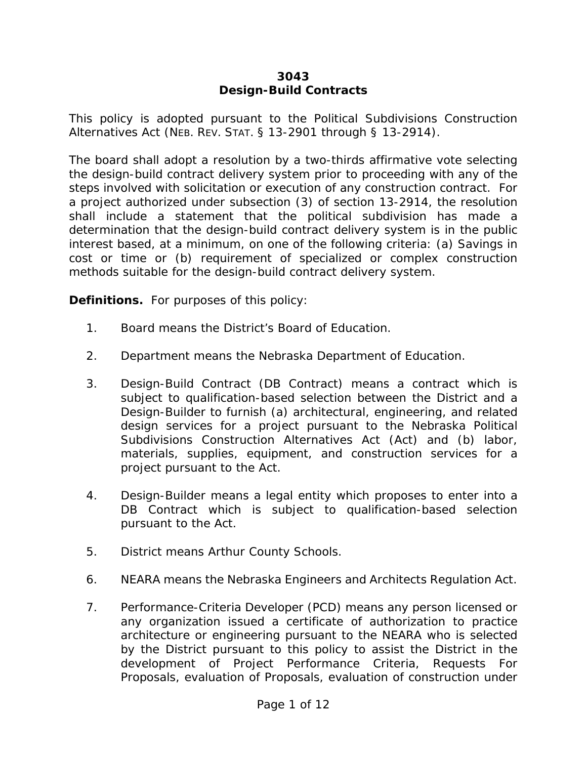### **3043 Design-Build Contracts**

This policy is adopted pursuant to the Political Subdivisions Construction Alternatives Act (NEB. REV. STAT. § 13-2901 through § 13-2914).

The board shall adopt a resolution by a two-thirds affirmative vote selecting the design-build contract delivery system prior to proceeding with any of the steps involved with solicitation or execution of any construction contract. For a project authorized under subsection (3) of section 13-2914, the resolution shall include a statement that the political subdivision has made a determination that the design-build contract delivery system is in the public interest based, at a minimum, on one of the following criteria: (a) Savings in cost or time or (b) requirement of specialized or complex construction methods suitable for the design-build contract delivery system.

**Definitions.** For purposes of this policy:

- 1. Board means the District's Board of Education.
- 2. Department means the Nebraska Department of Education.
- 3. Design-Build Contract (DB Contract) means a contract which is subject to qualification-based selection between the District and a Design-Builder to furnish (a) architectural, engineering, and related design services for a project pursuant to the Nebraska Political Subdivisions Construction Alternatives Act (Act) and (b) labor, materials, supplies, equipment, and construction services for a project pursuant to the Act.
- 4. Design-Builder means a legal entity which proposes to enter into a DB Contract which is subject to qualification-based selection pursuant to the Act.
- 5. District means Arthur County Schools.
- 6. NEARA means the Nebraska Engineers and Architects Regulation Act.
- 7. Performance-Criteria Developer (PCD) means any person licensed or any organization issued a certificate of authorization to practice architecture or engineering pursuant to the NEARA who is selected by the District pursuant to this policy to assist the District in the development of Project Performance Criteria, Requests For Proposals, evaluation of Proposals, evaluation of construction under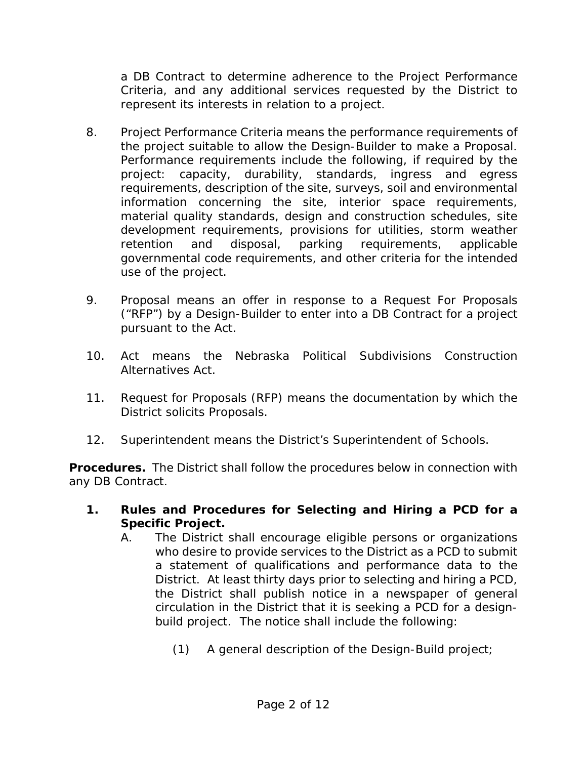a DB Contract to determine adherence to the Project Performance Criteria, and any additional services requested by the District to represent its interests in relation to a project.

- 8. Project Performance Criteria means the performance requirements of the project suitable to allow the Design-Builder to make a Proposal. Performance requirements include the following, if required by the project: capacity, durability, standards, ingress and egress requirements, description of the site, surveys, soil and environmental information concerning the site, interior space requirements, material quality standards, design and construction schedules, site development requirements, provisions for utilities, storm weather retention and disposal, parking requirements, applicable governmental code requirements, and other criteria for the intended use of the project.
- 9. Proposal means an offer in response to a Request For Proposals ("RFP") by a Design-Builder to enter into a DB Contract for a project pursuant to the Act.
- 10. Act means the Nebraska Political Subdivisions Construction Alternatives Act.
- 11. Request for Proposals (RFP) means the documentation by which the District solicits Proposals.
- 12. Superintendent means the District's Superintendent of Schools.

**Procedures.** The District shall follow the procedures below in connection with any DB Contract.

- **1. Rules and Procedures for Selecting and Hiring a PCD for a Specific Project.** 
	- A. The District shall encourage eligible persons or organizations who desire to provide services to the District as a PCD to submit a statement of qualifications and performance data to the District. At least thirty days prior to selecting and hiring a PCD, the District shall publish notice in a newspaper of general circulation in the District that it is seeking a PCD for a designbuild project. The notice shall include the following:
		- (1) A general description of the Design-Build project;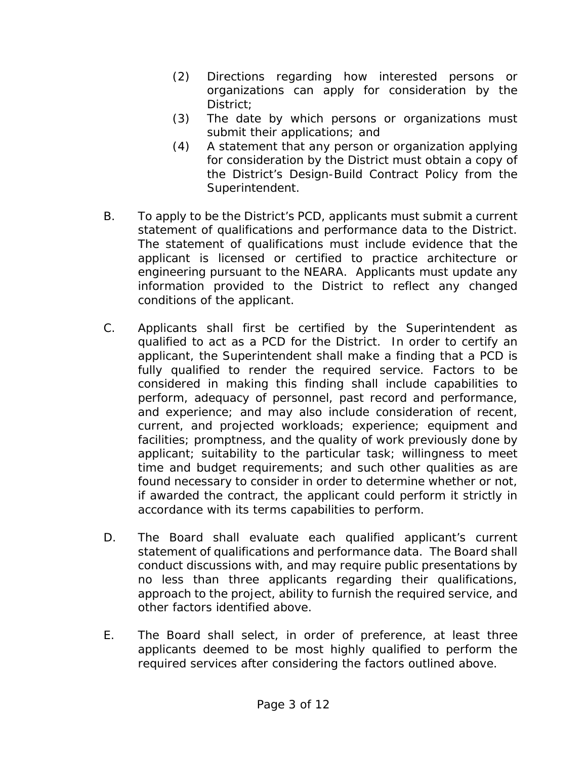- (2) Directions regarding how interested persons or organizations can apply for consideration by the District;
- (3) The date by which persons or organizations must submit their applications; and
- (4) A statement that any person or organization applying for consideration by the District must obtain a copy of the District's Design-Build Contract Policy from the Superintendent.
- B. To apply to be the District's PCD, applicants must submit a current statement of qualifications and performance data to the District. The statement of qualifications must include evidence that the applicant is licensed or certified to practice architecture or engineering pursuant to the NEARA. Applicants must update any information provided to the District to reflect any changed conditions of the applicant.
- C. Applicants shall first be certified by the Superintendent as qualified to act as a PCD for the District. In order to certify an applicant, the Superintendent shall make a finding that a PCD is fully qualified to render the required service. Factors to be considered in making this finding shall include capabilities to perform, adequacy of personnel, past record and performance, and experience; and may also include consideration of recent, current, and projected workloads; experience; equipment and facilities; promptness, and the quality of work previously done by applicant; suitability to the particular task; willingness to meet time and budget requirements; and such other qualities as are found necessary to consider in order to determine whether or not, if awarded the contract, the applicant could perform it strictly in accordance with its terms capabilities to perform.
- D. The Board shall evaluate each qualified applicant's current statement of qualifications and performance data. The Board shall conduct discussions with, and may require public presentations by no less than three applicants regarding their qualifications, approach to the project, ability to furnish the required service, and other factors identified above.
- E. The Board shall select, in order of preference, at least three applicants deemed to be most highly qualified to perform the required services after considering the factors outlined above.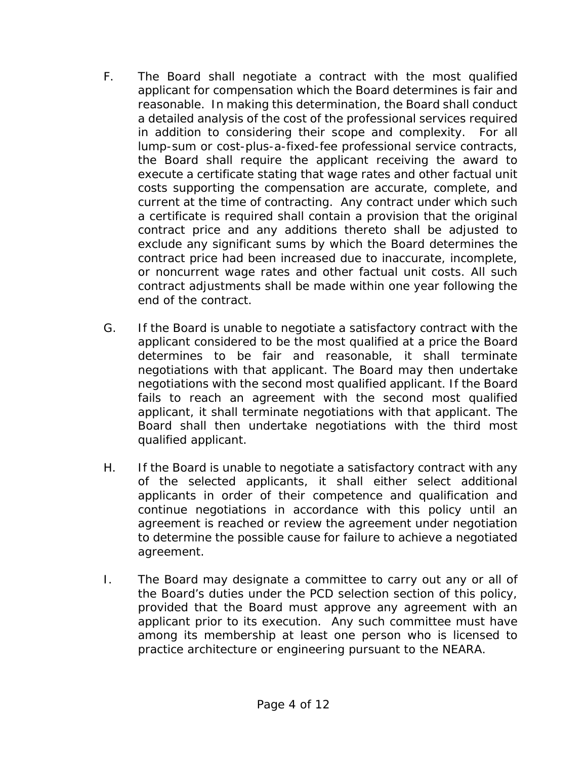- F. The Board shall negotiate a contract with the most qualified applicant for compensation which the Board determines is fair and reasonable. In making this determination, the Board shall conduct a detailed analysis of the cost of the professional services required in addition to considering their scope and complexity. For all lump-sum or cost-plus-a-fixed-fee professional service contracts, the Board shall require the applicant receiving the award to execute a certificate stating that wage rates and other factual unit costs supporting the compensation are accurate, complete, and current at the time of contracting. Any contract under which such a certificate is required shall contain a provision that the original contract price and any additions thereto shall be adjusted to exclude any significant sums by which the Board determines the contract price had been increased due to inaccurate, incomplete, or noncurrent wage rates and other factual unit costs. All such contract adjustments shall be made within one year following the end of the contract.
- G. If the Board is unable to negotiate a satisfactory contract with the applicant considered to be the most qualified at a price the Board determines to be fair and reasonable, it shall terminate negotiations with that applicant. The Board may then undertake negotiations with the second most qualified applicant. If the Board fails to reach an agreement with the second most qualified applicant, it shall terminate negotiations with that applicant. The Board shall then undertake negotiations with the third most qualified applicant.
- H. If the Board is unable to negotiate a satisfactory contract with any of the selected applicants, it shall either select additional applicants in order of their competence and qualification and continue negotiations in accordance with this policy until an agreement is reached or review the agreement under negotiation to determine the possible cause for failure to achieve a negotiated agreement.
- I. The Board may designate a committee to carry out any or all of the Board's duties under the PCD selection section of this policy, provided that the Board must approve any agreement with an applicant prior to its execution. Any such committee must have among its membership at least one person who is licensed to practice architecture or engineering pursuant to the NEARA.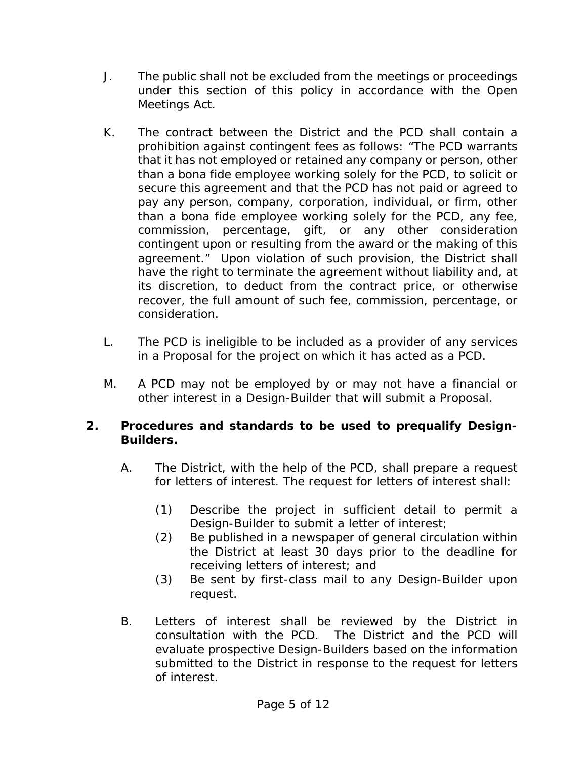- J. The public shall not be excluded from the meetings or proceedings under this section of this policy in accordance with the Open Meetings Act.
- K. The contract between the District and the PCD shall contain a prohibition against contingent fees as follows: "The PCD warrants that it has not employed or retained any company or person, other than a bona fide employee working solely for the PCD, to solicit or secure this agreement and that the PCD has not paid or agreed to pay any person, company, corporation, individual, or firm, other than a bona fide employee working solely for the PCD, any fee, commission, percentage, gift, or any other consideration contingent upon or resulting from the award or the making of this agreement." Upon violation of such provision, the District shall have the right to terminate the agreement without liability and, at its discretion, to deduct from the contract price, or otherwise recover, the full amount of such fee, commission, percentage, or consideration.
- L. The PCD is ineligible to be included as a provider of any services in a Proposal for the project on which it has acted as a PCD.
- M. A PCD may not be employed by or may not have a financial or other interest in a Design-Builder that will submit a Proposal.

## **2. Procedures and standards to be used to prequalify Design-Builders.**

- A. The District, with the help of the PCD, shall prepare a request for letters of interest. The request for letters of interest shall:
	- (1) Describe the project in sufficient detail to permit a Design-Builder to submit a letter of interest;
	- (2) Be published in a newspaper of general circulation within the District at least 30 days prior to the deadline for receiving letters of interest; and
	- (3) Be sent by first-class mail to any Design-Builder upon request.
- B. Letters of interest shall be reviewed by the District in consultation with the PCD. The District and the PCD will evaluate prospective Design-Builders based on the information submitted to the District in response to the request for letters of interest.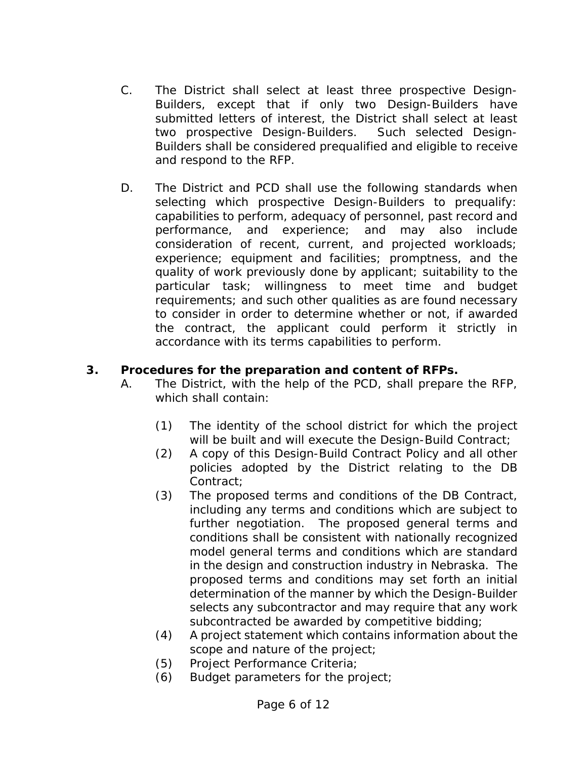- C. The District shall select at least three prospective Design-Builders, except that if only two Design-Builders have submitted letters of interest, the District shall select at least two prospective Design-Builders. Such selected Design-Builders shall be considered prequalified and eligible to receive and respond to the RFP.
- D. The District and PCD shall use the following standards when selecting which prospective Design-Builders to prequalify: capabilities to perform, adequacy of personnel, past record and performance, and experience; and may also include consideration of recent, current, and projected workloads; experience; equipment and facilities; promptness, and the quality of work previously done by applicant; suitability to the particular task; willingness to meet time and budget requirements; and such other qualities as are found necessary to consider in order to determine whether or not, if awarded the contract, the applicant could perform it strictly in accordance with its terms capabilities to perform.

## **3. Procedures for the preparation and content of RFPs.**

- A. The District, with the help of the PCD, shall prepare the RFP, which shall contain:
	- (1) The identity of the school district for which the project will be built and will execute the Design-Build Contract;
	- (2) A copy of this Design-Build Contract Policy and all other policies adopted by the District relating to the DB Contract;
	- (3) The proposed terms and conditions of the DB Contract, including any terms and conditions which are subject to further negotiation. The proposed general terms and conditions shall be consistent with nationally recognized model general terms and conditions which are standard in the design and construction industry in Nebraska. The proposed terms and conditions may set forth an initial determination of the manner by which the Design-Builder selects any subcontractor and may require that any work subcontracted be awarded by competitive bidding;
	- (4) A project statement which contains information about the scope and nature of the project;
	- (5) Project Performance Criteria;
	- (6) Budget parameters for the project;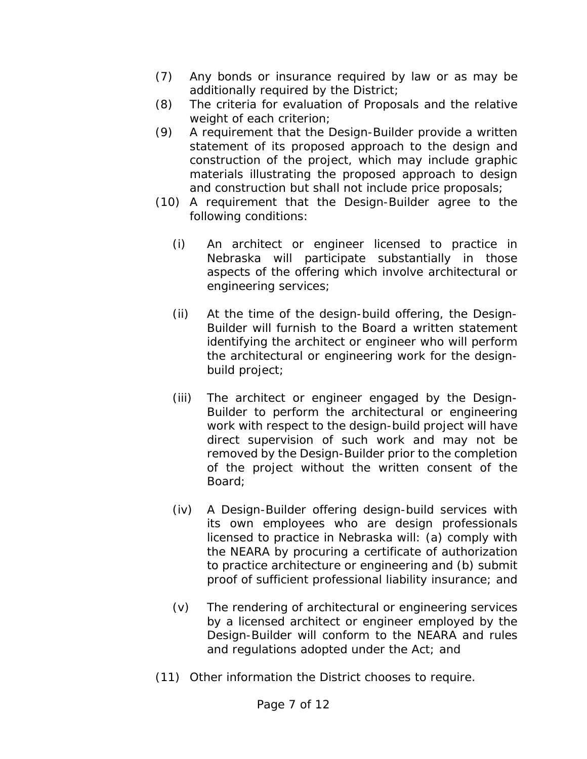- (7) Any bonds or insurance required by law or as may be additionally required by the District;
- (8) The criteria for evaluation of Proposals and the relative weight of each criterion;
- (9) A requirement that the Design-Builder provide a written statement of its proposed approach to the design and construction of the project, which may include graphic materials illustrating the proposed approach to design and construction but shall not include price proposals;
- (10) A requirement that the Design-Builder agree to the following conditions:
	- (i) An architect or engineer licensed to practice in Nebraska will participate substantially in those aspects of the offering which involve architectural or engineering services;
	- (ii) At the time of the design-build offering, the Design-Builder will furnish to the Board a written statement identifying the architect or engineer who will perform the architectural or engineering work for the designbuild project;
	- (iii) The architect or engineer engaged by the Design-Builder to perform the architectural or engineering work with respect to the design-build project will have direct supervision of such work and may not be removed by the Design-Builder prior to the completion of the project without the written consent of the Board;
	- (iv) A Design-Builder offering design-build services with its own employees who are design professionals licensed to practice in Nebraska will: (a) comply with the NEARA by procuring a certificate of authorization to practice architecture or engineering and (b) submit proof of sufficient professional liability insurance; and
	- (v) The rendering of architectural or engineering services by a licensed architect or engineer employed by the Design-Builder will conform to the NEARA and rules and regulations adopted under the Act; and
- (11) Other information the District chooses to require.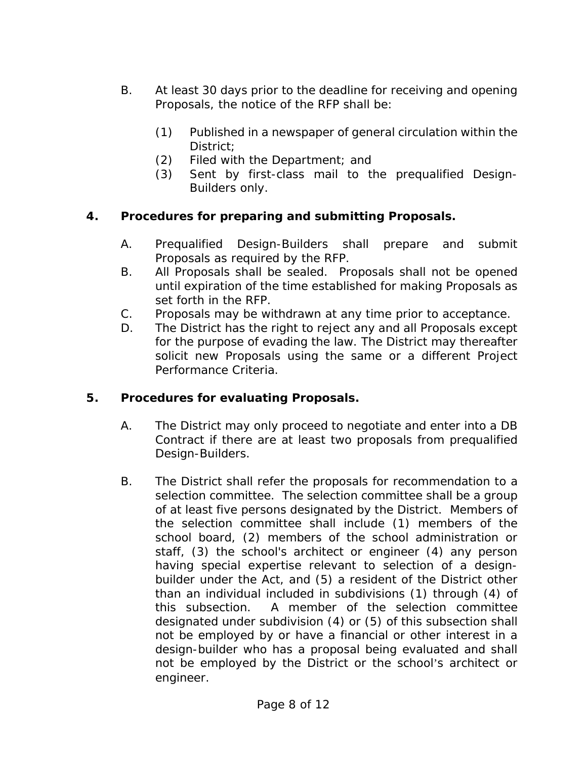- B. At least 30 days prior to the deadline for receiving and opening Proposals, the notice of the RFP shall be:
	- (1) Published in a newspaper of general circulation within the District;
	- (2) Filed with the Department; and
	- (3) Sent by first-class mail to the prequalified Design-Builders only.

## **4. Procedures for preparing and submitting Proposals.**

- A. Prequalified Design-Builders shall prepare and submit Proposals as required by the RFP.
- B. All Proposals shall be sealed. Proposals shall not be opened until expiration of the time established for making Proposals as set forth in the RFP.
- C. Proposals may be withdrawn at any time prior to acceptance.
- D. The District has the right to reject any and all Proposals except for the purpose of evading the law. The District may thereafter solicit new Proposals using the same or a different Project Performance Criteria.

## **5. Procedures for evaluating Proposals.**

- A. The District may only proceed to negotiate and enter into a DB Contract if there are at least two proposals from prequalified Design-Builders.
- B. The District shall refer the proposals for recommendation to a selection committee. The selection committee shall be a group of at least five persons designated by the District. Members of the selection committee shall include (1) members of the school board, (2) members of the school administration or staff, (3) the school's architect or engineer (4) any person having special expertise relevant to selection of a designbuilder under the Act, and (5) a resident of the District other than an individual included in subdivisions (1) through (4) of this subsection. A member of the selection committee designated under subdivision (4) or (5) of this subsection shall not be employed by or have a financial or other interest in a design-builder who has a proposal being evaluated and shall not be employed by the District or the school's architect or engineer.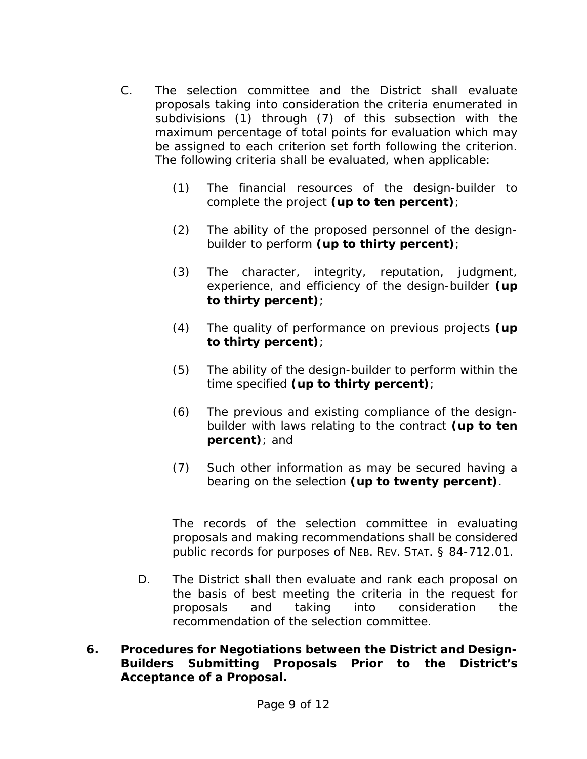- C. The selection committee and the District shall evaluate proposals taking into consideration the criteria enumerated in subdivisions (1) through (7) of this subsection with the maximum percentage of total points for evaluation which may be assigned to each criterion set forth following the criterion. The following criteria shall be evaluated, when applicable:
	- (1) The financial resources of the design-builder to complete the project **(up to ten percent)**;
	- (2) The ability of the proposed personnel of the designbuilder to perform **(up to thirty percent)**;
	- (3) The character, integrity, reputation, judgment, experience, and efficiency of the design-builder **(up to thirty percent)**;
	- (4) The quality of performance on previous projects **(up to thirty percent)**;
	- (5) The ability of the design-builder to perform within the time specified **(up to thirty percent)**;
	- (6) The previous and existing compliance of the designbuilder with laws relating to the contract **(up to ten percent)**; and
	- (7) Such other information as may be secured having a bearing on the selection **(up to twenty percent)**.

The records of the selection committee in evaluating proposals and making recommendations shall be considered public records for purposes of NEB. REV. STAT. § 84-712.01.

- D. The District shall then evaluate and rank each proposal on the basis of best meeting the criteria in the request for proposals and taking into consideration the recommendation of the selection committee.
- **6. Procedures for Negotiations between the District and Design-Builders Submitting Proposals Prior to the District's Acceptance of a Proposal.**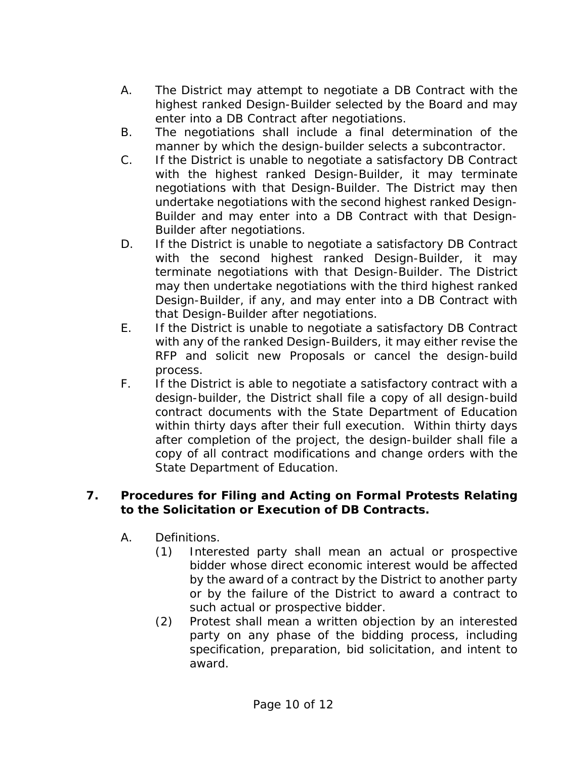- A. The District may attempt to negotiate a DB Contract with the highest ranked Design-Builder selected by the Board and may enter into a DB Contract after negotiations.
- B. The negotiations shall include a final determination of the manner by which the design-builder selects a subcontractor.
- C. If the District is unable to negotiate a satisfactory DB Contract with the highest ranked Design-Builder, it may terminate negotiations with that Design-Builder. The District may then undertake negotiations with the second highest ranked Design-Builder and may enter into a DB Contract with that Design-Builder after negotiations.
- D. If the District is unable to negotiate a satisfactory DB Contract with the second highest ranked Design-Builder, it may terminate negotiations with that Design-Builder. The District may then undertake negotiations with the third highest ranked Design-Builder, if any, and may enter into a DB Contract with that Design-Builder after negotiations.
- E. If the District is unable to negotiate a satisfactory DB Contract with any of the ranked Design-Builders, it may either revise the RFP and solicit new Proposals or cancel the design-build process.
- F. If the District is able to negotiate a satisfactory contract with a design-builder, the District shall file a copy of all design-build contract documents with the State Department of Education within thirty days after their full execution. Within thirty days after completion of the project, the design-builder shall file a copy of all contract modifications and change orders with the State Department of Education.

## **7. Procedures for Filing and Acting on Formal Protests Relating to the Solicitation or Execution of DB Contracts.**

- A. Definitions.
	- (1) Interested party shall mean an actual or prospective bidder whose direct economic interest would be affected by the award of a contract by the District to another party or by the failure of the District to award a contract to such actual or prospective bidder.
	- (2) Protest shall mean a written objection by an interested party on any phase of the bidding process, including specification, preparation, bid solicitation, and intent to award.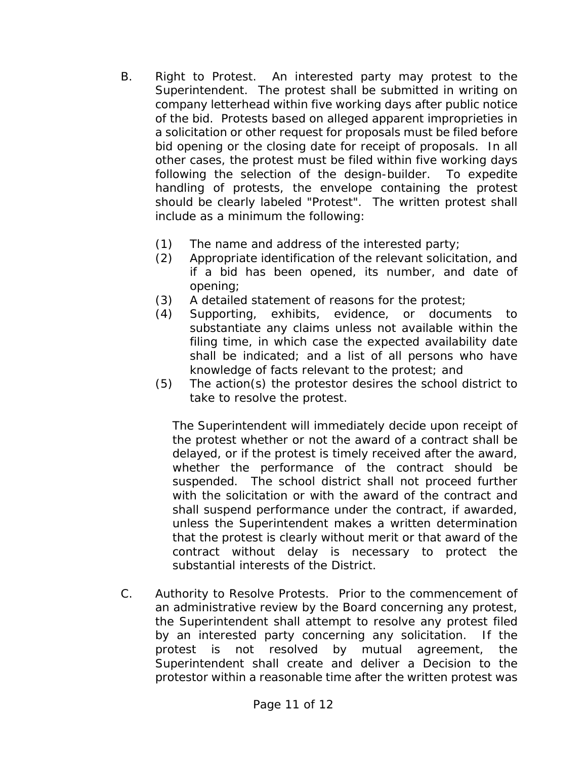- B. Right to Protest. An interested party may protest to the Superintendent. The protest shall be submitted in writing on company letterhead within five working days after public notice of the bid. Protests based on alleged apparent improprieties in a solicitation or other request for proposals must be filed before bid opening or the closing date for receipt of proposals. In all other cases, the protest must be filed within five working days following the selection of the design-builder. To expedite handling of protests, the envelope containing the protest should be clearly labeled "Protest". The written protest shall include as a minimum the following:
	- (1) The name and address of the interested party;
	- (2) Appropriate identification of the relevant solicitation, and if a bid has been opened, its number, and date of opening;
	- (3) A detailed statement of reasons for the protest;
	- (4) Supporting, exhibits, evidence, or documents to substantiate any claims unless not available within the filing time, in which case the expected availability date shall be indicated; and a list of all persons who have knowledge of facts relevant to the protest; and
	- (5) The action(s) the protestor desires the school district to take to resolve the protest.

The Superintendent will immediately decide upon receipt of the protest whether or not the award of a contract shall be delayed, or if the protest is timely received after the award, whether the performance of the contract should be suspended. The school district shall not proceed further with the solicitation or with the award of the contract and shall suspend performance under the contract, if awarded, unless the Superintendent makes a written determination that the protest is clearly without merit or that award of the contract without delay is necessary to protect the substantial interests of the District.

C. Authority to Resolve Protests. Prior to the commencement of an administrative review by the Board concerning any protest, the Superintendent shall attempt to resolve any protest filed by an interested party concerning any solicitation. If the protest is not resolved by mutual agreement, the Superintendent shall create and deliver a Decision to the protestor within a reasonable time after the written protest was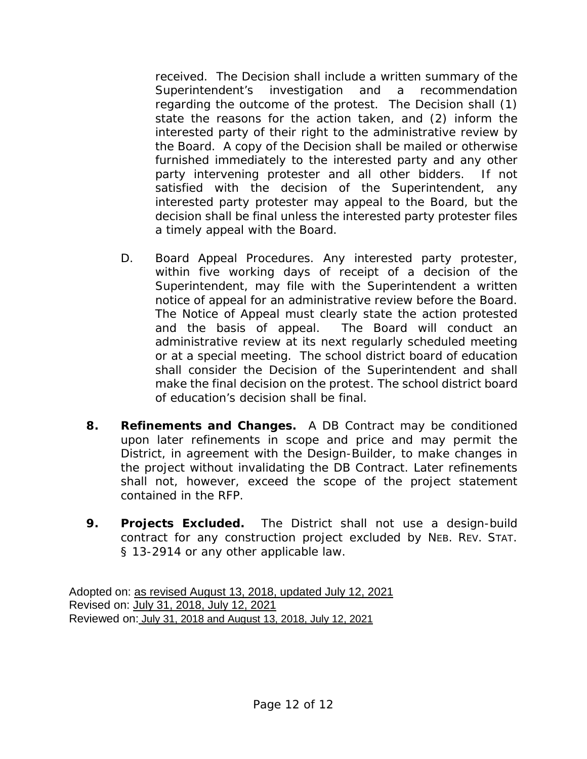received. The Decision shall include a written summary of the Superintendent's investigation and a recommendation regarding the outcome of the protest. The Decision shall (1) state the reasons for the action taken, and (2) inform the interested party of their right to the administrative review by the Board. A copy of the Decision shall be mailed or otherwise furnished immediately to the interested party and any other party intervening protester and all other bidders. If not satisfied with the decision of the Superintendent, any interested party protester may appeal to the Board, but the decision shall be final unless the interested party protester files a timely appeal with the Board.

- D. Board Appeal Procedures. Any interested party protester, within five working days of receipt of a decision of the Superintendent, may file with the Superintendent a written notice of appeal for an administrative review before the Board. The Notice of Appeal must clearly state the action protested and the basis of appeal. The Board will conduct an administrative review at its next regularly scheduled meeting or at a special meeting. The school district board of education shall consider the Decision of the Superintendent and shall make the final decision on the protest. The school district board of education's decision shall be final.
- **8. Refinements and Changes.** A DB Contract may be conditioned upon later refinements in scope and price and may permit the District, in agreement with the Design-Builder, to make changes in the project without invalidating the DB Contract. Later refinements shall not, however, exceed the scope of the project statement contained in the RFP.
- **9. Projects Excluded.** The District shall not use a design-build contract for any construction project excluded by NEB. REV. STAT. § 13-2914 or any other applicable law.

Adopted on: as revised August 13, 2018, updated July 12, 2021 Revised on: July 31, 2018, July 12, 2021 Reviewed on: July 31, 2018 and August 13, 2018, July 12, 2021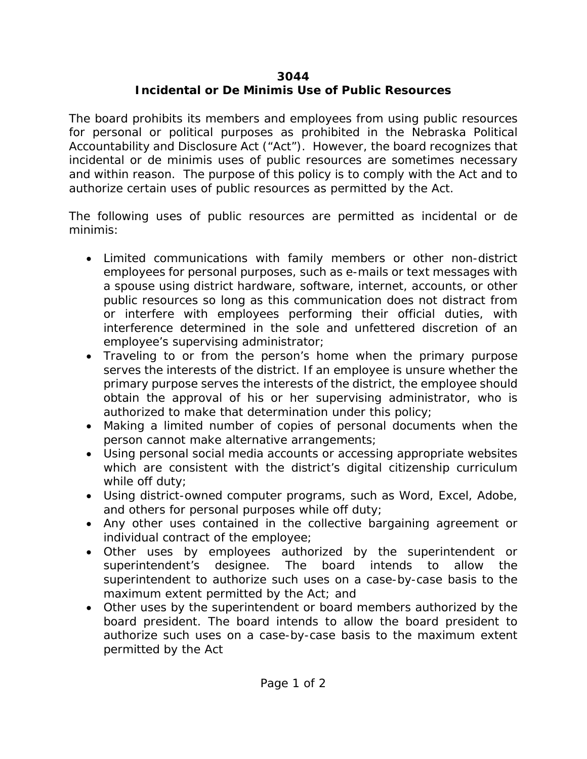## **3044**

# **Incidental or De Minimis Use of Public Resources**

The board prohibits its members and employees from using public resources for personal or political purposes as prohibited in the Nebraska Political Accountability and Disclosure Act ("Act"). However, the board recognizes that incidental or de minimis uses of public resources are sometimes necessary and within reason. The purpose of this policy is to comply with the Act and to authorize certain uses of public resources as permitted by the Act.

The following uses of public resources are permitted as incidental or de minimis:

- Limited communications with family members or other non-district employees for personal purposes, such as e-mails or text messages with a spouse using district hardware, software, internet, accounts, or other public resources so long as this communication does not distract from or interfere with employees performing their official duties, with interference determined in the sole and unfettered discretion of an employee's supervising administrator;
- Traveling to or from the person's home when the primary purpose serves the interests of the district. If an employee is unsure whether the primary purpose serves the interests of the district, the employee should obtain the approval of his or her supervising administrator, who is authorized to make that determination under this policy;
- Making a limited number of copies of personal documents when the person cannot make alternative arrangements;
- Using personal social media accounts or accessing appropriate websites which are consistent with the district's digital citizenship curriculum while off duty;
- Using district-owned computer programs, such as Word, Excel, Adobe, and others for personal purposes while off duty;
- Any other uses contained in the collective bargaining agreement or individual contract of the employee;
- Other uses by employees authorized by the superintendent or superintendent's designee. The board intends to allow the superintendent to authorize such uses on a case-by-case basis to the maximum extent permitted by the Act; and
- Other uses by the superintendent or board members authorized by the board president. The board intends to allow the board president to authorize such uses on a case-by-case basis to the maximum extent permitted by the Act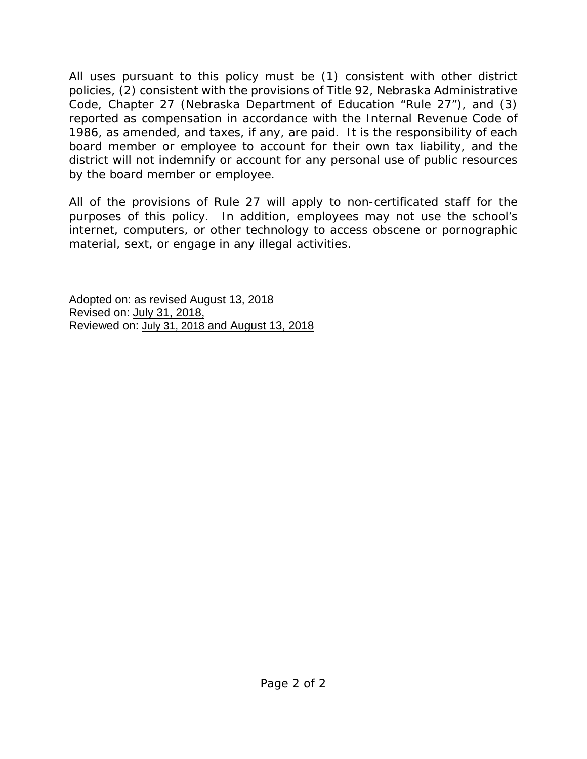All uses pursuant to this policy must be (1) consistent with other district policies, (2) consistent with the provisions of Title 92, Nebraska Administrative Code, Chapter 27 (Nebraska Department of Education "Rule 27"), and (3) reported as compensation in accordance with the Internal Revenue Code of 1986, as amended, and taxes, if any, are paid. It is the responsibility of each board member or employee to account for their own tax liability, and the district will not indemnify or account for any personal use of public resources by the board member or employee.

All of the provisions of Rule 27 will apply to non-certificated staff for the purposes of this policy. In addition, employees may not use the school's internet, computers, or other technology to access obscene or pornographic material, sext, or engage in any illegal activities.

Adopted on: as revised August 13, 2018 Revised on: July 31, 2018, Reviewed on: July 31, 2018 and August 13, 2018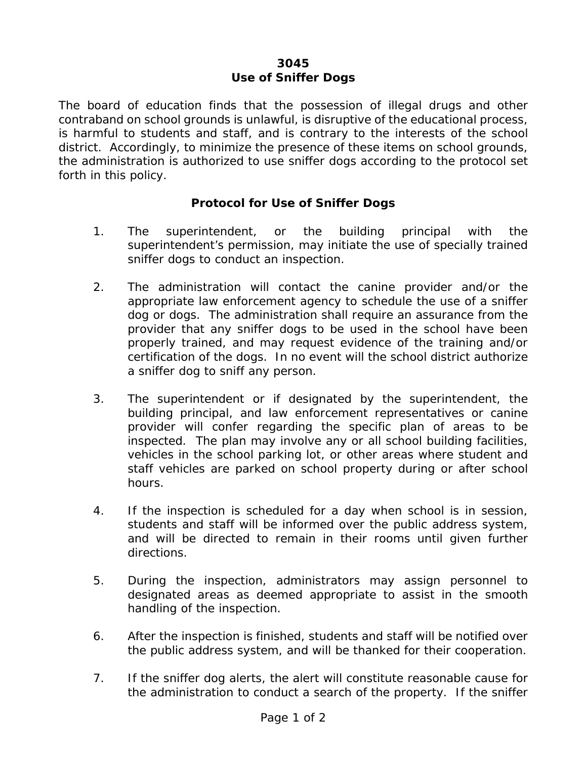### **3045 Use of Sniffer Dogs**

The board of education finds that the possession of illegal drugs and other contraband on school grounds is unlawful, is disruptive of the educational process, is harmful to students and staff, and is contrary to the interests of the school district. Accordingly, to minimize the presence of these items on school grounds, the administration is authorized to use sniffer dogs according to the protocol set forth in this policy.

## **Protocol for Use of Sniffer Dogs**

- 1. The superintendent, or the building principal with the superintendent's permission, may initiate the use of specially trained sniffer dogs to conduct an inspection.
- 2. The administration will contact the canine provider and/or the appropriate law enforcement agency to schedule the use of a sniffer dog or dogs. The administration shall require an assurance from the provider that any sniffer dogs to be used in the school have been properly trained, and may request evidence of the training and/or certification of the dogs. In no event will the school district authorize a sniffer dog to sniff any person.
- 3. The superintendent or if designated by the superintendent, the building principal, and law enforcement representatives or canine provider will confer regarding the specific plan of areas to be inspected. The plan may involve any or all school building facilities, vehicles in the school parking lot, or other areas where student and staff vehicles are parked on school property during or after school hours.
- 4. If the inspection is scheduled for a day when school is in session, students and staff will be informed over the public address system, and will be directed to remain in their rooms until given further directions.
- 5. During the inspection, administrators may assign personnel to designated areas as deemed appropriate to assist in the smooth handling of the inspection.
- 6. After the inspection is finished, students and staff will be notified over the public address system, and will be thanked for their cooperation.
- 7. If the sniffer dog alerts, the alert will constitute reasonable cause for the administration to conduct a search of the property. If the sniffer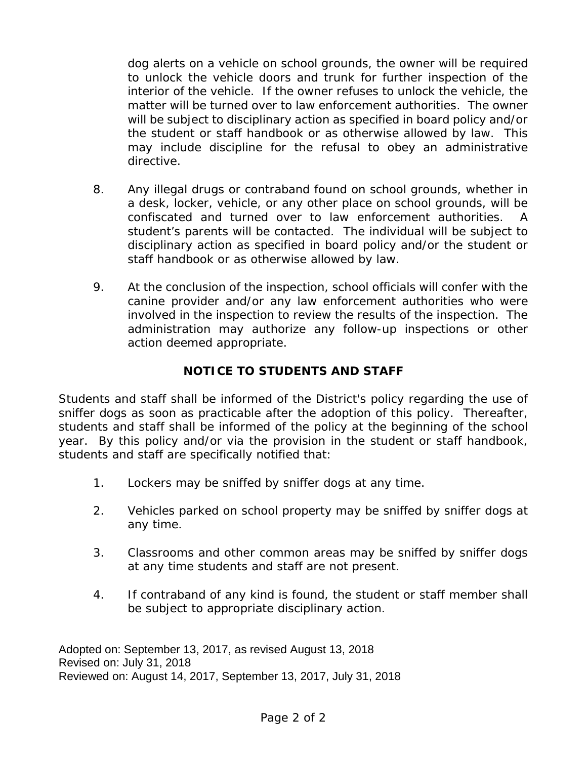dog alerts on a vehicle on school grounds, the owner will be required to unlock the vehicle doors and trunk for further inspection of the interior of the vehicle. If the owner refuses to unlock the vehicle, the matter will be turned over to law enforcement authorities. The owner will be subject to disciplinary action as specified in board policy and/or the student or staff handbook or as otherwise allowed by law. This may include discipline for the refusal to obey an administrative directive.

- 8. Any illegal drugs or contraband found on school grounds, whether in a desk, locker, vehicle, or any other place on school grounds, will be confiscated and turned over to law enforcement authorities. student's parents will be contacted. The individual will be subject to disciplinary action as specified in board policy and/or the student or staff handbook or as otherwise allowed by law.
- 9. At the conclusion of the inspection, school officials will confer with the canine provider and/or any law enforcement authorities who were involved in the inspection to review the results of the inspection. The administration may authorize any follow-up inspections or other action deemed appropriate.

## **NOTICE TO STUDENTS AND STAFF**

Students and staff shall be informed of the District's policy regarding the use of sniffer dogs as soon as practicable after the adoption of this policy. Thereafter, students and staff shall be informed of the policy at the beginning of the school year. By this policy and/or via the provision in the student or staff handbook, students and staff are specifically notified that:

- 1. Lockers may be sniffed by sniffer dogs at any time.
- 2. Vehicles parked on school property may be sniffed by sniffer dogs at any time.
- 3. Classrooms and other common areas may be sniffed by sniffer dogs at any time students and staff are not present.
- 4. If contraband of any kind is found, the student or staff member shall be subject to appropriate disciplinary action.

Adopted on: September 13, 2017, as revised August 13, 2018 Revised on: July 31, 2018 Reviewed on: August 14, 2017, September 13, 2017, July 31, 2018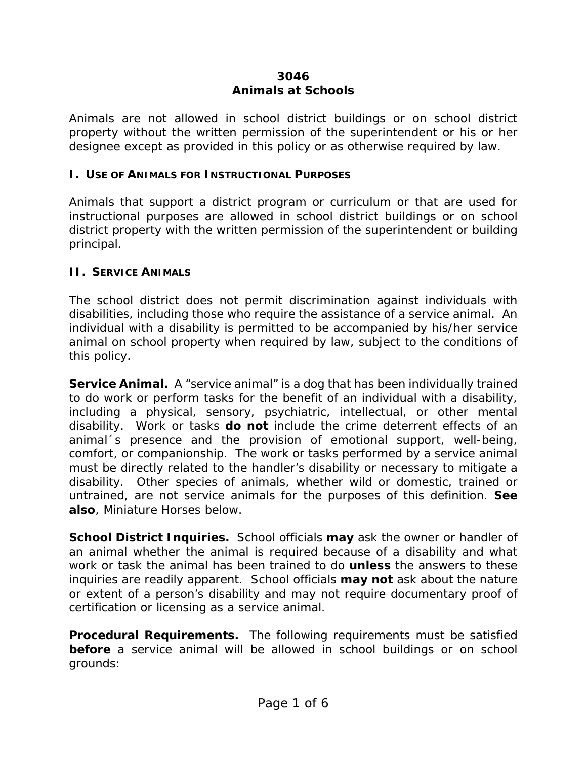## **3046 Animals at Schools**

Animals are not allowed in school district buildings or on school district property without the written permission of the superintendent or his or her designee except as provided in this policy or as otherwise required by law.

## **I. USE OF ANIMALS FOR INSTRUCTIONAL PURPOSES**

Animals that support a district program or curriculum or that are used for instructional purposes are allowed in school district buildings or on school district property with the written permission of the superintendent or building principal.

## **II. SERVICE ANIMALS**

The school district does not permit discrimination against individuals with disabilities, including those who require the assistance of a service animal. An individual with a disability is permitted to be accompanied by his/her service animal on school property when required by law, subject to the conditions of this policy.

**Service Animal.** A "service animal" is a dog that has been individually trained to do work or perform tasks for the benefit of an individual with a disability, including a physical, sensory, psychiatric, intellectual, or other mental disability. Work or tasks *do not* include the crime deterrent effects of an animal´s presence and the provision of emotional support, well-being, comfort, or companionship. The work or tasks performed by a service animal must be directly related to the handler's disability or necessary to mitigate a disability. Other species of animals, whether wild or domestic, trained or untrained, are not service animals for the purposes of this definition. *See also*, Miniature Horses below.

**School District Inquiries.** School officials *may* ask the owner or handler of an animal whether the animal is required because of a disability and what work or task the animal has been trained to do *unless* the answers to these inquiries are readily apparent. School officials *may not* ask about the nature or extent of a person's disability and may not require documentary proof of certification or licensing as a service animal.

**Procedural Requirements.** The following requirements must be satisfied **before** a service animal will be allowed in school buildings or on school grounds: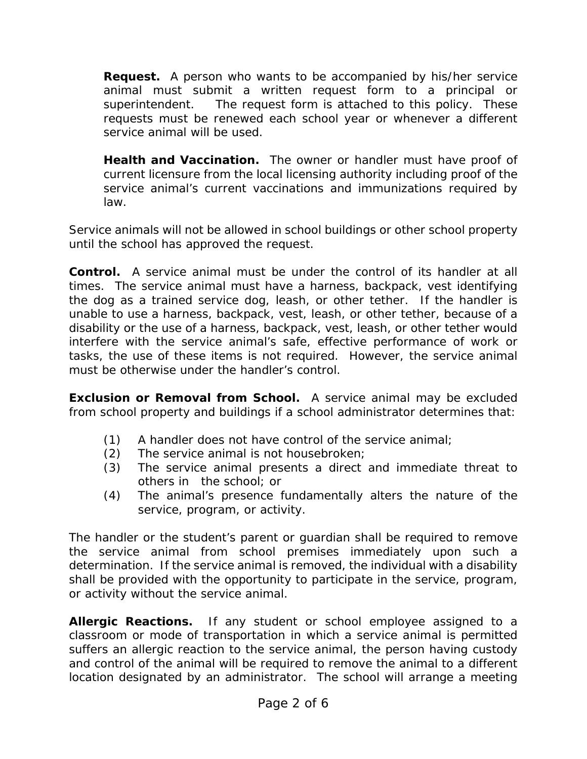**Request.** A person who wants to be accompanied by his/her service animal must submit a written request form to a principal or superintendent. The request form is attached to this policy. These requests must be renewed each school year or whenever a different service animal will be used.

**Health and Vaccination.** The owner or handler must have proof of current licensure from the local licensing authority including proof of the service animal's current vaccinations and immunizations required by law.

Service animals will not be allowed in school buildings or other school property until the school has approved the request.

**Control.** A service animal must be under the control of its handler at all times. The service animal must have a harness, backpack, vest identifying the dog as a trained service dog, leash, or other tether. If the handler is unable to use a harness, backpack, vest, leash, or other tether, because of a disability or the use of a harness, backpack, vest, leash, or other tether would interfere with the service animal's safe, effective performance of work or tasks, the use of these items is not required. However, the service animal must be otherwise under the handler's control.

**Exclusion or Removal from School.** A service animal may be excluded from school property and buildings if a school administrator determines that:

- (1) A handler does not have control of the service animal;
- (2) The service animal is not housebroken;
- (3) The service animal presents a direct and immediate threat to others in the school; or
- (4) The animal's presence fundamentally alters the nature of the service, program, or activity.

The handler or the student's parent or guardian shall be required to remove the service animal from school premises immediately upon such a determination. If the service animal is removed, the individual with a disability shall be provided with the opportunity to participate in the service, program, or activity without the service animal.

**Allergic Reactions.** If any student or school employee assigned to a classroom or mode of transportation in which a service animal is permitted suffers an allergic reaction to the service animal, the person having custody and control of the animal will be required to remove the animal to a different location designated by an administrator. The school will arrange a meeting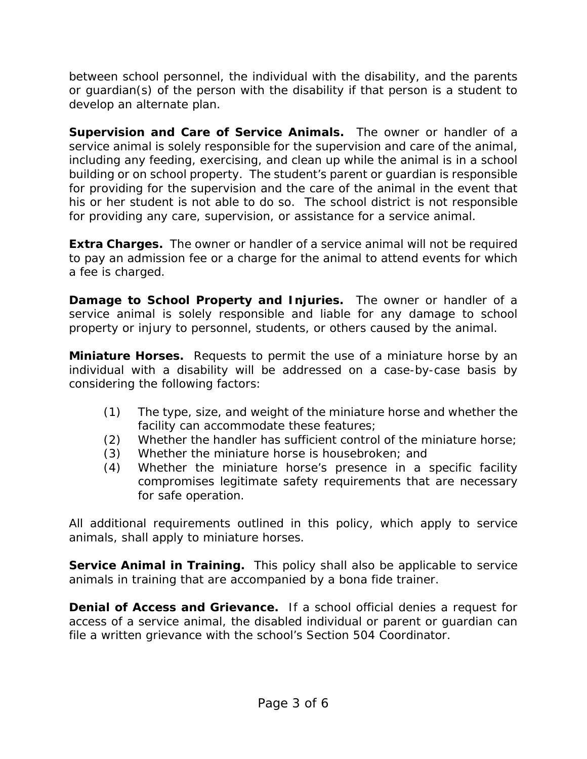between school personnel, the individual with the disability, and the parents or guardian(s) of the person with the disability if that person is a student to develop an alternate plan.

**Supervision and Care of Service Animals.** The owner or handler of a service animal is solely responsible for the supervision and care of the animal, including any feeding, exercising, and clean up while the animal is in a school building or on school property. The student's parent or guardian is responsible for providing for the supervision and the care of the animal in the event that his or her student is not able to do so. The school district is not responsible for providing any care, supervision, or assistance for a service animal.

**Extra Charges.** The owner or handler of a service animal will not be required to pay an admission fee or a charge for the animal to attend events for which a fee is charged.

**Damage to School Property and Injuries.** The owner or handler of a service animal is solely responsible and liable for any damage to school property or injury to personnel, students, or others caused by the animal.

**Miniature Horses.** Requests to permit the use of a miniature horse by an individual with a disability will be addressed on a case-by-case basis by considering the following factors:

- (1) The type, size, and weight of the miniature horse and whether the facility can accommodate these features;
- (2) Whether the handler has sufficient control of the miniature horse;
- (3) Whether the miniature horse is housebroken; and
- (4) Whether the miniature horse's presence in a specific facility compromises legitimate safety requirements that are necessary for safe operation.

All additional requirements outlined in this policy, which apply to service animals, shall apply to miniature horses.

**Service Animal in Training.** This policy shall also be applicable to service animals in training that are accompanied by a bona fide trainer.

**Denial of Access and Grievance.** If a school official denies a request for access of a service animal, the disabled individual or parent or guardian can file a written grievance with the school's Section 504 Coordinator.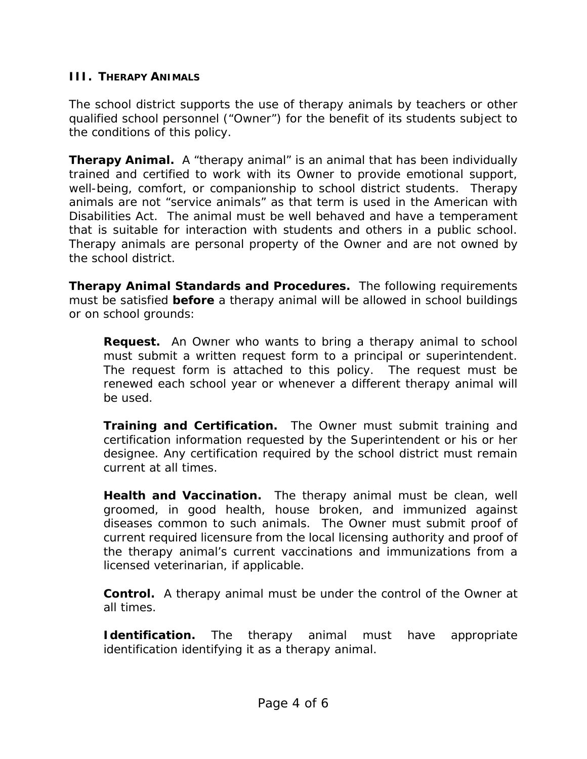## **III. THERAPY ANIMALS**

The school district supports the use of therapy animals by teachers or other qualified school personnel ("Owner") for the benefit of its students subject to the conditions of this policy.

**Therapy Animal.** A "therapy animal" is an animal that has been individually trained and certified to work with its Owner to provide emotional support, well-being, comfort, or companionship to school district students. Therapy animals are not "service animals" as that term is used in the American with Disabilities Act. The animal must be well behaved and have a temperament that is suitable for interaction with students and others in a public school. Therapy animals are personal property of the Owner and are not owned by the school district.

**Therapy Animal Standards and Procedures.** The following requirements must be satisfied *before* a therapy animal will be allowed in school buildings or on school grounds:

**Request.** An Owner who wants to bring a therapy animal to school must submit a written request form to a principal or superintendent. The request form is attached to this policy. The request must be renewed each school year or whenever a different therapy animal will be used.

**Training and Certification.** The Owner must submit training and certification information requested by the Superintendent or his or her designee. Any certification required by the school district must remain current at all times.

**Health and Vaccination.** The therapy animal must be clean, well groomed, in good health, house broken, and immunized against diseases common to such animals. The Owner must submit proof of current required licensure from the local licensing authority and proof of the therapy animal's current vaccinations and immunizations from a licensed veterinarian, if applicable.

**Control.** A therapy animal must be under the control of the Owner at all times.

**Identification.** The therapy animal must have appropriate identification identifying it as a therapy animal.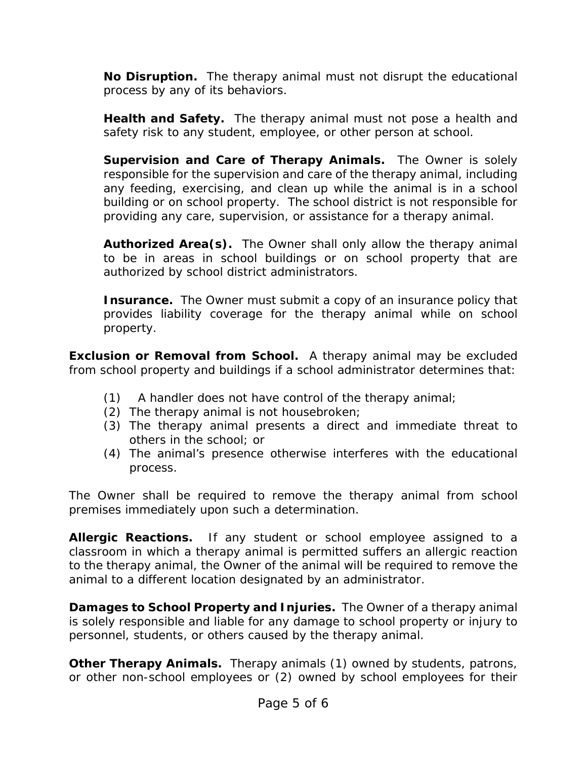**No Disruption.** The therapy animal must not disrupt the educational process by any of its behaviors.

**Health and Safety.** The therapy animal must not pose a health and safety risk to any student, employee, or other person at school.

**Supervision and Care of Therapy Animals.** The Owner is solely responsible for the supervision and care of the therapy animal, including any feeding, exercising, and clean up while the animal is in a school building or on school property. The school district is not responsible for providing any care, supervision, or assistance for a therapy animal.

**Authorized Area(s).** The Owner shall only allow the therapy animal to be in areas in school buildings or on school property that are authorized by school district administrators.

**Insurance.** The Owner must submit a copy of an insurance policy that provides liability coverage for the therapy animal while on school property.

**Exclusion or Removal from School.** A therapy animal may be excluded from school property and buildings if a school administrator determines that:

- (1) A handler does not have control of the therapy animal;
- (2) The therapy animal is not housebroken;
- (3) The therapy animal presents a direct and immediate threat to others in the school; or
- (4) The animal's presence otherwise interferes with the educational process.

The Owner shall be required to remove the therapy animal from school premises immediately upon such a determination.

**Allergic Reactions.** If any student or school employee assigned to a classroom in which a therapy animal is permitted suffers an allergic reaction to the therapy animal, the Owner of the animal will be required to remove the animal to a different location designated by an administrator.

**Damages to School Property and Injuries.** The Owner of a therapy animal is solely responsible and liable for any damage to school property or injury to personnel, students, or others caused by the therapy animal.

**Other Therapy Animals.** Therapy animals (1) owned by students, patrons, or other non-school employees or (2) owned by school employees for their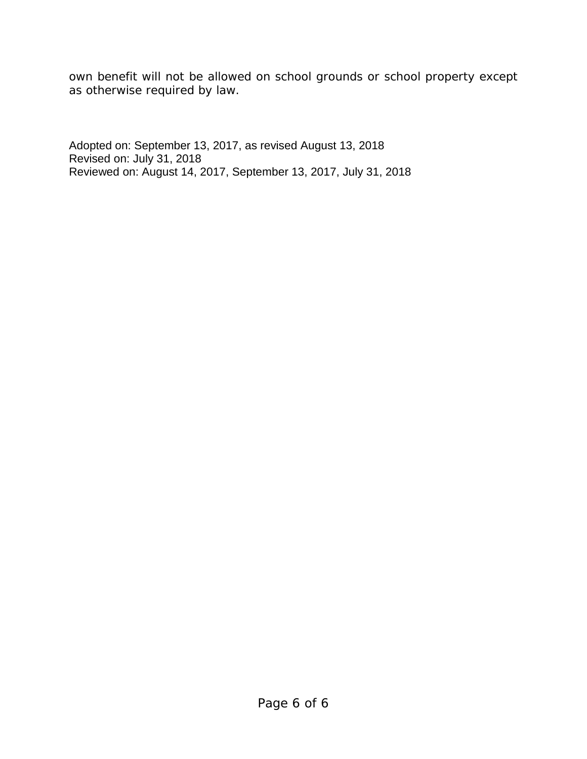own benefit will not be allowed on school grounds or school property except as otherwise required by law.

Adopted on: September 13, 2017, as revised August 13, 2018 Revised on: July 31, 2018 Reviewed on: August 14, 2017, September 13, 2017, July 31, 2018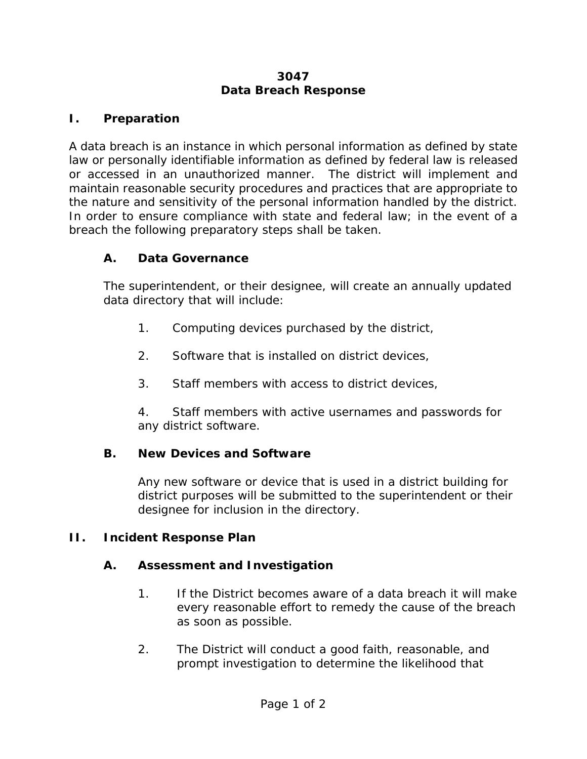## **3047 Data Breach Response**

## **I. Preparation**

A data breach is an instance in which personal information as defined by state law or personally identifiable information as defined by federal law is released or accessed in an unauthorized manner. The district will implement and maintain reasonable security procedures and practices that are appropriate to the nature and sensitivity of the personal information handled by the district. In order to ensure compliance with state and federal law; in the event of a breach the following preparatory steps shall be taken.

## **A. Data Governance**

The superintendent, or their designee, will create an annually updated data directory that will include:

- 1. Computing devices purchased by the district,
- 2. Software that is installed on district devices,
- 3. Staff members with access to district devices,

4. Staff members with active usernames and passwords for any district software.

## **B. New Devices and Software**

Any new software or device that is used in a district building for district purposes will be submitted to the superintendent or their designee for inclusion in the directory.

## **II. Incident Response Plan**

## **A. Assessment and Investigation**

- 1. If the District becomes aware of a data breach it will make every reasonable effort to remedy the cause of the breach as soon as possible.
- 2. The District will conduct a good faith, reasonable, and prompt investigation to determine the likelihood that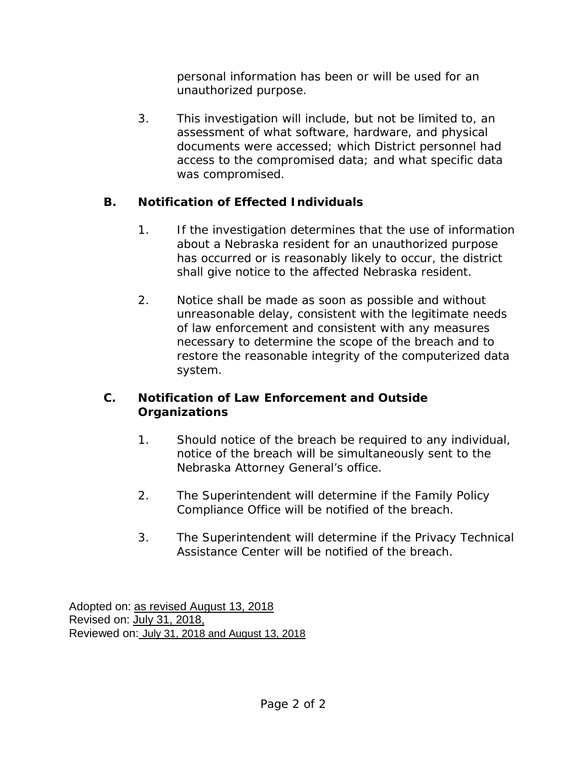personal information has been or will be used for an unauthorized purpose.

3. This investigation will include, but not be limited to, an assessment of what software, hardware, and physical documents were accessed; which District personnel had access to the compromised data; and what specific data was compromised.

# **B. Notification of Effected Individuals**

- 1. If the investigation determines that the use of information about a Nebraska resident for an unauthorized purpose has occurred or is reasonably likely to occur, the district shall give notice to the affected Nebraska resident.
- 2. Notice shall be made as soon as possible and without unreasonable delay, consistent with the legitimate needs of law enforcement and consistent with any measures necessary to determine the scope of the breach and to restore the reasonable integrity of the computerized data system.

## **C. Notification of Law Enforcement and Outside Organizations**

- 1. Should notice of the breach be required to any individual, notice of the breach will be simultaneously sent to the Nebraska Attorney General's office.
- 2. The Superintendent will determine if the Family Policy Compliance Office will be notified of the breach.
- 3. The Superintendent will determine if the Privacy Technical Assistance Center will be notified of the breach.

Adopted on: as revised August 13, 2018 Revised on: July 31, 2018, Reviewed on: July 31, 2018 and August 13, 2018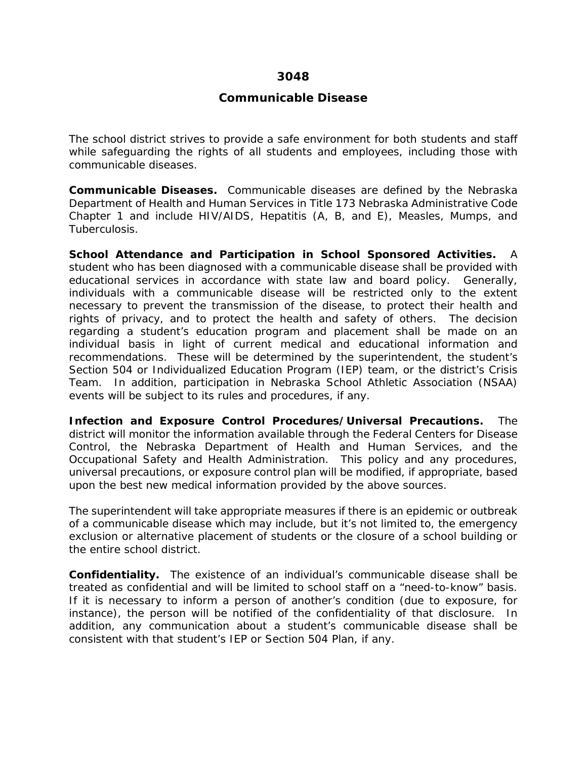#### **3048**

#### **Communicable Disease**

The school district strives to provide a safe environment for both students and staff while safeguarding the rights of all students and employees, including those with communicable diseases.

**Communicable Diseases.** Communicable diseases are defined by the Nebraska Department of Health and Human Services in Title 173 Nebraska Administrative Code Chapter 1 and include HIV/AIDS, Hepatitis (A, B, and E), Measles, Mumps, and Tuberculosis.

**School Attendance and Participation in School Sponsored Activities.** A student who has been diagnosed with a communicable disease shall be provided with educational services in accordance with state law and board policy. Generally, individuals with a communicable disease will be restricted only to the extent necessary to prevent the transmission of the disease, to protect their health and rights of privacy, and to protect the health and safety of others. The decision regarding a student's education program and placement shall be made on an individual basis in light of current medical and educational information and recommendations. These will be determined by the superintendent, the student's Section 504 or Individualized Education Program (IEP) team, or the district's Crisis Team. In addition, participation in Nebraska School Athletic Association (NSAA) events will be subject to its rules and procedures, if any.

**Infection and Exposure Control Procedures/Universal Precautions.** The district will monitor the information available through the Federal Centers for Disease Control, the Nebraska Department of Health and Human Services, and the Occupational Safety and Health Administration. This policy and any procedures, universal precautions, or exposure control plan will be modified, if appropriate, based upon the best new medical information provided by the above sources.

The superintendent will take appropriate measures if there is an epidemic or outbreak of a communicable disease which may include, but it's not limited to, the emergency exclusion or alternative placement of students or the closure of a school building or the entire school district.

**Confidentiality.** The existence of an individual's communicable disease shall be treated as confidential and will be limited to school staff on a "need-to-know" basis. If it is necessary to inform a person of another's condition (due to exposure, for instance), the person will be notified of the confidentiality of that disclosure. In addition, any communication about a student's communicable disease shall be consistent with that student's IEP or Section 504 Plan, if any.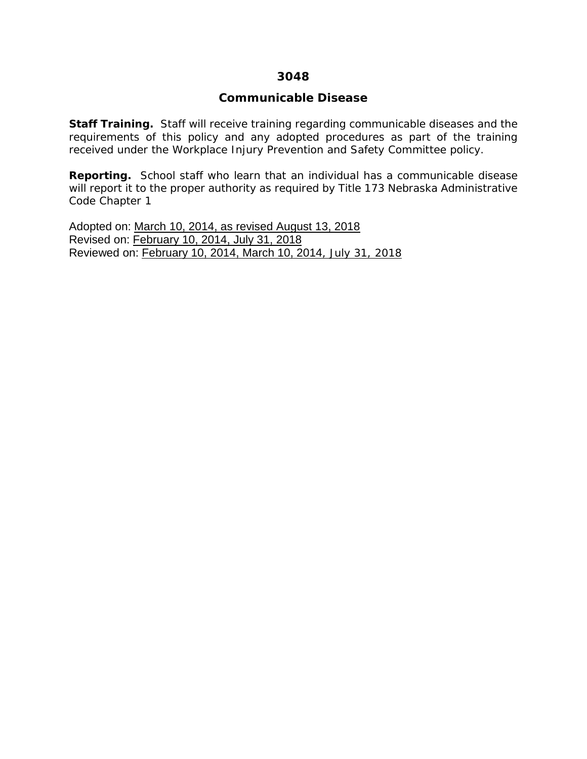#### **3048**

#### **Communicable Disease**

**Staff Training.** Staff will receive training regarding communicable diseases and the requirements of this policy and any adopted procedures as part of the training received under the Workplace Injury Prevention and Safety Committee policy.

**Reporting.** School staff who learn that an individual has a communicable disease will report it to the proper authority as required by Title 173 Nebraska Administrative Code Chapter 1

Adopted on: March 10, 2014, as revised August 13, 2018 Revised on: February 10, 2014, July 31, 2018 Reviewed on: February 10, 2014, March 10, 2014, July 31, 2018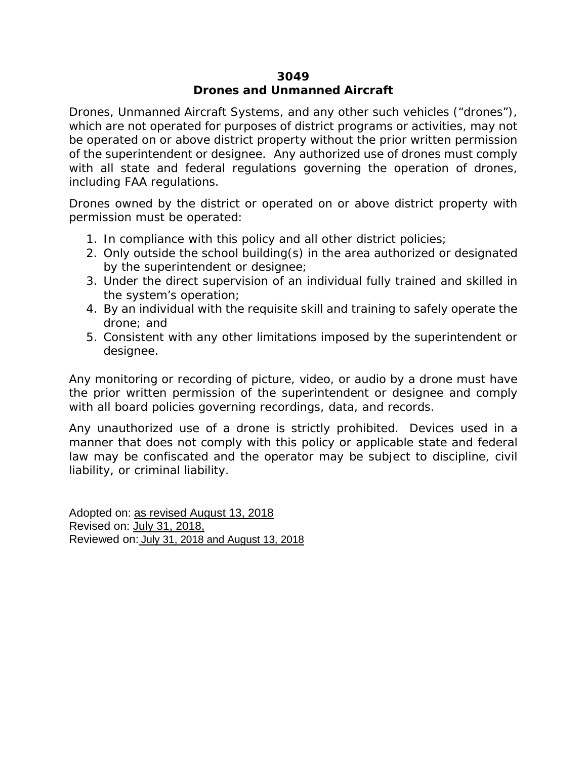### **3049 Drones and Unmanned Aircraft**

Drones, Unmanned Aircraft Systems, and any other such vehicles ("drones"), which are not operated for purposes of district programs or activities, may not be operated on or above district property without the prior written permission of the superintendent or designee. Any authorized use of drones must comply with all state and federal regulations governing the operation of drones, including FAA regulations.

Drones owned by the district or operated on or above district property with permission must be operated:

- 1. In compliance with this policy and all other district policies;
- 2. Only outside the school building(s) in the area authorized or designated by the superintendent or designee;
- 3. Under the direct supervision of an individual fully trained and skilled in the system's operation;
- 4. By an individual with the requisite skill and training to safely operate the drone; and
- 5. Consistent with any other limitations imposed by the superintendent or designee.

Any monitoring or recording of picture, video, or audio by a drone must have the prior written permission of the superintendent or designee and comply with all board policies governing recordings, data, and records.

Any unauthorized use of a drone is strictly prohibited. Devices used in a manner that does not comply with this policy or applicable state and federal law may be confiscated and the operator may be subject to discipline, civil liability, or criminal liability.

Adopted on: as revised August 13, 2018 Revised on: July 31, 2018, Reviewed on: July 31, 2018 and August 13, 2018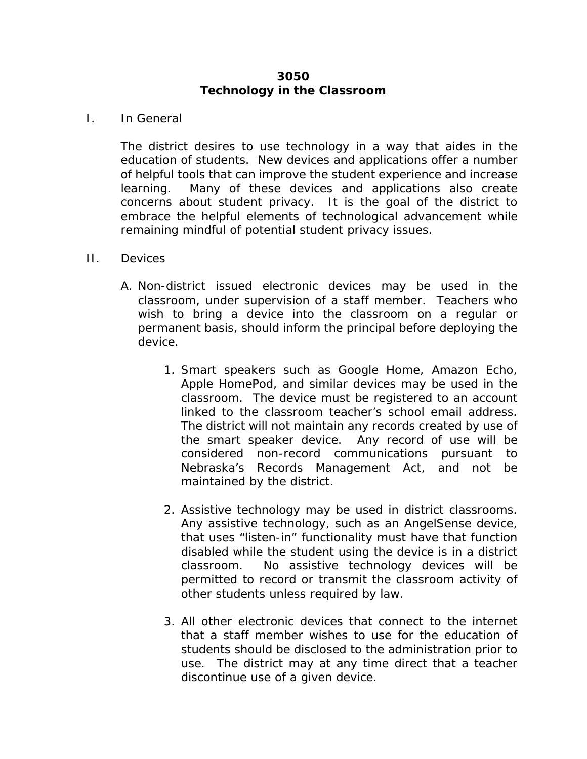## **3050 Technology in the Classroom**

### I. In General

The district desires to use technology in a way that aides in the education of students. New devices and applications offer a number of helpful tools that can improve the student experience and increase learning. Many of these devices and applications also create concerns about student privacy. It is the goal of the district to embrace the helpful elements of technological advancement while remaining mindful of potential student privacy issues.

#### II. Devices

- A. Non-district issued electronic devices may be used in the classroom, under supervision of a staff member. Teachers who wish to bring a device into the classroom on a regular or permanent basis, should inform the principal before deploying the device.
	- 1. Smart speakers such as Google Home, Amazon Echo, Apple HomePod, and similar devices may be used in the classroom. The device must be registered to an account linked to the classroom teacher's school email address. The district will not maintain any records created by use of the smart speaker device. Any record of use will be considered non-record communications pursuant to Nebraska's Records Management Act, and not be maintained by the district.
	- 2. Assistive technology may be used in district classrooms. Any assistive technology, such as an AngelSense device, that uses "listen-in" functionality must have that function disabled while the student using the device is in a district classroom. No assistive technology devices will be permitted to record or transmit the classroom activity of other students unless required by law.
	- 3. All other electronic devices that connect to the internet that a staff member wishes to use for the education of students should be disclosed to the administration prior to use. The district may at any time direct that a teacher discontinue use of a given device.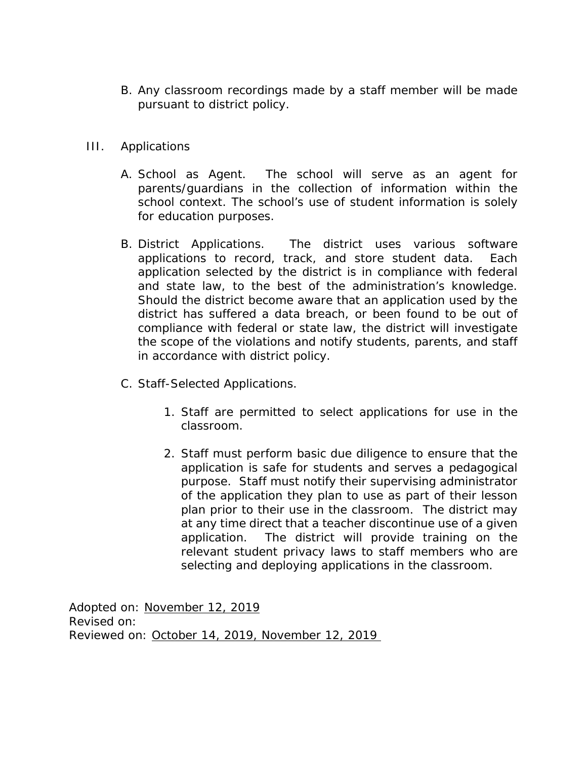- B. Any classroom recordings made by a staff member will be made pursuant to district policy.
- III. Applications
	- A. School as Agent. The school will serve as an agent for parents/guardians in the collection of information within the school context. The school's use of student information is solely for education purposes.
	- B. District Applications. The district uses various software applications to record, track, and store student data. Each application selected by the district is in compliance with federal and state law, to the best of the administration's knowledge. Should the district become aware that an application used by the district has suffered a data breach, or been found to be out of compliance with federal or state law, the district will investigate the scope of the violations and notify students, parents, and staff in accordance with district policy.
	- C. Staff-Selected Applications.
		- 1. Staff are permitted to select applications for use in the classroom.
		- 2. Staff must perform basic due diligence to ensure that the application is safe for students and serves a pedagogical purpose. Staff must notify their supervising administrator of the application they plan to use as part of their lesson plan prior to their use in the classroom. The district may at any time direct that a teacher discontinue use of a given application. The district will provide training on the relevant student privacy laws to staff members who are selecting and deploying applications in the classroom.

Adopted on: November 12, 2019 Revised on: Reviewed on: October 14, 2019, November 12, 2019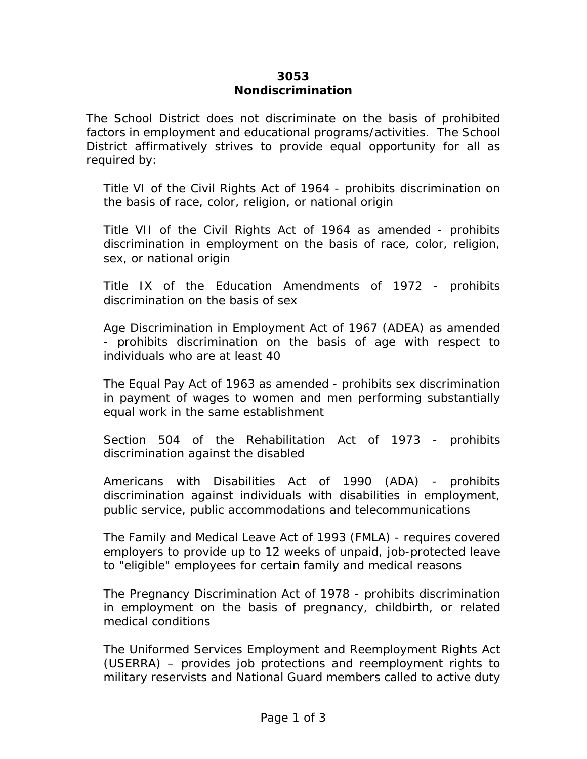### **3053 Nondiscrimination**

The School District does not discriminate on the basis of prohibited factors in employment and educational programs/activities. The School District affirmatively strives to provide equal opportunity for all as required by:

Title VI of the Civil Rights Act of 1964 - prohibits discrimination on the basis of race, color, religion, or national origin

Title VII of the Civil Rights Act of 1964 as amended - prohibits discrimination in employment on the basis of race, color, religion, sex, or national origin

Title IX of the Education Amendments of 1972 - prohibits discrimination on the basis of sex

Age Discrimination in Employment Act of 1967 (ADEA) as amended - prohibits discrimination on the basis of age with respect to individuals who are at least 40

The Equal Pay Act of 1963 as amended - prohibits sex discrimination in payment of wages to women and men performing substantially equal work in the same establishment

Section 504 of the Rehabilitation Act of 1973 - prohibits discrimination against the disabled

Americans with Disabilities Act of 1990 (ADA) - prohibits discrimination against individuals with disabilities in employment, public service, public accommodations and telecommunications

The Family and Medical Leave Act of 1993 (FMLA) - requires covered employers to provide up to 12 weeks of unpaid, job-protected leave to "eligible" employees for certain family and medical reasons

The Pregnancy Discrimination Act of 1978 - prohibits discrimination in employment on the basis of pregnancy, childbirth, or related medical conditions

The Uniformed Services Employment and Reemployment Rights Act (USERRA) – provides job protections and reemployment rights to military reservists and National Guard members called to active duty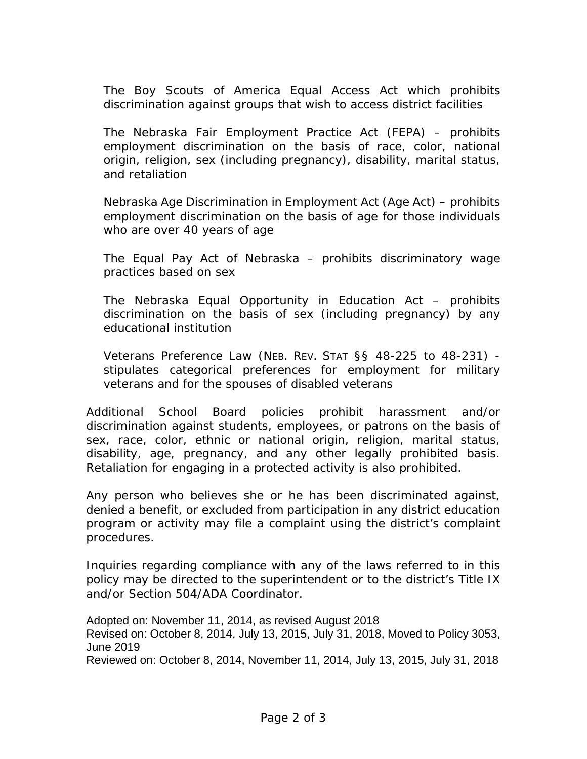The Boy Scouts of America Equal Access Act which prohibits discrimination against groups that wish to access district facilities

The Nebraska Fair Employment Practice Act (FEPA) – prohibits employment discrimination on the basis of race, color, national origin, religion, sex (including pregnancy), disability, marital status, and retaliation

Nebraska Age Discrimination in Employment Act (Age Act) – prohibits employment discrimination on the basis of age for those individuals who are over 40 years of age

The Equal Pay Act of Nebraska – prohibits discriminatory wage practices based on sex

The Nebraska Equal Opportunity in Education Act – prohibits discrimination on the basis of sex (including pregnancy) by any educational institution

Veterans Preference Law (NEB. REV. STAT §§ 48-225 to 48-231) stipulates categorical preferences for employment for military veterans and for the spouses of disabled veterans

Additional School Board policies prohibit harassment and/or discrimination against students, employees, or patrons on the basis of sex, race, color, ethnic or national origin, religion, marital status, disability, age, pregnancy, and any other legally prohibited basis. Retaliation for engaging in a protected activity is also prohibited.

Any person who believes she or he has been discriminated against, denied a benefit, or excluded from participation in any district education program or activity may file a complaint using the district's complaint procedures.

Inquiries regarding compliance with any of the laws referred to in this policy may be directed to the superintendent or to the district's Title IX and/or Section 504/ADA Coordinator.

Adopted on: November 11, 2014, as revised August 2018 Revised on: October 8, 2014, July 13, 2015, July 31, 2018, Moved to Policy 3053, June 2019 Reviewed on: October 8, 2014, November 11, 2014, July 13, 2015, July 31, 2018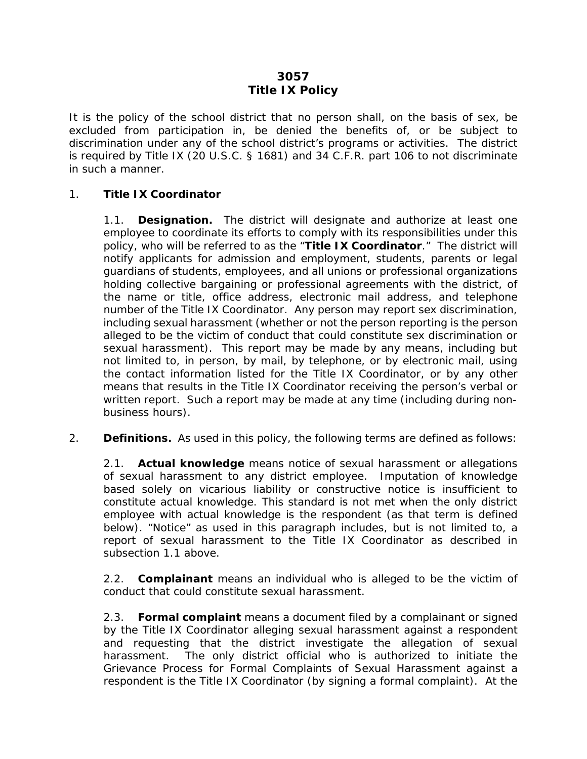## **3057 Title IX Policy**

It is the policy of the school district that no person shall, on the basis of sex, be excluded from participation in, be denied the benefits of, or be subject to discrimination under any of the school district's programs or activities. The district is required by Title IX (20 U.S.C. § 1681) and 34 C.F.R. part 106 to not discriminate in such a manner.

### <span id="page-130-0"></span>1. **Title IX Coordinator**

1.1. **Designation.** The district will designate and authorize at least one employee to coordinate its efforts to comply with its responsibilities under this policy, who will be referred to as the "**Title IX Coordinator**." The district will notify applicants for admission and employment, students, parents or legal guardians of students, employees, and all unions or professional organizations holding collective bargaining or professional agreements with the district, of the name or title, office address, electronic mail address, and telephone number of the Title IX Coordinator. Any person may report sex discrimination, including sexual harassment (whether or not the person reporting is the person alleged to be the victim of conduct that could constitute sex discrimination or sexual harassment). This report may be made by any means, including but not limited to, in person, by mail, by telephone, or by electronic mail, using the contact information listed for the Title IX Coordinator, or by any other means that results in the Title IX Coordinator receiving the person's verbal or written report. Such a report may be made at any time (including during nonbusiness hours).

2. **Definitions.** As used in this policy, the following terms are defined as follows:

2.1. **Actual knowledge** means notice of sexual harassment or allegations of sexual harassment to any district employee. Imputation of knowledge based solely on vicarious liability or constructive notice is insufficient to constitute actual knowledge. This standard is not met when the only district employee with actual knowledge is the respondent (as that term is defined below). "Notice" as used in this paragraph includes, but is not limited to, a report of sexual harassment to the Title IX Coordinator as described in subsection [1.1](#page-130-0) above.

2.2. **Complainant** means an individual who is alleged to be the victim of conduct that could constitute sexual harassment.

2.3. **Formal complaint** means a document filed by a complainant or signed by the Title IX Coordinator alleging sexual harassment against a respondent and requesting that the district investigate the allegation of sexual harassment. The only district official who is authorized to initiate the Grievance Process for Formal Complaints of Sexual Harassment against a respondent is the Title IX Coordinator (by signing a formal complaint). At the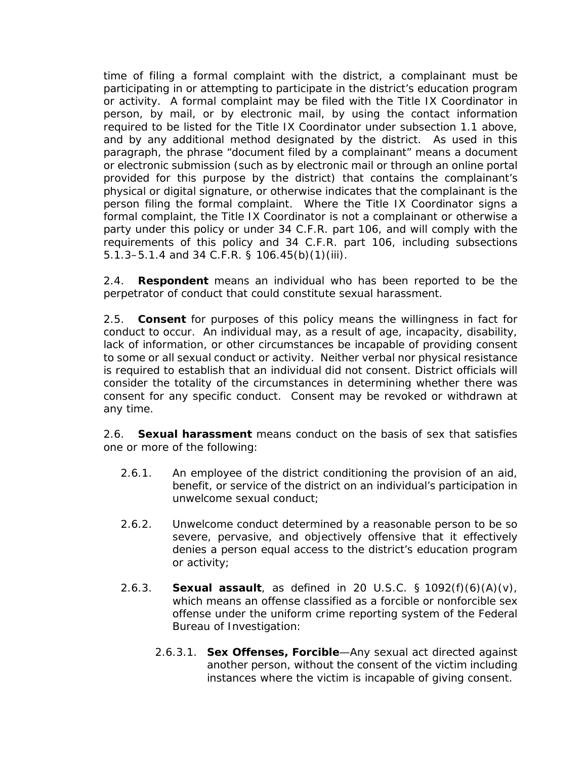time of filing a formal complaint with the district, a complainant must be participating in or attempting to participate in the district's education program or activity. A formal complaint may be filed with the Title IX Coordinator in person, by mail, or by electronic mail, by using the contact information required to be listed for the Title IX Coordinator under subsection [1.1](#page-130-0) above, and by any additional method designated by the district. As used in this paragraph, the phrase "document filed by a complainant" means a document or electronic submission (such as by electronic mail or through an online portal provided for this purpose by the district) that contains the complainant's physical or digital signature, or otherwise indicates that the complainant is the person filing the formal complaint. Where the Title IX Coordinator signs a formal complaint, the Title IX Coordinator is not a complainant or otherwise a party under this policy or under 34 C.F.R. part 106, and will comply with the requirements of this policy and 34 C.F.R. part 106, including subsections [5.1.3–](#page-136-0)[5.1.4](#page-136-1) and 34 C.F.R. § 106.45(b)(1)(iii).

2.4. **Respondent** means an individual who has been reported to be the perpetrator of conduct that could constitute sexual harassment.

2.5. **Consent** for purposes of this policy means the willingness in fact for conduct to occur. An individual may, as a result of age, incapacity, disability, lack of information, or other circumstances be incapable of providing consent to some or all sexual conduct or activity. Neither verbal nor physical resistance is required to establish that an individual did not consent. District officials will consider the totality of the circumstances in determining whether there was consent for any specific conduct. Consent may be revoked or withdrawn at any time.

<span id="page-131-0"></span>2.6. **Sexual harassment** means conduct on the basis of sex that satisfies one or more of the following:

- 2.6.1. An employee of the district conditioning the provision of an aid, benefit, or service of the district on an individual's participation in unwelcome sexual conduct;
- 2.6.2. Unwelcome conduct determined by a reasonable person to be so severe, pervasive, and objectively offensive that it effectively denies a person equal access to the district's education program or activity;
- 2.6.3. **Sexual assault**, as defined in 20 U.S.C. § 1092(f)(6)(A)(v), which means an offense classified as a forcible or nonforcible sex offense under the uniform crime reporting system of the Federal Bureau of Investigation:
	- 2.6.3.1. **Sex Offenses, Forcible**—Any sexual act directed against another person, without the consent of the victim including instances where the victim is incapable of giving consent.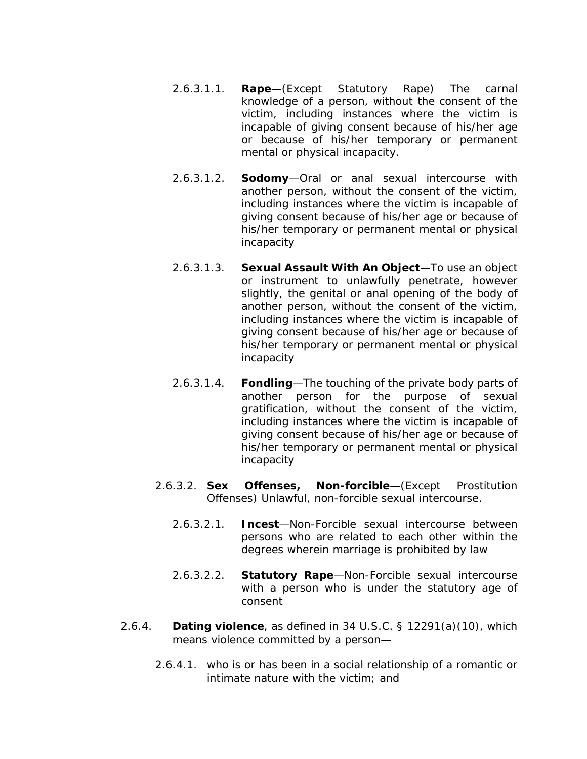- 2.6.3.1.1. **Rape**—(Except Statutory Rape) The carnal knowledge of a person, without the consent of the victim, including instances where the victim is incapable of giving consent because of his/her age or because of his/her temporary or permanent mental or physical incapacity.
- 2.6.3.1.2. **Sodomy**—Oral or anal sexual intercourse with another person, without the consent of the victim, including instances where the victim is incapable of giving consent because of his/her age or because of his/her temporary or permanent mental or physical incapacity
- 2.6.3.1.3. **Sexual Assault With An Object**—To use an object or instrument to unlawfully penetrate, however slightly, the genital or anal opening of the body of another person, without the consent of the victim, including instances where the victim is incapable of giving consent because of his/her age or because of his/her temporary or permanent mental or physical incapacity
- 2.6.3.1.4. **Fondling**—The touching of the private body parts of another person for the purpose of sexual gratification, without the consent of the victim, including instances where the victim is incapable of giving consent because of his/her age or because of his/her temporary or permanent mental or physical incapacity
- 2.6.3.2. **Sex Offenses, Non-forcible**—(Except Prostitution Offenses) Unlawful, non-forcible sexual intercourse.
	- 2.6.3.2.1. **Incest**—Non-Forcible sexual intercourse between persons who are related to each other within the degrees wherein marriage is prohibited by law
	- 2.6.3.2.2. **Statutory Rape**—Non-Forcible sexual intercourse with a person who is under the statutory age of consent
- 2.6.4. **Dating violence**, as defined in 34 U.S.C. § 12291(a)(10), which means violence committed by a person—
	- 2.6.4.1. who is or has been in a social relationship of a romantic or intimate nature with the victim; and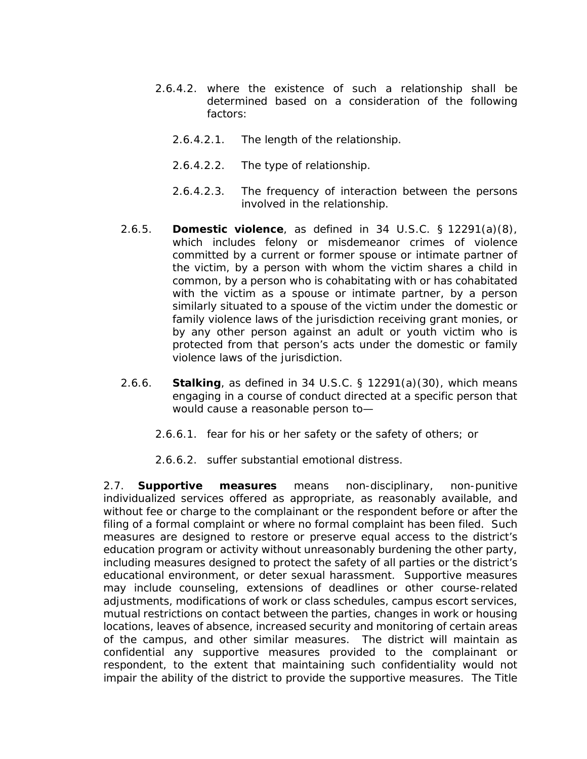- 2.6.4.2. where the existence of such a relationship shall be determined based on a consideration of the following factors:
	- 2.6.4.2.1. The length of the relationship.
	- 2.6.4.2.2. The type of relationship.
	- 2.6.4.2.3. The frequency of interaction between the persons involved in the relationship.
- 2.6.5. **Domestic violence**, as defined in 34 U.S.C. § 12291(a)(8), which includes felony or misdemeanor crimes of violence committed by a current or former spouse or intimate partner of the victim, by a person with whom the victim shares a child in common, by a person who is cohabitating with or has cohabitated with the victim as a spouse or intimate partner, by a person similarly situated to a spouse of the victim under the domestic or family violence laws of the jurisdiction receiving grant monies, or by any other person against an adult or youth victim who is protected from that person's acts under the domestic or family violence laws of the jurisdiction.
- 2.6.6. **Stalking**, as defined in 34 U.S.C. § 12291(a)(30), which means engaging in a course of conduct directed at a specific person that would cause a reasonable person to—
	- 2.6.6.1. fear for his or her safety or the safety of others; or
	- 2.6.6.2. suffer substantial emotional distress.

<span id="page-133-0"></span>2.7. **Supportive measures** means non-disciplinary, non-punitive individualized services offered as appropriate, as reasonably available, and without fee or charge to the complainant or the respondent before or after the filing of a formal complaint or where no formal complaint has been filed. Such measures are designed to restore or preserve equal access to the district's education program or activity without unreasonably burdening the other party, including measures designed to protect the safety of all parties or the district's educational environment, or deter sexual harassment. Supportive measures may include counseling, extensions of deadlines or other course-related adjustments, modifications of work or class schedules, campus escort services, mutual restrictions on contact between the parties, changes in work or housing locations, leaves of absence, increased security and monitoring of certain areas of the campus, and other similar measures. The district will maintain as confidential any supportive measures provided to the complainant or respondent, to the extent that maintaining such confidentiality would not impair the ability of the district to provide the supportive measures. The Title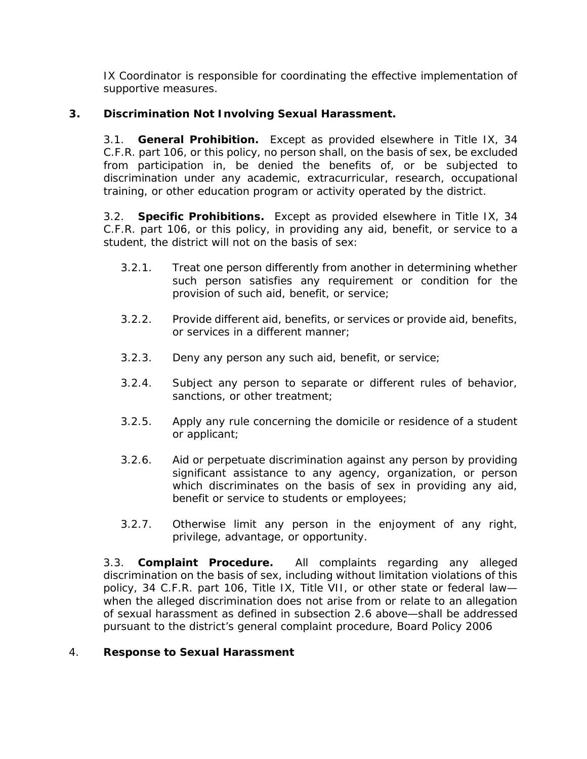IX Coordinator is responsible for coordinating the effective implementation of supportive measures.

### **3. Discrimination Not Involving Sexual Harassment.**

3.1. **General Prohibition.** Except as provided elsewhere in Title IX, 34 C.F.R. part 106, or this policy, no person shall, on the basis of sex, be excluded from participation in, be denied the benefits of, or be subjected to discrimination under any academic, extracurricular, research, occupational training, or other education program or activity operated by the district.

3.2. **Specific Prohibitions.** Except as provided elsewhere in Title IX, 34 C.F.R. part 106, or this policy, in providing any aid, benefit, or service to a student, the district will not on the basis of sex:

- 3.2.1. Treat one person differently from another in determining whether such person satisfies any requirement or condition for the provision of such aid, benefit, or service;
- 3.2.2. Provide different aid, benefits, or services or provide aid, benefits, or services in a different manner;
- 3.2.3. Deny any person any such aid, benefit, or service;
- 3.2.4. Subject any person to separate or different rules of behavior, sanctions, or other treatment;
- 3.2.5. Apply any rule concerning the domicile or residence of a student or applicant;
- 3.2.6. Aid or perpetuate discrimination against any person by providing significant assistance to any agency, organization, or person which discriminates on the basis of sex in providing any aid, benefit or service to students or employees;
- 3.2.7. Otherwise limit any person in the enjoyment of any right, privilege, advantage, or opportunity.

3.3. **Complaint Procedure.** All complaints regarding any alleged discrimination on the basis of sex, including without limitation violations of this policy, 34 C.F.R. part 106, Title IX, Title VII, or other state or federal law when the alleged discrimination does not arise from or relate to an allegation of sexual harassment as defined in subsection [2.6](#page-131-0) above—shall be addressed pursuant to the district's general complaint procedure, Board Policy 2006

### <span id="page-134-0"></span>4. **Response to Sexual Harassment**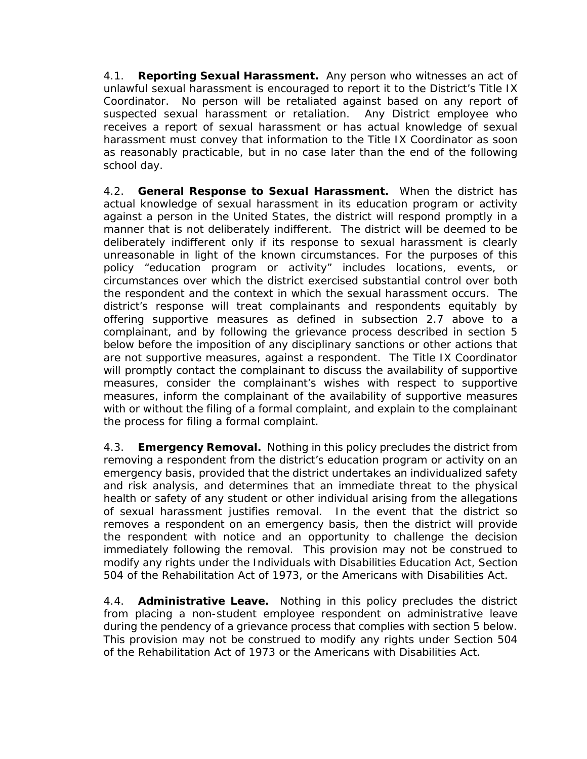4.1. **Reporting Sexual Harassment.** Any person who witnesses an act of unlawful sexual harassment is encouraged to report it to the District's Title IX Coordinator. No person will be retaliated against based on any report of suspected sexual harassment or retaliation. Any District employee who receives a report of sexual harassment or has actual knowledge of sexual harassment must convey that information to the Title IX Coordinator as soon as reasonably practicable, but in no case later than the end of the following school day.

4.2. **General Response to Sexual Harassment.** When the district has actual knowledge of sexual harassment in its education program or activity against a person in the United States, the district will respond promptly in a manner that is not deliberately indifferent. The district will be deemed to be deliberately indifferent only if its response to sexual harassment is clearly unreasonable in light of the known circumstances. For the purposes of this policy "education program or activity" includes locations, events, or circumstances over which the district exercised substantial control over both the respondent and the context in which the sexual harassment occurs. The district's response will treat complainants and respondents equitably by offering supportive measures as defined in subsection [2.7](#page-133-0) above to a complainant, and by following the grievance process described in section [5](#page-136-2) below before the imposition of any disciplinary sanctions or other actions that are not supportive measures, against a respondent. The Title IX Coordinator will promptly contact the complainant to discuss the availability of supportive measures, consider the complainant's wishes with respect to supportive measures, inform the complainant of the availability of supportive measures with or without the filing of a formal complaint, and explain to the complainant the process for filing a formal complaint.

4.3. **Emergency Removal.** Nothing in this policy precludes the district from removing a respondent from the district's education program or activity on an emergency basis, provided that the district undertakes an individualized safety and risk analysis, and determines that an immediate threat to the physical health or safety of any student or other individual arising from the allegations of sexual harassment justifies removal. In the event that the district so removes a respondent on an emergency basis, then the district will provide the respondent with notice and an opportunity to challenge the decision immediately following the removal. This provision may not be construed to modify any rights under the Individuals with Disabilities Education Act, Section 504 of the Rehabilitation Act of 1973, or the Americans with Disabilities Act.

4.4. **Administrative Leave.** Nothing in this policy precludes the district from placing a non-student employee respondent on administrative leave during the pendency of a grievance process that complies with section [5](#page-136-2) below. This provision may not be construed to modify any rights under Section 504 of the Rehabilitation Act of 1973 or the Americans with Disabilities Act.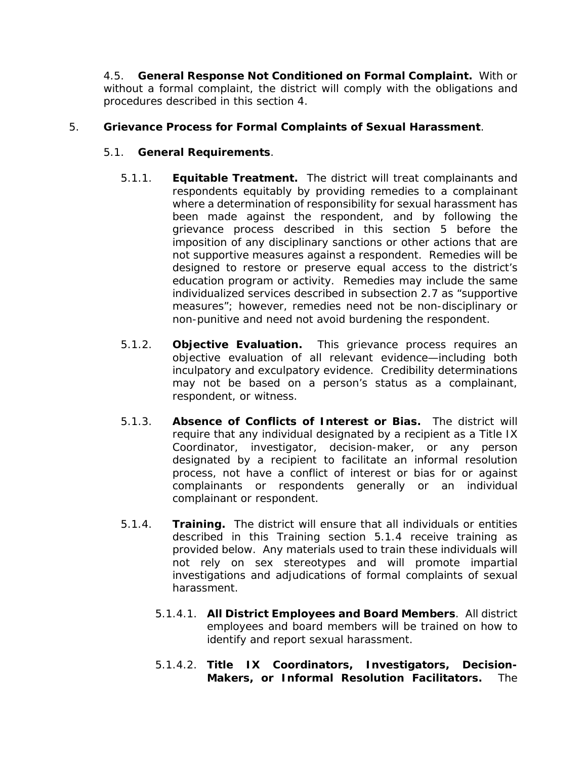4.5. **General Response Not Conditioned on Formal Complaint.** With or without a formal complaint, the district will comply with the obligations and procedures described in this section [4.](#page-134-0)

### <span id="page-136-2"></span>5. **Grievance Process for Formal Complaints of Sexual Harassment**.

### 5.1. **General Requirements**.

- 5.1.1. **Equitable Treatment.** The district will treat complainants and respondents equitably by providing remedies to a complainant where a determination of responsibility for sexual harassment has been made against the respondent, and by following the grievance process described in this section [5](#page-136-2) before the imposition of any disciplinary sanctions or other actions that are not supportive measures against a respondent. Remedies will be designed to restore or preserve equal access to the district's education program or activity. Remedies may include the same individualized services described in subsection [2.7](#page-133-0) as "supportive measures"; however, remedies need not be non-disciplinary or non-punitive and need not avoid burdening the respondent.
- 5.1.2. **Objective Evaluation.** This grievance process requires an objective evaluation of all relevant evidence—including both inculpatory and exculpatory evidence. Credibility determinations may not be based on a person's status as a complainant, respondent, or witness.
- <span id="page-136-0"></span>5.1.3. **Absence of Conflicts of Interest or Bias.** The district will require that any individual designated by a recipient as a Title IX Coordinator, investigator, decision-maker, or any person designated by a recipient to facilitate an informal resolution process, not have a conflict of interest or bias for or against complainants or respondents generally or an individual complainant or respondent.
- <span id="page-136-1"></span>5.1.4. **Training.** The district will ensure that all individuals or entities described in this Training section [5.1.4](#page-136-1) receive training as provided below. Any materials used to train these individuals will not rely on sex stereotypes and will promote impartial investigations and adjudications of formal complaints of sexual harassment.
	- 5.1.4.1. **All District Employees and Board Members**. All district employees and board members will be trained on how to identify and report sexual harassment.
	- 5.1.4.2. **Title IX Coordinators, Investigators, Decision-Makers, or Informal Resolution Facilitators.** The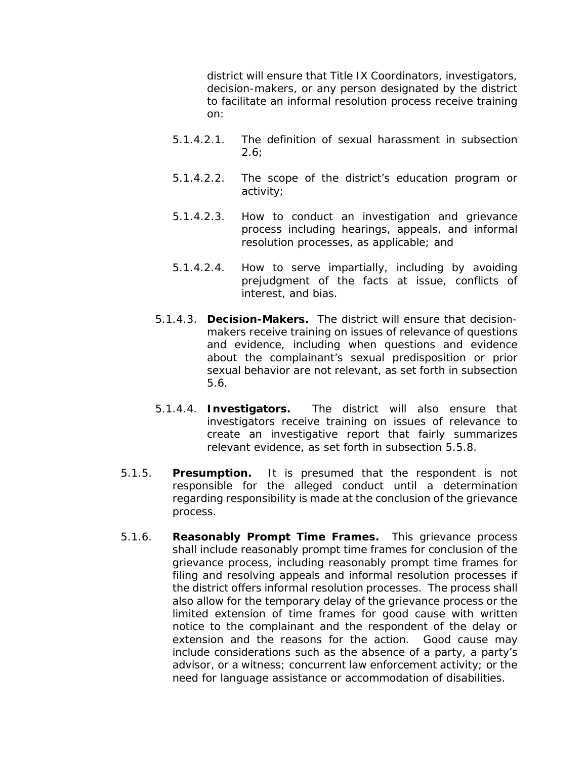district will ensure that Title IX Coordinators, investigators, decision-makers, or any person designated by the district to facilitate an informal resolution process receive training on:

- 5.1.4.2.1. The definition of sexual harassment in subsection  $2.6$ ;
- 5.1.4.2.2. The scope of the district's education program or activity;
- 5.1.4.2.3. How to conduct an investigation and grievance process including hearings, appeals, and informal resolution processes, as applicable; and
- 5.1.4.2.4. How to serve impartially, including by avoiding prejudgment of the facts at issue, conflicts of interest, and bias.
- 5.1.4.3. **Decision-Makers.** The district will ensure that decisionmakers receive training on issues of relevance of questions and evidence, including when questions and evidence about the complainant's sexual predisposition or prior sexual behavior are not relevant, as set forth in subsection [5.6.](#page-141-0)
- 5.1.4.4. **Investigators.** The district will also ensure that investigators receive training on issues of relevance to create an investigative report that fairly summarizes relevant evidence, as set forth in subsection [5.5.8.](#page-141-1)
- 5.1.5. **Presumption.** It is presumed that the respondent is not responsible for the alleged conduct until a determination regarding responsibility is made at the conclusion of the grievance process.
- 5.1.6. **Reasonably Prompt Time Frames.** This grievance process shall include reasonably prompt time frames for conclusion of the grievance process, including reasonably prompt time frames for filing and resolving appeals and informal resolution processes if the district offers informal resolution processes. The process shall also allow for the temporary delay of the grievance process or the limited extension of time frames for good cause with written notice to the complainant and the respondent of the delay or extension and the reasons for the action. Good cause may include considerations such as the absence of a party, a party's advisor, or a witness; concurrent law enforcement activity; or the need for language assistance or accommodation of disabilities.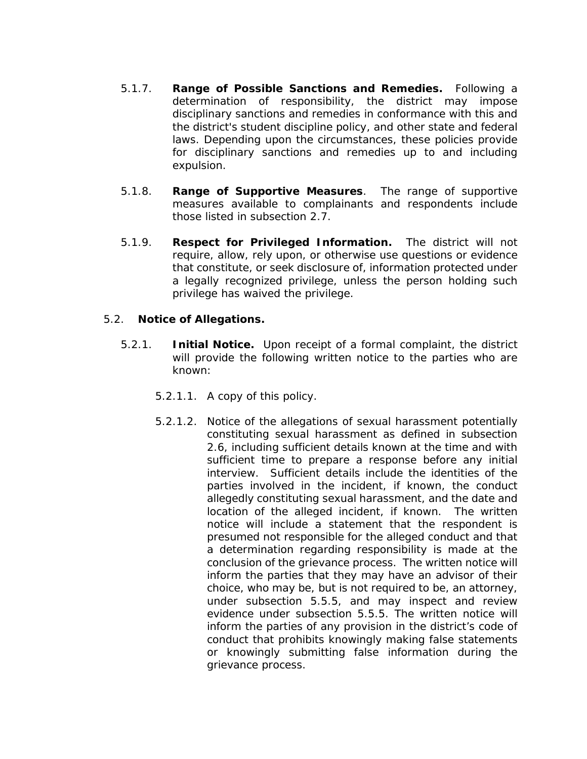- 5.1.7. **Range of Possible Sanctions and Remedies.** Following a determination of responsibility, the district may impose disciplinary sanctions and remedies in conformance with this and the district's student discipline policy, and other state and federal laws. Depending upon the circumstances, these policies provide for disciplinary sanctions and remedies up to and including expulsion.
- 5.1.8. **Range of Supportive Measures**. The range of supportive measures available to complainants and respondents include those listed in subsection [2.7.](#page-133-0)
- 5.1.9. **Respect for Privileged Information.** The district will not require, allow, rely upon, or otherwise use questions or evidence that constitute, or seek disclosure of, information protected under a legally recognized privilege, unless the person holding such privilege has waived the privilege.

#### 5.2. **Notice of Allegations.**

- 5.2.1. **Initial Notice.** Upon receipt of a formal complaint, the district will provide the following written notice to the parties who are known:
	- 5.2.1.1. A copy of this policy.
	- 5.2.1.2. Notice of the allegations of sexual harassment potentially constituting sexual harassment as defined in subsection [2.6,](#page-131-0) including sufficient details known at the time and with sufficient time to prepare a response before any initial interview. Sufficient details include the identities of the parties involved in the incident, if known, the conduct allegedly constituting sexual harassment, and the date and location of the alleged incident, if known. The written notice will include a statement that the respondent is presumed not responsible for the alleged conduct and that a determination regarding responsibility is made at the conclusion of the grievance process. The written notice will inform the parties that they may have an advisor of their choice, who may be, but is not required to be, an attorney, under subsection [5.5.5,](#page-140-0) and may inspect and review evidence under subsection [5.5.5.](#page-140-0) The written notice will inform the parties of any provision in the district's code of conduct that prohibits knowingly making false statements or knowingly submitting false information during the grievance process.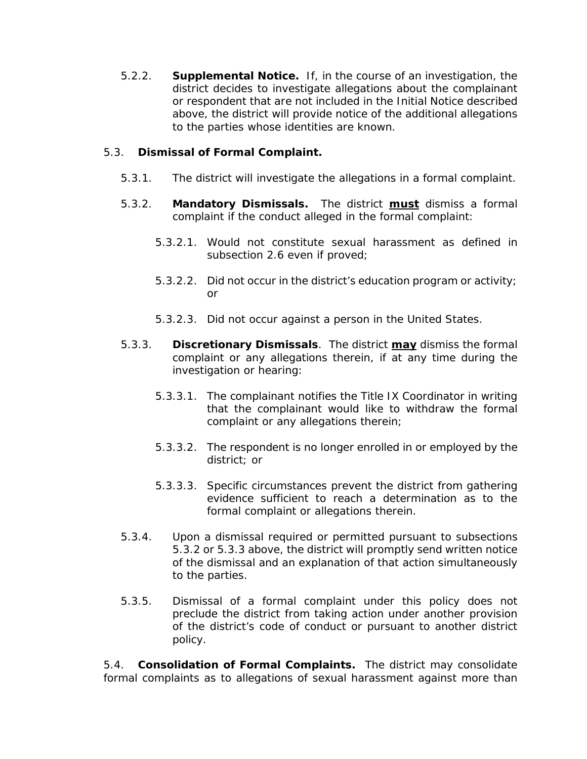5.2.2. **Supplemental Notice.** If, in the course of an investigation, the district decides to investigate allegations about the complainant or respondent that are not included in the Initial Notice described above, the district will provide notice of the additional allegations to the parties whose identities are known.

### 5.3. **Dismissal of Formal Complaint.**

- 5.3.1. The district will investigate the allegations in a formal complaint.
- <span id="page-139-0"></span>5.3.2. **Mandatory Dismissals.** The district **must** dismiss a formal complaint if the conduct alleged in the formal complaint:
	- 5.3.2.1. Would not constitute sexual harassment as defined in subsection [2.6](#page-131-0) even if proved;
	- 5.3.2.2. Did not occur in the district's education program or activity; or
	- 5.3.2.3. Did not occur against a person in the United States.
- <span id="page-139-1"></span>5.3.3. **Discretionary Dismissals**. The district **may** dismiss the formal complaint or any allegations therein, if at any time during the investigation or hearing:
	- 5.3.3.1. The complainant notifies the Title IX Coordinator in writing that the complainant would like to withdraw the formal complaint or any allegations therein;
	- 5.3.3.2. The respondent is no longer enrolled in or employed by the district; or
	- 5.3.3.3. Specific circumstances prevent the district from gathering evidence sufficient to reach a determination as to the formal complaint or allegations therein.
- 5.3.4. Upon a dismissal required or permitted pursuant to subsections [5.3.2](#page-139-0) or [5.3.3](#page-139-1) above, the district will promptly send written notice of the dismissal and an explanation of that action simultaneously to the parties.
- 5.3.5. Dismissal of a formal complaint under this policy does not preclude the district from taking action under another provision of the district's code of conduct or pursuant to another district policy.

5.4. **Consolidation of Formal Complaints.** The district may consolidate formal complaints as to allegations of sexual harassment against more than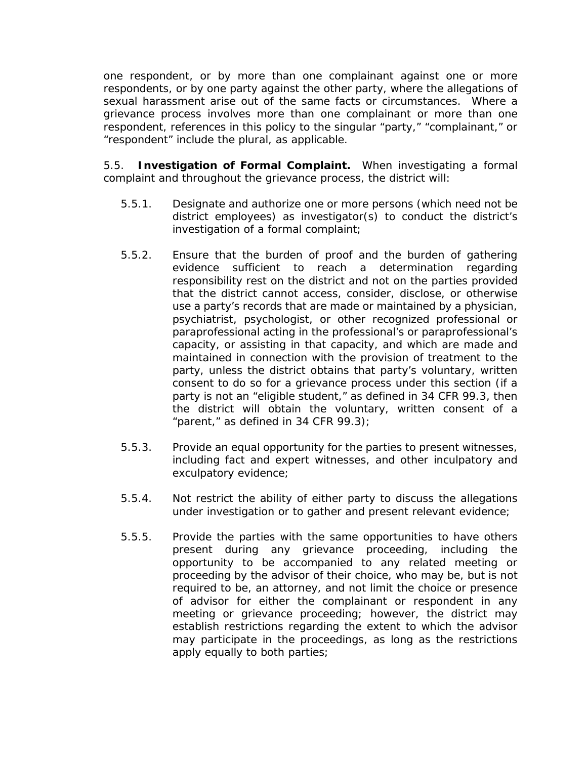one respondent, or by more than one complainant against one or more respondents, or by one party against the other party, where the allegations of sexual harassment arise out of the same facts or circumstances. Where a grievance process involves more than one complainant or more than one respondent, references in this policy to the singular "party," "complainant," or "respondent" include the plural, as applicable.

5.5. **Investigation of Formal Complaint.** When investigating a formal complaint and throughout the grievance process, the district will:

- 5.5.1. Designate and authorize one or more persons (which need not be district employees) as investigator(s) to conduct the district's investigation of a formal complaint;
- 5.5.2. Ensure that the burden of proof and the burden of gathering evidence sufficient to reach a determination regarding responsibility rest on the district and not on the parties provided that the district cannot access, consider, disclose, or otherwise use a party's records that are made or maintained by a physician, psychiatrist, psychologist, or other recognized professional or paraprofessional acting in the professional's or paraprofessional's capacity, or assisting in that capacity, and which are made and maintained in connection with the provision of treatment to the party, unless the district obtains that party's voluntary, written consent to do so for a grievance process under this section (if a party is not an "eligible student," as defined in 34 CFR 99.3, then the district will obtain the voluntary, written consent of a "parent," as defined in 34 CFR 99.3);
- 5.5.3. Provide an equal opportunity for the parties to present witnesses, including fact and expert witnesses, and other inculpatory and exculpatory evidence;
- 5.5.4. Not restrict the ability of either party to discuss the allegations under investigation or to gather and present relevant evidence;
- <span id="page-140-0"></span>5.5.5. Provide the parties with the same opportunities to have others present during any grievance proceeding, including the opportunity to be accompanied to any related meeting or proceeding by the advisor of their choice, who may be, but is not required to be, an attorney, and not limit the choice or presence of advisor for either the complainant or respondent in any meeting or grievance proceeding; however, the district may establish restrictions regarding the extent to which the advisor may participate in the proceedings, as long as the restrictions apply equally to both parties;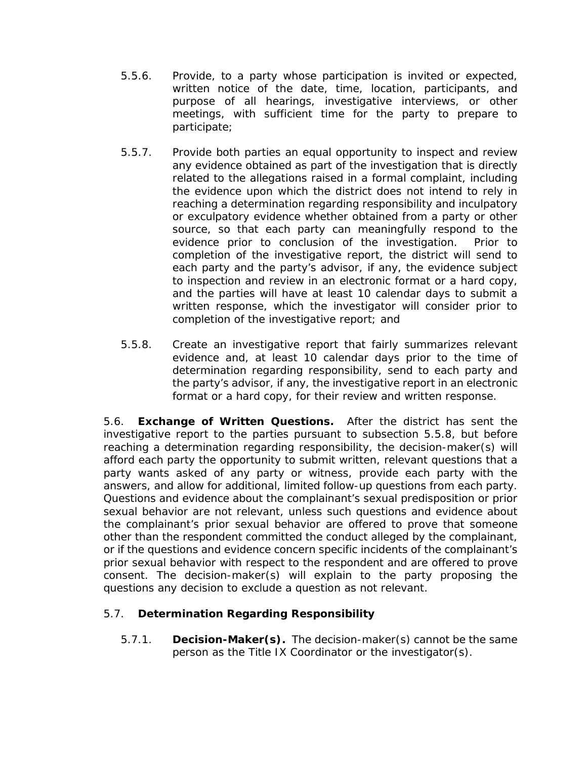- 5.5.6. Provide, to a party whose participation is invited or expected, written notice of the date, time, location, participants, and purpose of all hearings, investigative interviews, or other meetings, with sufficient time for the party to prepare to participate;
- 5.5.7. Provide both parties an equal opportunity to inspect and review any evidence obtained as part of the investigation that is directly related to the allegations raised in a formal complaint, including the evidence upon which the district does not intend to rely in reaching a determination regarding responsibility and inculpatory or exculpatory evidence whether obtained from a party or other source, so that each party can meaningfully respond to the evidence prior to conclusion of the investigation. Prior to completion of the investigative report, the district will send to each party and the party's advisor, if any, the evidence subject to inspection and review in an electronic format or a hard copy, and the parties will have at least 10 calendar days to submit a written response, which the investigator will consider prior to completion of the investigative report; and
- <span id="page-141-1"></span>5.5.8. Create an investigative report that fairly summarizes relevant evidence and, at least 10 calendar days prior to the time of determination regarding responsibility, send to each party and the party's advisor, if any, the investigative report in an electronic format or a hard copy, for their review and written response.

<span id="page-141-0"></span>5.6. **Exchange of Written Questions.** After the district has sent the investigative report to the parties pursuant to subsection [5.5.8,](#page-141-1) but before reaching a determination regarding responsibility, the decision-maker(s) will afford each party the opportunity to submit written, relevant questions that a party wants asked of any party or witness, provide each party with the answers, and allow for additional, limited follow-up questions from each party. Questions and evidence about the complainant's sexual predisposition or prior sexual behavior are not relevant, unless such questions and evidence about the complainant's prior sexual behavior are offered to prove that someone other than the respondent committed the conduct alleged by the complainant, or if the questions and evidence concern specific incidents of the complainant's prior sexual behavior with respect to the respondent and are offered to prove consent. The decision-maker(s) will explain to the party proposing the questions any decision to exclude a question as not relevant.

## 5.7. **Determination Regarding Responsibility**

5.7.1. **Decision-Maker(s).** The decision-maker(s) cannot be the same person as the Title IX Coordinator or the investigator(s).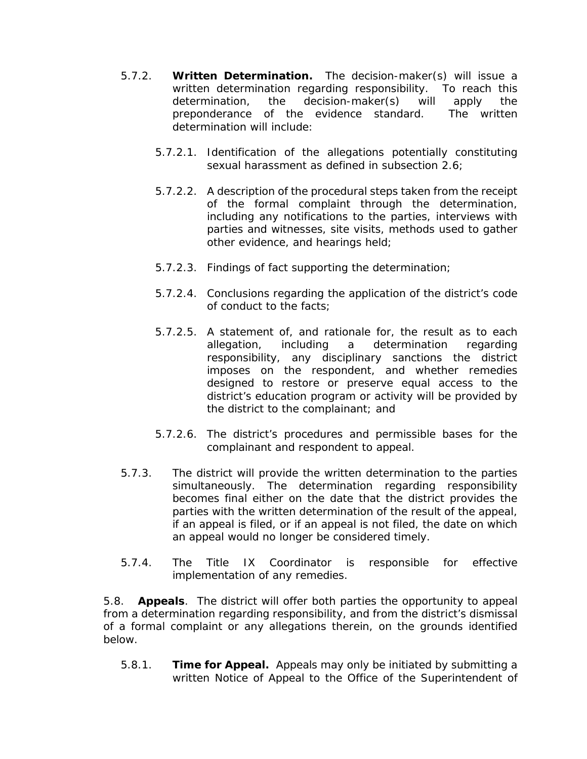- 5.7.2. **Written Determination.** The decision-maker(s) will issue a written determination regarding responsibility. To reach this determination, the decision-maker(s) will apply the preponderance of the evidence standard. The written determination will include:
	- 5.7.2.1. Identification of the allegations potentially constituting sexual harassment as defined in subsection [2.6;](#page-131-0)
	- 5.7.2.2. A description of the procedural steps taken from the receipt of the formal complaint through the determination, including any notifications to the parties, interviews with parties and witnesses, site visits, methods used to gather other evidence, and hearings held;
	- 5.7.2.3. Findings of fact supporting the determination;
	- 5.7.2.4. Conclusions regarding the application of the district's code of conduct to the facts;
	- 5.7.2.5. A statement of, and rationale for, the result as to each allegation, including a determination regarding responsibility, any disciplinary sanctions the district imposes on the respondent, and whether remedies designed to restore or preserve equal access to the district's education program or activity will be provided by the district to the complainant; and
	- 5.7.2.6. The district's procedures and permissible bases for the complainant and respondent to appeal.
- 5.7.3. The district will provide the written determination to the parties simultaneously. The determination regarding responsibility becomes final either on the date that the district provides the parties with the written determination of the result of the appeal, if an appeal is filed, or if an appeal is not filed, the date on which an appeal would no longer be considered timely.
- 5.7.4. The Title IX Coordinator is responsible for effective implementation of any remedies.

5.8. **Appeals**. The district will offer both parties the opportunity to appeal from a determination regarding responsibility, and from the district's dismissal of a formal complaint or any allegations therein, on the grounds identified below.

5.8.1. **Time for Appeal.** Appeals may only be initiated by submitting a written Notice of Appeal to the Office of the Superintendent of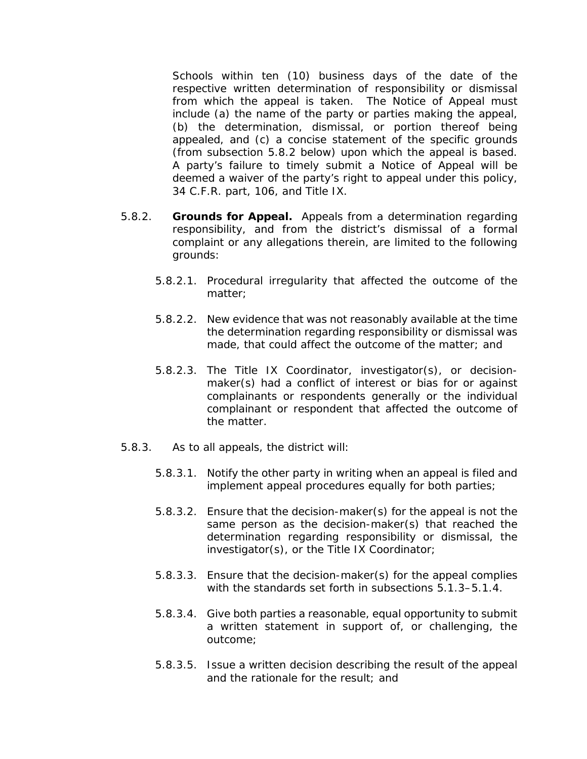Schools within ten (10) business days of the date of the respective written determination of responsibility or dismissal from which the appeal is taken. The Notice of Appeal must include (a) the name of the party or parties making the appeal, (b) the determination, dismissal, or portion thereof being appealed, and (c) a concise statement of the specific grounds (from subsection [5.8.2](#page-143-0) below) upon which the appeal is based. A party's failure to timely submit a Notice of Appeal will be deemed a waiver of the party's right to appeal under this policy, 34 C.F.R. part, 106, and Title IX.

- <span id="page-143-0"></span>5.8.2. **Grounds for Appeal.** Appeals from a determination regarding responsibility, and from the district's dismissal of a formal complaint or any allegations therein, are limited to the following grounds:
	- 5.8.2.1. Procedural irregularity that affected the outcome of the matter;
	- 5.8.2.2. New evidence that was not reasonably available at the time the determination regarding responsibility or dismissal was made, that could affect the outcome of the matter; and
	- 5.8.2.3. The Title IX Coordinator, investigator(s), or decisionmaker(s) had a conflict of interest or bias for or against complainants or respondents generally or the individual complainant or respondent that affected the outcome of the matter.
- 5.8.3. As to all appeals, the district will:
	- 5.8.3.1. Notify the other party in writing when an appeal is filed and implement appeal procedures equally for both parties;
	- 5.8.3.2. Ensure that the decision-maker(s) for the appeal is not the same person as the decision-maker(s) that reached the determination regarding responsibility or dismissal, the investigator(s), or the Title IX Coordinator;
	- 5.8.3.3. Ensure that the decision-maker(s) for the appeal complies with the standards set forth in subsections [5.1.3–](#page-136-0)[5.1.4.](#page-136-1)
	- 5.8.3.4. Give both parties a reasonable, equal opportunity to submit a written statement in support of, or challenging, the outcome;
	- 5.8.3.5. Issue a written decision describing the result of the appeal and the rationale for the result; and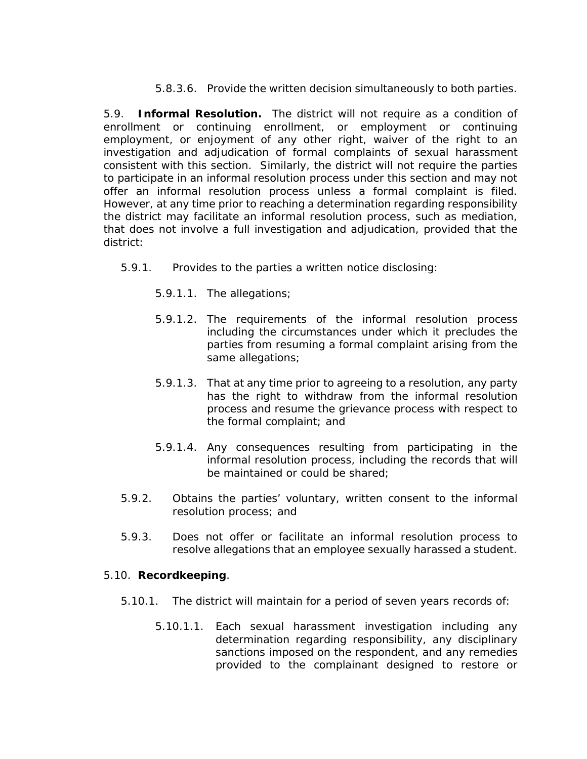5.8.3.6. Provide the written decision simultaneously to both parties.

5.9. **Informal Resolution.** The district will not require as a condition of enrollment or continuing enrollment, or employment or continuing employment, or enjoyment of any other right, waiver of the right to an investigation and adjudication of formal complaints of sexual harassment consistent with this section. Similarly, the district will not require the parties to participate in an informal resolution process under this section and may not offer an informal resolution process unless a formal complaint is filed. However, at any time prior to reaching a determination regarding responsibility the district may facilitate an informal resolution process, such as mediation, that does not involve a full investigation and adjudication, provided that the district:

- 5.9.1. Provides to the parties a written notice disclosing:
	- 5.9.1.1. The allegations;
	- 5.9.1.2. The requirements of the informal resolution process including the circumstances under which it precludes the parties from resuming a formal complaint arising from the same allegations;
	- 5.9.1.3. That at any time prior to agreeing to a resolution, any party has the right to withdraw from the informal resolution process and resume the grievance process with respect to the formal complaint; and
	- 5.9.1.4. Any consequences resulting from participating in the informal resolution process, including the records that will be maintained or could be shared;
- 5.9.2. Obtains the parties' voluntary, written consent to the informal resolution process; and
- 5.9.3. Does not offer or facilitate an informal resolution process to resolve allegations that an employee sexually harassed a student.

## 5.10. **Recordkeeping**.

- 5.10.1. The district will maintain for a period of seven years records of:
	- 5.10.1.1. Each sexual harassment investigation including any determination regarding responsibility, any disciplinary sanctions imposed on the respondent, and any remedies provided to the complainant designed to restore or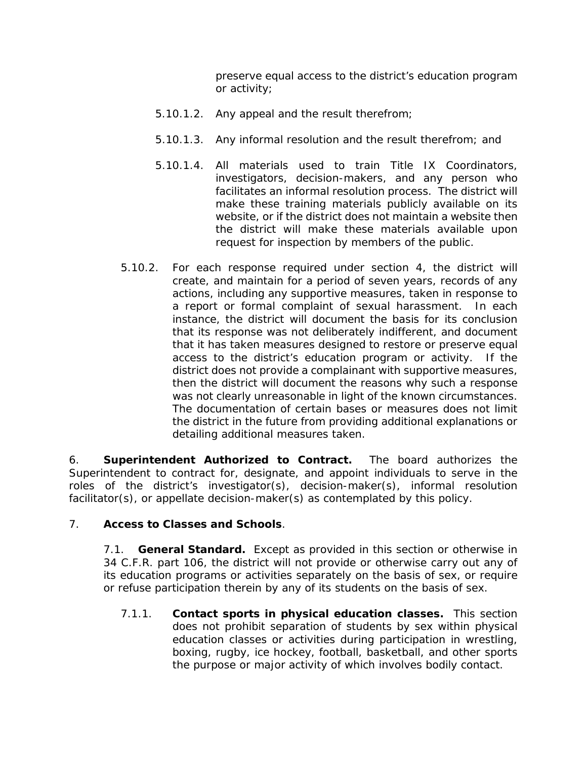preserve equal access to the district's education program or activity;

- 5.10.1.2. Any appeal and the result therefrom;
- 5.10.1.3. Any informal resolution and the result therefrom; and
- 5.10.1.4. All materials used to train Title IX Coordinators, investigators, decision-makers, and any person who facilitates an informal resolution process. The district will make these training materials publicly available on its website, or if the district does not maintain a website then the district will make these materials available upon request for inspection by members of the public.
- 5.10.2. For each response required under section [4,](#page-134-0) the district will create, and maintain for a period of seven years, records of any actions, including any supportive measures, taken in response to a report or formal complaint of sexual harassment. In each instance, the district will document the basis for its conclusion that its response was not deliberately indifferent, and document that it has taken measures designed to restore or preserve equal access to the district's education program or activity. If the district does not provide a complainant with supportive measures, then the district will document the reasons why such a response was not clearly unreasonable in light of the known circumstances. The documentation of certain bases or measures does not limit the district in the future from providing additional explanations or detailing additional measures taken.

6. **Superintendent Authorized to Contract.** The board authorizes the Superintendent to contract for, designate, and appoint individuals to serve in the roles of the district's investigator(s), decision-maker(s), informal resolution facilitator(s), or appellate decision-maker(s) as contemplated by this policy.

## 7. **Access to Classes and Schools**.

7.1. **General Standard.** Except as provided in this section or otherwise in 34 C.F.R. part 106, the district will not provide or otherwise carry out any of its education programs or activities separately on the basis of sex, or require or refuse participation therein by any of its students on the basis of sex.

7.1.1. **Contact sports in physical education classes.** This section does not prohibit separation of students by sex within physical education classes or activities during participation in wrestling, boxing, rugby, ice hockey, football, basketball, and other sports the purpose or major activity of which involves bodily contact.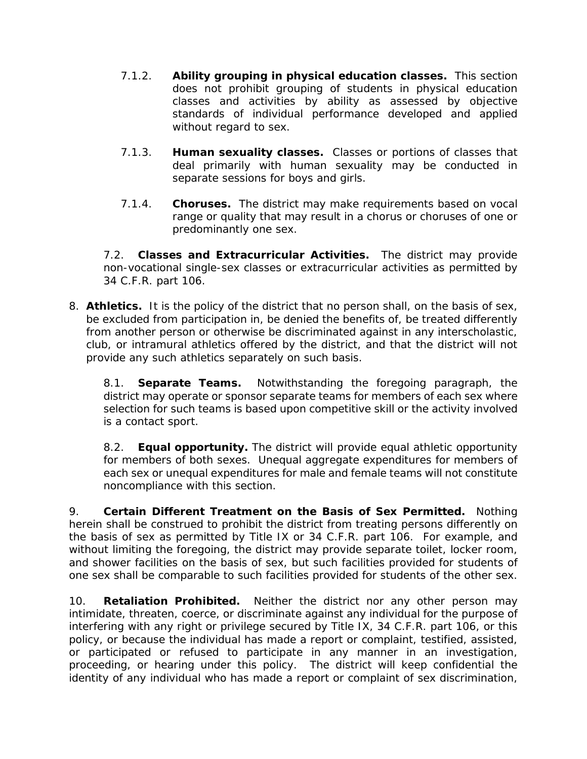- 7.1.2. **Ability grouping in physical education classes.** This section does not prohibit grouping of students in physical education classes and activities by ability as assessed by objective standards of individual performance developed and applied without regard to sex.
- 7.1.3. **Human sexuality classes.** Classes or portions of classes that deal primarily with human sexuality may be conducted in separate sessions for boys and girls.
- 7.1.4. **Choruses.** The district may make requirements based on vocal range or quality that may result in a chorus or choruses of one or predominantly one sex.

7.2. **Classes and Extracurricular Activities.** The district may provide non-vocational single-sex classes or extracurricular activities as permitted by 34 C.F.R. part 106.

8. **Athletics.** It is the policy of the district that no person shall, on the basis of sex, be excluded from participation in, be denied the benefits of, be treated differently from another person or otherwise be discriminated against in any interscholastic, club, or intramural athletics offered by the district, and that the district will not provide any such athletics separately on such basis.

8.1. **Separate Teams.** Notwithstanding the foregoing paragraph, the district may operate or sponsor separate teams for members of each sex where selection for such teams is based upon competitive skill or the activity involved is a contact sport.

8.2. **Equal opportunity.** The district will provide equal athletic opportunity for members of both sexes. Unequal aggregate expenditures for members of each sex or unequal expenditures for male and female teams will not constitute noncompliance with this section.

9. **Certain Different Treatment on the Basis of Sex Permitted.** Nothing herein shall be construed to prohibit the district from treating persons differently on the basis of sex as permitted by Title IX or 34 C.F.R. part 106. For example, and without limiting the foregoing, the district may provide separate toilet, locker room, and shower facilities on the basis of sex, but such facilities provided for students of one sex shall be comparable to such facilities provided for students of the other sex.

10. **Retaliation Prohibited.** Neither the district nor any other person may intimidate, threaten, coerce, or discriminate against any individual for the purpose of interfering with any right or privilege secured by Title IX, 34 C.F.R. part 106, or this policy, or because the individual has made a report or complaint, testified, assisted, or participated or refused to participate in any manner in an investigation, proceeding, or hearing under this policy. The district will keep confidential the identity of any individual who has made a report or complaint of sex discrimination,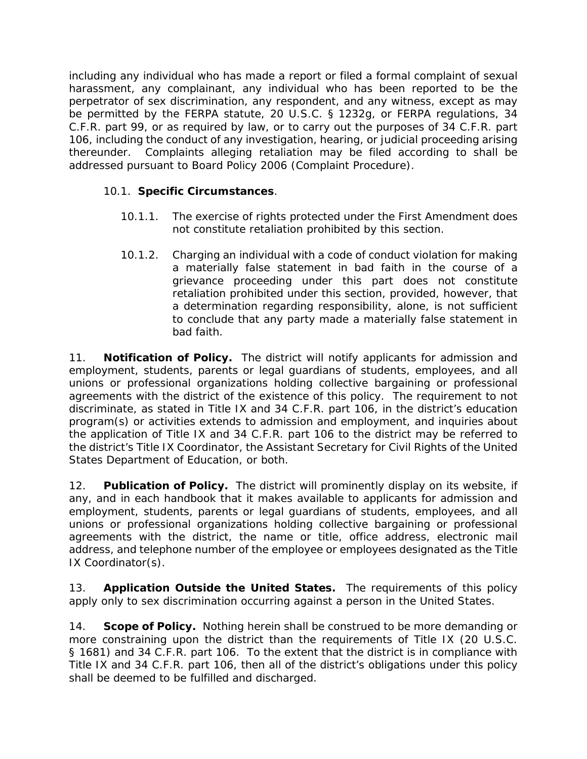including any individual who has made a report or filed a formal complaint of sexual harassment, any complainant, any individual who has been reported to be the perpetrator of sex discrimination, any respondent, and any witness, except as may be permitted by the FERPA statute, 20 U.S.C. § 1232g, or FERPA regulations, 34 C.F.R. part 99, or as required by law, or to carry out the purposes of 34 C.F.R. part 106, including the conduct of any investigation, hearing, or judicial proceeding arising thereunder. Complaints alleging retaliation may be filed according to shall be addressed pursuant to Board Policy 2006 (Complaint Procedure).

## 10.1. **Specific Circumstances**.

- 10.1.1. The exercise of rights protected under the First Amendment does not constitute retaliation prohibited by this section.
- 10.1.2. Charging an individual with a code of conduct violation for making a materially false statement in bad faith in the course of a grievance proceeding under this part does not constitute retaliation prohibited under this section, provided, however, that a determination regarding responsibility, alone, is not sufficient to conclude that any party made a materially false statement in bad faith.

11. **Notification of Policy.** The district will notify applicants for admission and employment, students, parents or legal guardians of students, employees, and all unions or professional organizations holding collective bargaining or professional agreements with the district of the existence of this policy. The requirement to not discriminate, as stated in Title IX and 34 C.F.R. part 106, in the district's education program(s) or activities extends to admission and employment, and inquiries about the application of Title IX and 34 C.F.R. part 106 to the district may be referred to the district's Title IX Coordinator, the Assistant Secretary for Civil Rights of the United States Department of Education, or both.

12. **Publication of Policy.** The district will prominently display on its website, if any, and in each handbook that it makes available to applicants for admission and employment, students, parents or legal guardians of students, employees, and all unions or professional organizations holding collective bargaining or professional agreements with the district, the name or title, office address, electronic mail address, and telephone number of the employee or employees designated as the Title IX Coordinator(s).

13. **Application Outside the United States.** The requirements of this policy apply only to sex discrimination occurring against a person in the United States.

14. **Scope of Policy.** Nothing herein shall be construed to be more demanding or more constraining upon the district than the requirements of Title IX (20 U.S.C. § 1681) and 34 C.F.R. part 106. To the extent that the district is in compliance with Title IX and 34 C.F.R. part 106, then all of the district's obligations under this policy shall be deemed to be fulfilled and discharged.